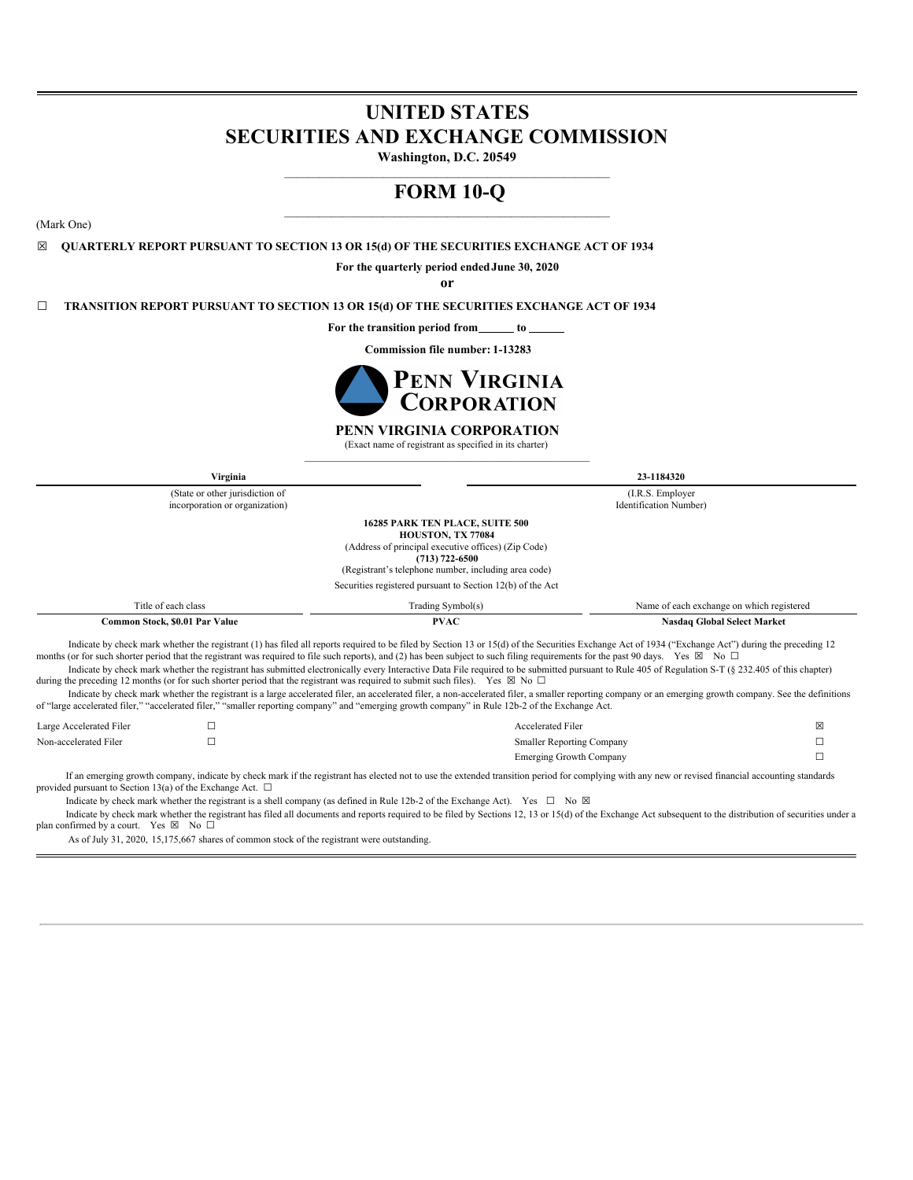# **UNITED STATES SECURITIES AND EXCHANGE COMMISSION**

**Washington, D.C. 20549** \_\_\_\_\_\_\_\_\_\_\_\_\_\_\_\_\_\_\_\_\_\_\_\_\_\_\_\_\_\_\_\_\_\_\_\_\_\_\_\_\_\_\_\_\_\_\_\_\_\_\_\_\_\_\_\_

# **FORM 10-Q**  $\mathcal{L}_\text{max}$  and the contract of the contract of the contract of the contract of the contract of the contract of the contract of the contract of the contract of the contract of the contract of the contract of the contrac

(Mark One)

☒ **QUARTERLY REPORT PURSUANT TO SECTION 13 OR 15(d) OF THE SECURITIES EXCHANGE ACT OF 1934**

**For the quarterly period endedJune 30, 2020**

**or**

# ☐ **TRANSITION REPORT PURSUANT TO SECTION 13 OR 15(d) OF THE SECURITIES EXCHANGE ACT OF 1934**

**For the transition period from to**

**Commission file number: 1-13283**



**PENN VIRGINIA CORPORATION**

(Exact name of registrant as specified in its charter)

|                                                                | Virginia                                                          |                                                                                                                                                                                                                                                                                                                                                                                                                                                                                                                                                                                                                                                                                                                                                                                                                                                                                                                                                                                                                                                                                                                                    | 23-1184320                                 |        |  |  |  |  |  |  |
|----------------------------------------------------------------|-------------------------------------------------------------------|------------------------------------------------------------------------------------------------------------------------------------------------------------------------------------------------------------------------------------------------------------------------------------------------------------------------------------------------------------------------------------------------------------------------------------------------------------------------------------------------------------------------------------------------------------------------------------------------------------------------------------------------------------------------------------------------------------------------------------------------------------------------------------------------------------------------------------------------------------------------------------------------------------------------------------------------------------------------------------------------------------------------------------------------------------------------------------------------------------------------------------|--------------------------------------------|--------|--|--|--|--|--|--|
|                                                                | (State or other jurisdiction of<br>incorporation or organization) |                                                                                                                                                                                                                                                                                                                                                                                                                                                                                                                                                                                                                                                                                                                                                                                                                                                                                                                                                                                                                                                                                                                                    | (I.R.S. Employer<br>Identification Number) |        |  |  |  |  |  |  |
|                                                                |                                                                   | 16285 PARK TEN PLACE, SUITE 500<br>HOUSTON, TX 77084<br>(Address of principal executive offices) (Zip Code)<br>$(713) 722 - 6500$<br>(Registrant's telephone number, including area code)<br>Securities registered pursuant to Section 12(b) of the Act                                                                                                                                                                                                                                                                                                                                                                                                                                                                                                                                                                                                                                                                                                                                                                                                                                                                            |                                            |        |  |  |  |  |  |  |
|                                                                | Title of each class                                               | Trading Symbol(s)                                                                                                                                                                                                                                                                                                                                                                                                                                                                                                                                                                                                                                                                                                                                                                                                                                                                                                                                                                                                                                                                                                                  | Name of each exchange on which registered  |        |  |  |  |  |  |  |
|                                                                | Common Stock, \$0.01 Par Value                                    | <b>PVAC</b>                                                                                                                                                                                                                                                                                                                                                                                                                                                                                                                                                                                                                                                                                                                                                                                                                                                                                                                                                                                                                                                                                                                        | <b>Nasdaq Global Select Market</b>         |        |  |  |  |  |  |  |
|                                                                |                                                                   | Indicate by check mark whether the registrant (1) has filed all reports required to be filed by Section 13 or 15(d) of the Securities Exchange Act of 1934 ("Exchange Act") during the preceding 12<br>months (or for such shorter period that the registrant was required to file such reports), and (2) has been subject to such filing requirements for the past 90 days. Yes $\boxtimes$ No $\square$<br>Indicate by check mark whether the registrant has submitted electronically every Interactive Data File required to be submitted pursuant to Rule 405 of Regulation S-T (§ 232.405 of this chapter)<br>during the preceding 12 months (or for such shorter period that the registrant was required to submit such files). Yes $\boxtimes$ No $\square$<br>Indicate by check mark whether the registrant is a large accelerated filer, an accelerated filer, a non-accelerated filer, a smaller reporting company or an emerging growth company. See the definitions<br>of "large accelerated filer," "accelerated filer," "smaller reporting company" and "emerging growth company" in Rule 12b-2 of the Exchange Act. |                                            |        |  |  |  |  |  |  |
| Large Accelerated Filer                                        | □                                                                 | <b>Accelerated Filer</b>                                                                                                                                                                                                                                                                                                                                                                                                                                                                                                                                                                                                                                                                                                                                                                                                                                                                                                                                                                                                                                                                                                           |                                            | 冈      |  |  |  |  |  |  |
| Non-accelerated Filer                                          | □                                                                 | <b>Smaller Reporting Company</b>                                                                                                                                                                                                                                                                                                                                                                                                                                                                                                                                                                                                                                                                                                                                                                                                                                                                                                                                                                                                                                                                                                   |                                            |        |  |  |  |  |  |  |
|                                                                |                                                                   | <b>Emerging Growth Company</b>                                                                                                                                                                                                                                                                                                                                                                                                                                                                                                                                                                                                                                                                                                                                                                                                                                                                                                                                                                                                                                                                                                     |                                            | $\Box$ |  |  |  |  |  |  |
| provided pursuant to Section 13(a) of the Exchange Act. $\Box$ |                                                                   | If an emerging growth company, indicate by check mark if the registrant has elected not to use the extended transition period for complying with any new or revised financial accounting standards<br>Indicate by check mark whether the registrant is a shell company (as defined in Rule 12b-2 of the Exchange Act). Yes $\square$ No $\boxtimes$                                                                                                                                                                                                                                                                                                                                                                                                                                                                                                                                                                                                                                                                                                                                                                                |                                            |        |  |  |  |  |  |  |

Indicate by check mark whether the registrant has filed all documents and reports required to be filed by Sections 12, 13 or 15(d) of the Exchange Act subsequent to the distribution of securities under a plan confirmed by a court. Yes  $\boxtimes$  No  $\Box$ 

As of July 31, 2020, 15,175,667 shares of common stock of the registrant were outstanding.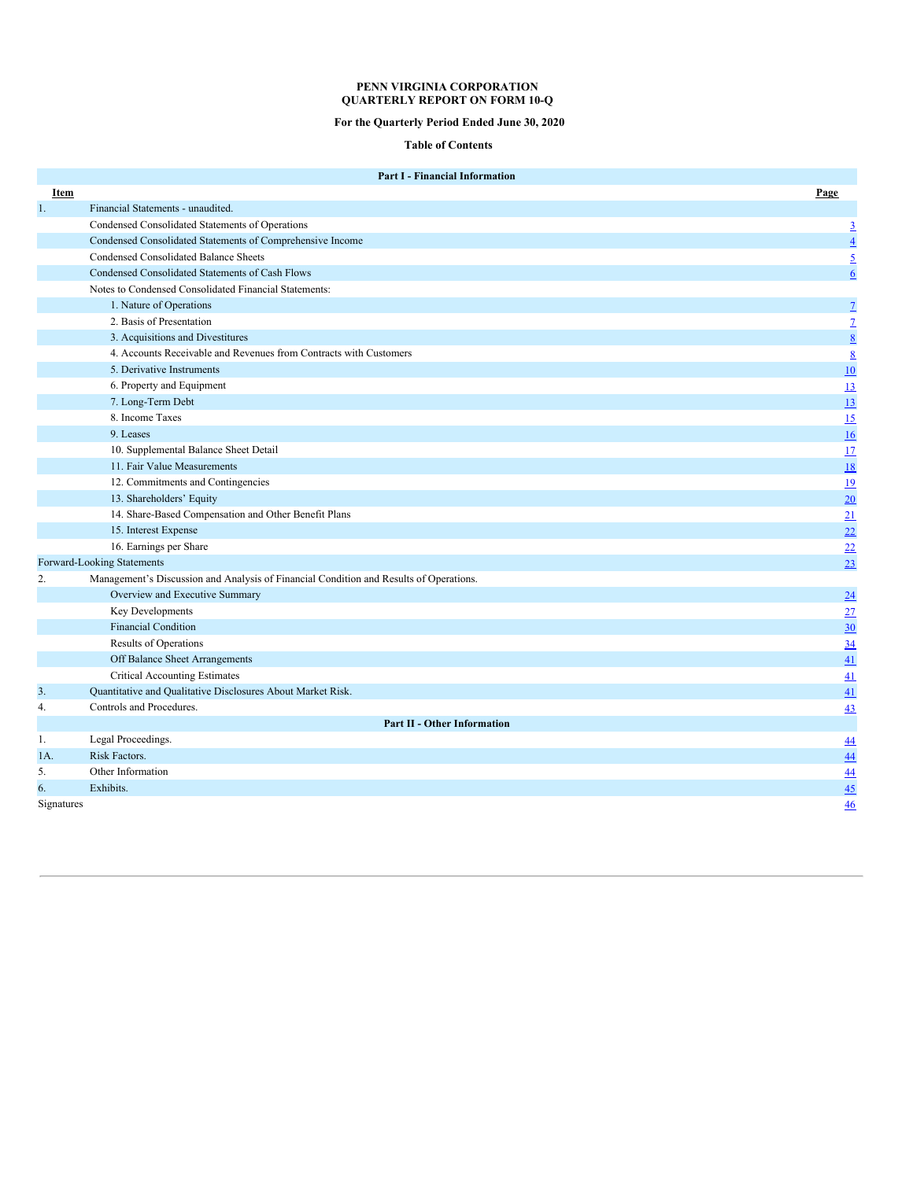# **PENN VIRGINIA CORPORATION QUARTERLY REPORT ON FORM 10-Q**

# **For the Quarterly Period Ended June 30, 2020**

# **Table of Contents**

|            | <b>Part I - Financial Information</b>                                                  |                          |
|------------|----------------------------------------------------------------------------------------|--------------------------|
| Item       |                                                                                        | Page                     |
| 1.         | Financial Statements - unaudited.                                                      |                          |
|            | Condensed Consolidated Statements of Operations                                        | $\overline{3}$           |
|            | Condensed Consolidated Statements of Comprehensive Income                              | $\overline{4}$           |
|            | <b>Condensed Consolidated Balance Sheets</b>                                           | $\overline{2}$           |
|            | Condensed Consolidated Statements of Cash Flows                                        | 6                        |
|            | Notes to Condensed Consolidated Financial Statements:                                  |                          |
|            | 1. Nature of Operations                                                                | $\overline{1}$           |
|            | 2. Basis of Presentation                                                               | $\underline{\mathbf{7}}$ |
|            | 3. Acquisitions and Divestitures                                                       | $\underline{8}$          |
|            | 4. Accounts Receivable and Revenues from Contracts with Customers                      | $\underline{8}$          |
|            | 5. Derivative Instruments                                                              | 10                       |
|            | 6. Property and Equipment                                                              | 13                       |
|            | 7. Long-Term Debt                                                                      | 13                       |
|            | 8. Income Taxes                                                                        | 15                       |
|            | 9. Leases                                                                              | 16                       |
|            | 10. Supplemental Balance Sheet Detail                                                  | 17                       |
|            | 11. Fair Value Measurements                                                            | 18                       |
|            | 12. Commitments and Contingencies                                                      | 19                       |
|            | 13. Shareholders' Equity                                                               | 20                       |
|            | 14. Share-Based Compensation and Other Benefit Plans                                   | 21                       |
|            | 15. Interest Expense                                                                   | 22                       |
|            | 16. Earnings per Share                                                                 | 22                       |
|            | Forward-Looking Statements                                                             | 23                       |
| 2.         | Management's Discussion and Analysis of Financial Condition and Results of Operations. |                          |
|            | Overview and Executive Summary                                                         | 24                       |
|            | Key Developments                                                                       | 27                       |
|            | <b>Financial Condition</b>                                                             | 30                       |
|            | Results of Operations                                                                  | 34                       |
|            | Off Balance Sheet Arrangements                                                         | 41                       |
|            | <b>Critical Accounting Estimates</b>                                                   | 41                       |
| 3.         | Quantitative and Qualitative Disclosures About Market Risk.                            | 41                       |
| 4.         | Controls and Procedures.                                                               | 43                       |
|            | <b>Part II - Other Information</b>                                                     |                          |
| 1.         | Legal Proceedings.                                                                     | $\overline{44}$          |
| 1A.        | Risk Factors.                                                                          | $\overline{44}$          |
| 5.         | Other Information                                                                      | $\overline{44}$          |
| 6.         | Exhibits.                                                                              | $\overline{45}$          |
| Signatures |                                                                                        | 46                       |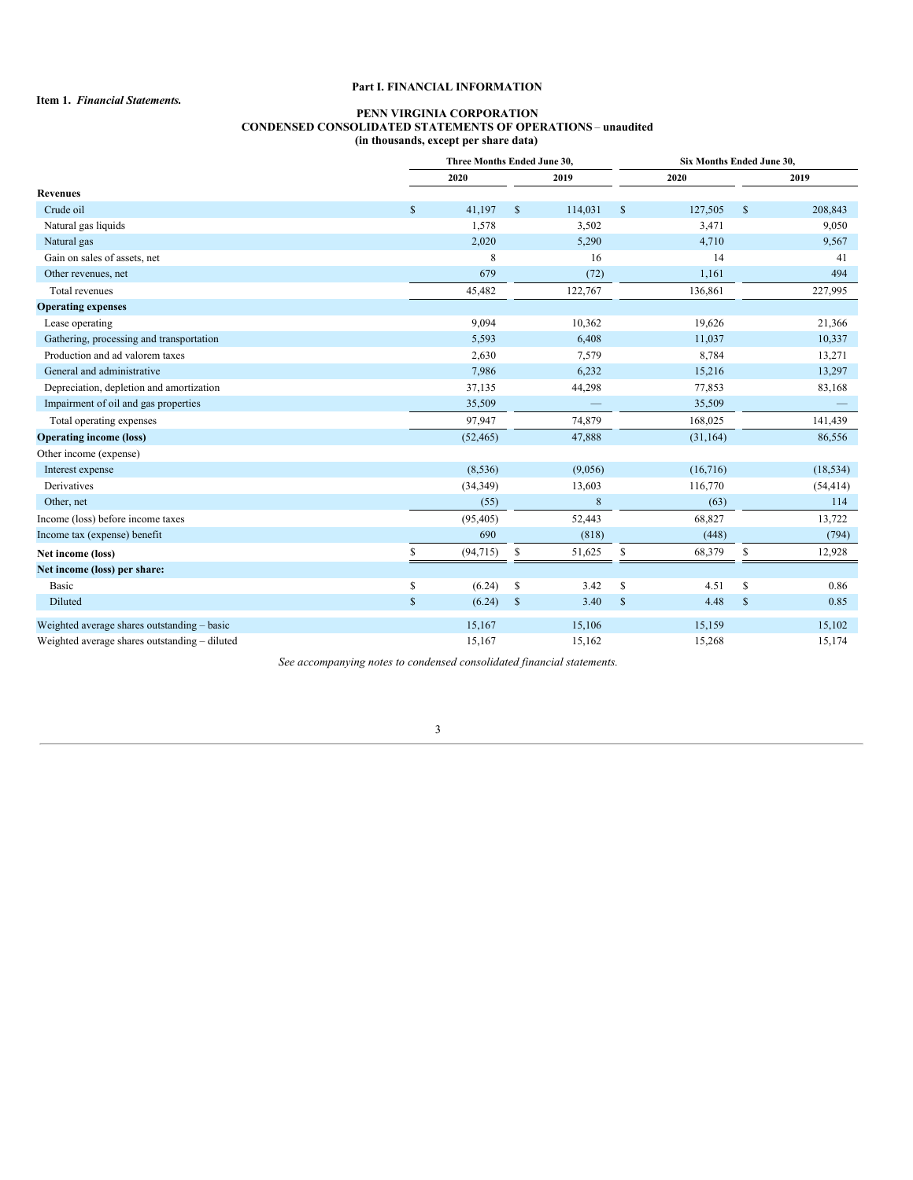# **Part I. FINANCIAL INFORMATION**

# <span id="page-2-0"></span>**Item 1.** *Financial Statements.*

### **PENN VIRGINIA CORPORATION CONDENSED CONSOLIDATED STATEMENTS OF OPERATIONS** – **unaudited (in thousands, except per share data)**

|                                               |              | Three Months Ended June 30, |               |         |              | Six Months Ended June 30, |               |           |  |  |  |
|-----------------------------------------------|--------------|-----------------------------|---------------|---------|--------------|---------------------------|---------------|-----------|--|--|--|
|                                               |              | 2020                        |               | 2019    |              | 2020                      |               | 2019      |  |  |  |
| <b>Revenues</b>                               |              |                             |               |         |              |                           |               |           |  |  |  |
| Crude oil                                     | $\mathbb{S}$ | 41,197                      | $\mathcal{S}$ | 114,031 | \$           | 127,505                   | $\mathcal{S}$ | 208,843   |  |  |  |
| Natural gas liquids                           |              | 1,578                       |               | 3,502   |              | 3,471                     |               | 9,050     |  |  |  |
| Natural gas                                   |              | 2,020                       |               | 5,290   |              | 4,710                     |               | 9,567     |  |  |  |
| Gain on sales of assets, net                  |              | 8                           |               | 16      |              | 14                        |               | 41        |  |  |  |
| Other revenues, net                           |              | 679                         |               | (72)    |              | 1,161                     |               | 494       |  |  |  |
| Total revenues                                |              | 45,482                      |               | 122,767 |              | 136,861                   |               | 227,995   |  |  |  |
| <b>Operating expenses</b>                     |              |                             |               |         |              |                           |               |           |  |  |  |
| Lease operating                               |              | 9,094                       |               | 10,362  |              | 19,626                    |               | 21,366    |  |  |  |
| Gathering, processing and transportation      |              | 5,593                       |               | 6,408   |              | 11,037                    |               | 10,337    |  |  |  |
| Production and ad valorem taxes               |              | 2,630                       |               | 7,579   |              | 8,784                     |               | 13,271    |  |  |  |
| General and administrative                    |              | 7,986                       |               | 6,232   |              | 15,216                    |               | 13,297    |  |  |  |
| Depreciation, depletion and amortization      |              | 37,135                      |               | 44,298  |              | 77,853                    |               | 83,168    |  |  |  |
| Impairment of oil and gas properties          |              | 35,509                      |               |         |              | 35,509                    |               |           |  |  |  |
| Total operating expenses                      |              | 97,947                      |               | 74,879  |              | 168,025                   |               | 141,439   |  |  |  |
| <b>Operating income (loss)</b>                |              | (52, 465)                   |               | 47,888  |              | (31, 164)                 |               | 86,556    |  |  |  |
| Other income (expense)                        |              |                             |               |         |              |                           |               |           |  |  |  |
| Interest expense                              |              | (8, 536)                    |               | (9,056) |              | (16,716)                  |               | (18, 534) |  |  |  |
| Derivatives                                   |              | (34, 349)                   |               | 13,603  |              | 116,770                   |               | (54, 414) |  |  |  |
| Other, net                                    |              | (55)                        |               | $\,8\,$ |              | (63)                      |               | 114       |  |  |  |
| Income (loss) before income taxes             |              | (95, 405)                   |               | 52,443  |              | 68,827                    |               | 13,722    |  |  |  |
| Income tax (expense) benefit                  |              | 690                         |               | (818)   |              | (448)                     |               | (794)     |  |  |  |
| Net income (loss)                             | \$           | (94, 715)                   | \$            | 51,625  | \$           | 68,379                    | \$            | 12,928    |  |  |  |
| Net income (loss) per share:                  |              |                             |               |         |              |                           |               |           |  |  |  |
| Basic                                         | \$           | (6.24)                      | <sup>\$</sup> | 3.42    | S            | 4.51                      | \$            | 0.86      |  |  |  |
| Diluted                                       | $\mathbb{S}$ | (6.24)                      | $\mathbb{S}$  | 3.40    | $\mathbb{S}$ | 4.48                      | $\mathbb{S}$  | 0.85      |  |  |  |
| Weighted average shares outstanding - basic   |              | 15,167                      |               | 15,106  |              | 15,159                    |               | 15,102    |  |  |  |
| Weighted average shares outstanding - diluted |              | 15,167                      |               | 15,162  |              | 15,268                    |               | 15,174    |  |  |  |

<span id="page-2-1"></span>*See accompanying notes to condensed consolidated financial statements.*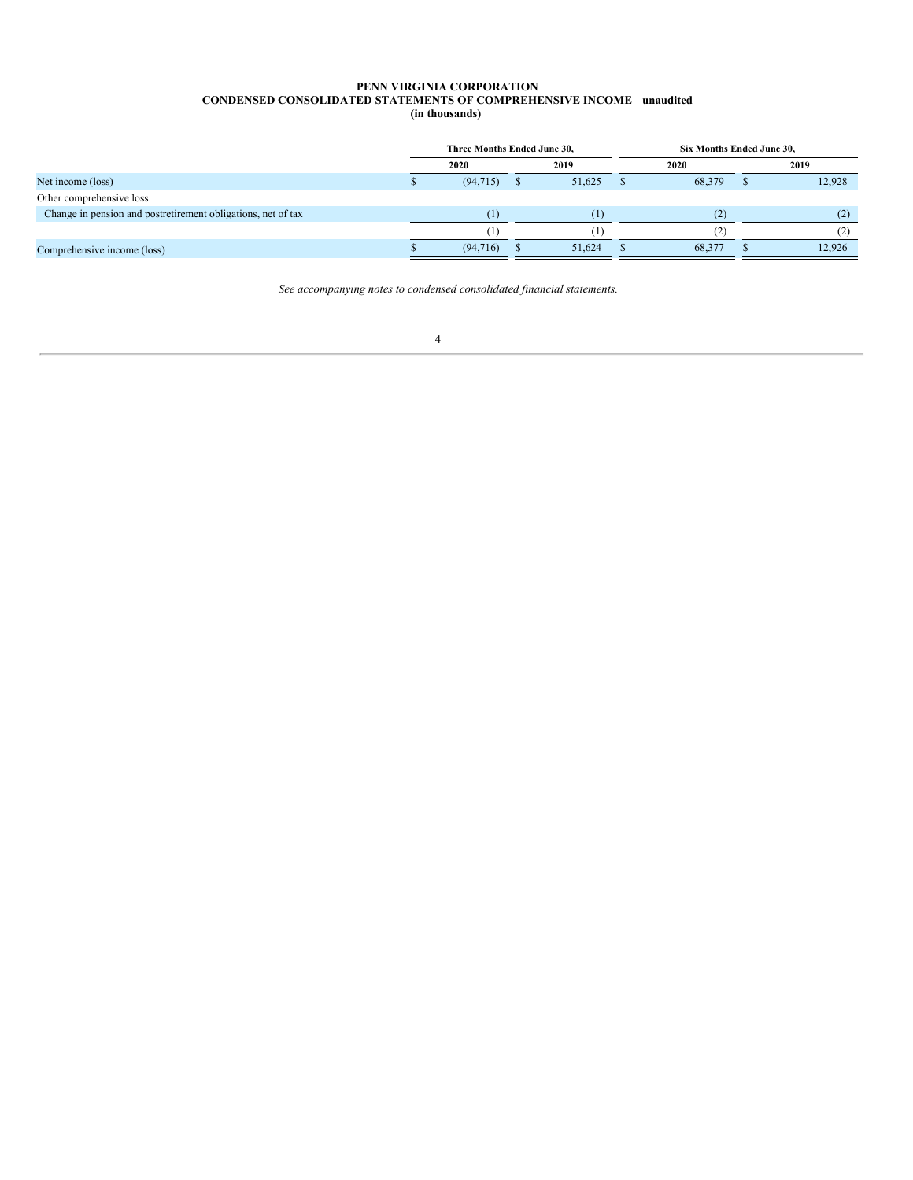#### **PENN VIRGINIA CORPORATION CONDENSED CONSOLIDATED STATEMENTS OF COMPREHENSIVE INCOME** – **unaudited (in thousands)**

<span id="page-3-0"></span>

|                                                              | Three Months Ended June 30, |     |        | Six Months Ended June 30, |        |  |        |  |  |  |
|--------------------------------------------------------------|-----------------------------|-----|--------|---------------------------|--------|--|--------|--|--|--|
|                                                              | 2020                        |     | 2019   |                           | 2020   |  | 2019   |  |  |  |
| Net income (loss)                                            | (94, 715)                   | - S | 51,625 |                           | 68,379 |  | 12,928 |  |  |  |
| Other comprehensive loss:                                    |                             |     |        |                           |        |  |        |  |  |  |
| Change in pension and postretirement obligations, net of tax |                             |     |        |                           | (2)    |  | (2)    |  |  |  |
|                                                              |                             |     |        |                           | (2)    |  | (2)    |  |  |  |
| Comprehensive income (loss)                                  | (94, 716)                   |     | 51,624 |                           | 68,377 |  | 12.926 |  |  |  |

*See accompanying notes to condensed consolidated financial statements.*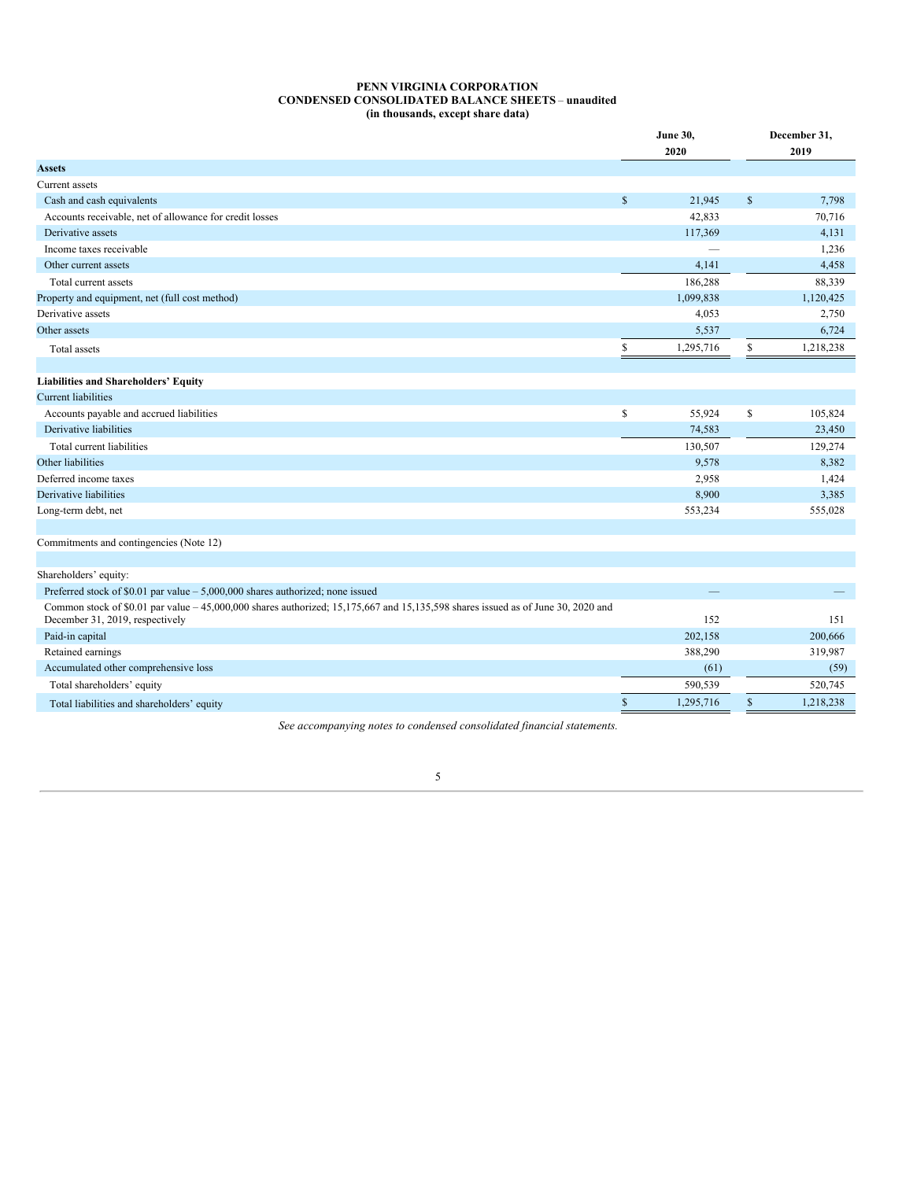### **PENN VIRGINIA CORPORATION CONDENSED CONSOLIDATED BALANCE SHEETS** – **unaudited (in thousands, except share data)**

|                                                                                                                                                                     | <b>June 30,</b><br>2020 |           |              | December 31,<br>2019 |
|---------------------------------------------------------------------------------------------------------------------------------------------------------------------|-------------------------|-----------|--------------|----------------------|
| <b>Assets</b>                                                                                                                                                       |                         |           |              |                      |
| Current assets                                                                                                                                                      |                         |           |              |                      |
| Cash and cash equivalents                                                                                                                                           | $\mathbb{S}$            | 21,945    | $\mathbb{S}$ | 7,798                |
| Accounts receivable, net of allowance for credit losses                                                                                                             |                         | 42,833    |              | 70,716               |
| Derivative assets                                                                                                                                                   |                         | 117,369   |              | 4,131                |
| Income taxes receivable                                                                                                                                             |                         |           |              | 1,236                |
| Other current assets                                                                                                                                                |                         | 4,141     |              | 4,458                |
| Total current assets                                                                                                                                                |                         | 186,288   |              | 88,339               |
| Property and equipment, net (full cost method)                                                                                                                      |                         | 1,099,838 |              | 1,120,425            |
| Derivative assets                                                                                                                                                   |                         | 4,053     |              | 2,750                |
| Other assets                                                                                                                                                        |                         | 5,537     |              | 6,724                |
| Total assets                                                                                                                                                        | \$                      | 1,295,716 | \$           | 1,218,238            |
| <b>Liabilities and Shareholders' Equity</b>                                                                                                                         |                         |           |              |                      |
| <b>Current liabilities</b>                                                                                                                                          |                         |           |              |                      |
| Accounts payable and accrued liabilities                                                                                                                            | \$                      | 55,924    | \$           | 105,824              |
| Derivative liabilities                                                                                                                                              |                         | 74,583    |              | 23,450               |
| Total current liabilities                                                                                                                                           |                         | 130,507   |              | 129,274              |
| Other liabilities                                                                                                                                                   |                         | 9,578     |              | 8,382                |
| Deferred income taxes                                                                                                                                               |                         | 2,958     |              | 1,424                |
| Derivative liabilities                                                                                                                                              |                         | 8,900     |              | 3,385                |
| Long-term debt, net                                                                                                                                                 |                         | 553,234   |              | 555,028              |
|                                                                                                                                                                     |                         |           |              |                      |
| Commitments and contingencies (Note 12)                                                                                                                             |                         |           |              |                      |
|                                                                                                                                                                     |                         |           |              |                      |
| Shareholders' equity:                                                                                                                                               |                         |           |              |                      |
| Preferred stock of \$0.01 par value $-5,000,000$ shares authorized; none issued                                                                                     |                         |           |              |                      |
| Common stock of \$0.01 par value – 45,000,000 shares authorized; 15,175,667 and 15,135,598 shares issued as of June 30, 2020 and<br>December 31, 2019, respectively |                         | 152       |              | 151                  |
| Paid-in capital                                                                                                                                                     |                         | 202,158   |              | 200,666              |
| Retained earnings                                                                                                                                                   |                         | 388,290   |              | 319,987              |
| Accumulated other comprehensive loss                                                                                                                                |                         | (61)      |              | (59)                 |
| Total shareholders' equity                                                                                                                                          |                         | 590,539   |              | 520,745              |
| Total liabilities and shareholders' equity                                                                                                                          | $\mathbb{S}$            | 1,295,716 | \$           | 1,218,238            |

<span id="page-4-0"></span>*See accompanying notes to condensed consolidated financial statements.*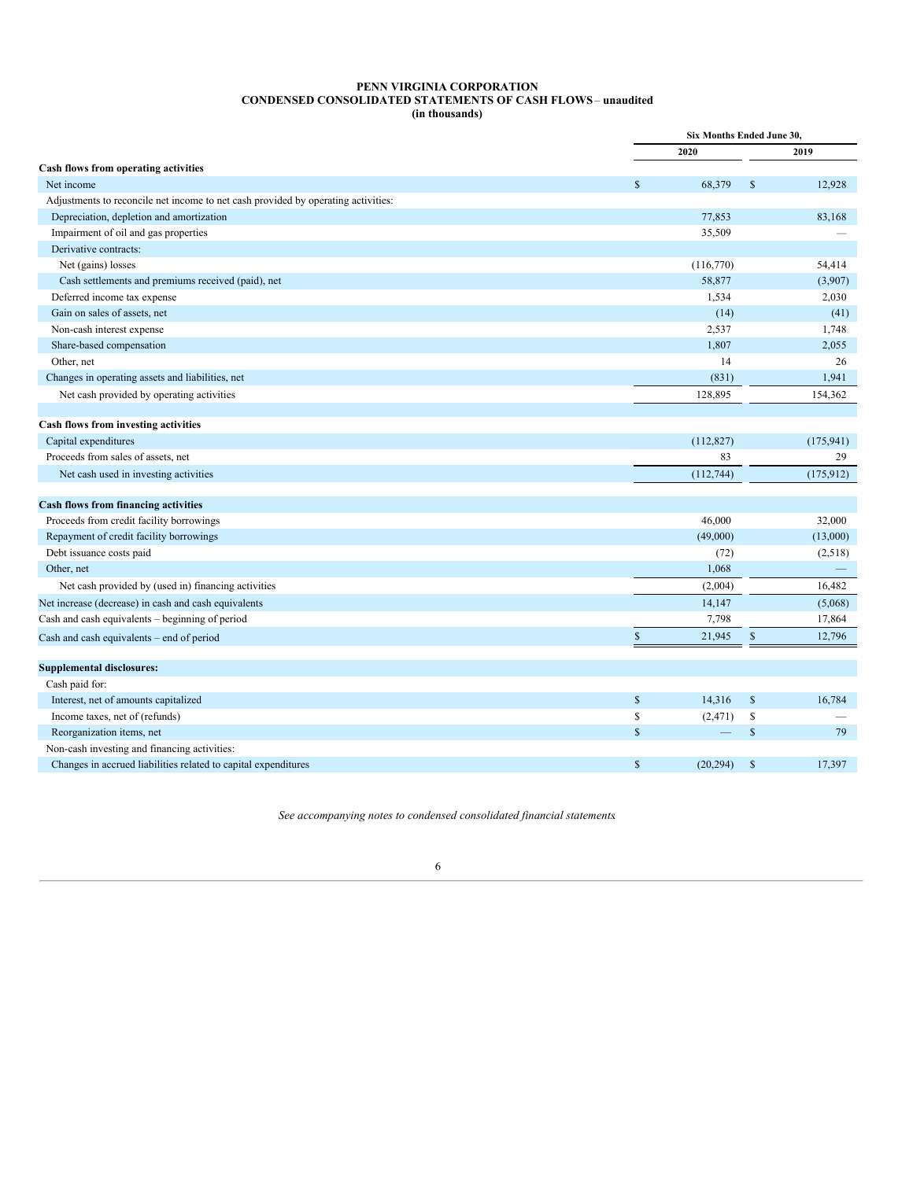# **PENN VIRGINIA CORPORATION CONDENSED CONSOLIDATED STATEMENTS OF CASH FLOWS** – **unaudited (in thousands)**

|                                                                                   |             | Six Months Ended June 30, |              |            |  |  |
|-----------------------------------------------------------------------------------|-------------|---------------------------|--------------|------------|--|--|
|                                                                                   |             | 2020                      |              | 2019       |  |  |
| Cash flows from operating activities                                              |             |                           |              |            |  |  |
| Net income                                                                        | $\mathbf S$ | 68,379                    | $\mathbb{S}$ | 12,928     |  |  |
| Adjustments to reconcile net income to net cash provided by operating activities: |             |                           |              |            |  |  |
| Depreciation, depletion and amortization                                          |             | 77,853                    |              | 83.168     |  |  |
| Impairment of oil and gas properties                                              |             | 35,509                    |              |            |  |  |
| Derivative contracts:                                                             |             |                           |              |            |  |  |
| Net (gains) losses                                                                |             | (116,770)                 |              | 54,414     |  |  |
| Cash settlements and premiums received (paid), net                                |             | 58,877                    |              | (3,907)    |  |  |
| Deferred income tax expense                                                       |             | 1,534                     |              | 2,030      |  |  |
| Gain on sales of assets, net                                                      |             | (14)                      |              | (41)       |  |  |
| Non-cash interest expense                                                         |             | 2,537                     |              | 1,748      |  |  |
| Share-based compensation                                                          |             | 1,807                     |              | 2,055      |  |  |
| Other, net                                                                        |             | 14                        |              | 26         |  |  |
| Changes in operating assets and liabilities, net                                  |             | (831)                     |              | 1,941      |  |  |
| Net cash provided by operating activities                                         |             | 128,895                   |              | 154,362    |  |  |
|                                                                                   |             |                           |              |            |  |  |
| Cash flows from investing activities                                              |             |                           |              |            |  |  |
| Capital expenditures                                                              |             | (112, 827)                |              | (175, 941) |  |  |
| Proceeds from sales of assets, net                                                |             | 83                        |              | 29         |  |  |
| Net cash used in investing activities                                             |             | (112, 744)                |              | (175, 912) |  |  |
|                                                                                   |             |                           |              |            |  |  |
| <b>Cash flows from financing activities</b>                                       |             |                           |              |            |  |  |
| Proceeds from credit facility borrowings                                          |             | 46,000                    |              | 32,000     |  |  |
| Repayment of credit facility borrowings                                           |             | (49,000)                  |              | (13,000)   |  |  |
| Debt issuance costs paid                                                          |             | (72)                      |              | (2,518)    |  |  |
| Other, net                                                                        |             | 1,068                     |              |            |  |  |
| Net cash provided by (used in) financing activities                               |             | (2,004)                   |              | 16,482     |  |  |
| Net increase (decrease) in cash and cash equivalents                              |             | 14,147                    |              | (5,068)    |  |  |
| Cash and cash equivalents - beginning of period                                   |             | 7,798                     |              | 17,864     |  |  |
| Cash and cash equivalents - end of period                                         | \$          | 21,945                    | $\mathbb{S}$ | 12,796     |  |  |
| <b>Supplemental disclosures:</b>                                                  |             |                           |              |            |  |  |
| Cash paid for:                                                                    |             |                           |              |            |  |  |
| Interest, net of amounts capitalized                                              | \$          | 14,316                    | $\mathbb{S}$ | 16.784     |  |  |
| Income taxes, net of (refunds)                                                    | \$          | (2,471)                   | \$           |            |  |  |
| Reorganization items, net                                                         | \$          | $\overline{\phantom{0}}$  | $\mathbb{S}$ | 79         |  |  |
| Non-cash investing and financing activities:                                      |             |                           |              |            |  |  |
| Changes in accrued liabilities related to capital expenditures                    | \$          | (20, 294)                 | $\mathbb{S}$ | 17,397     |  |  |

*See accompanying notes to condensed consolidated financial statements*.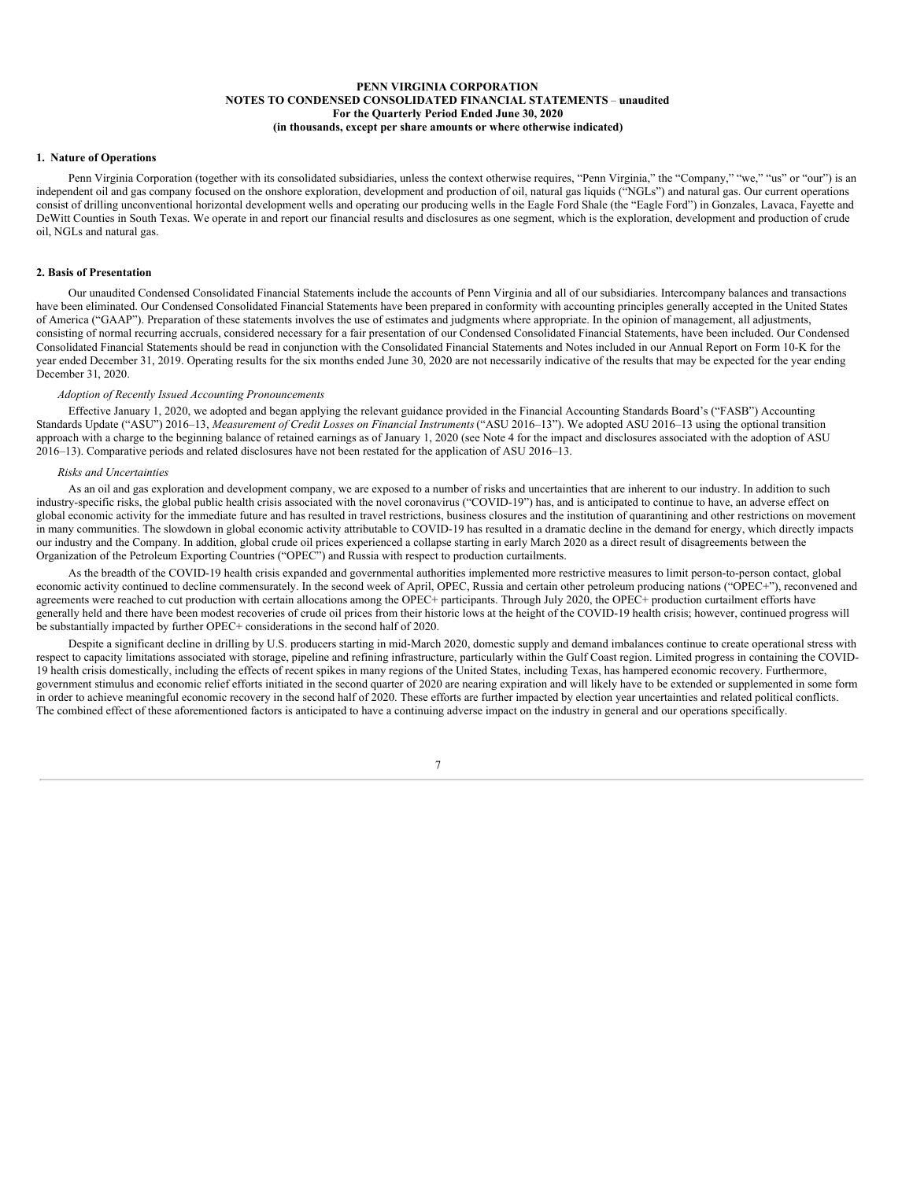# **PENN VIRGINIA CORPORATION NOTES TO CONDENSED CONSOLIDATED FINANCIAL STATEMENTS** – **unaudited For the Quarterly Period Ended June 30, 2020 (in thousands, except per share amounts or where otherwise indicated)**

# <span id="page-6-0"></span>**1. Nature of Operations**

Penn Virginia Corporation (together with its consolidated subsidiaries, unless the context otherwise requires, "Penn Virginia," the "Company," "we," "us" or "our") is an independent oil and gas company focused on the onshore exploration, development and production of oil, natural gas liquids ("NGLs") and natural gas. Our current operations consist of drilling unconventional horizontal development wells and operating our producing wells in the Eagle Ford Shale (the "Eagle Ford") in Gonzales, Lavaca, Fayette and DeWitt Counties in South Texas. We operate in and report our financial results and disclosures as one segment, which is the exploration, development and production of crude oil, NGLs and natural gas.

# <span id="page-6-1"></span>**2. Basis of Presentation**

Our unaudited Condensed Consolidated Financial Statements include the accounts of Penn Virginia and all of our subsidiaries. Intercompany balances and transactions have been eliminated. Our Condensed Consolidated Financial Statements have been prepared in conformity with accounting principles generally accepted in the United States of America ("GAAP"). Preparation of these statements involves the use of estimates and judgments where appropriate. In the opinion of management, all adjustments, consisting of normal recurring accruals, considered necessary for a fair presentation of our Condensed Consolidated Financial Statements, have been included. Our Condensed Consolidated Financial Statements should be read in conjunction with the Consolidated Financial Statements and Notes included in our Annual Report on Form 10-K for the year ended December 31, 2019. Operating results for the six months ended June 30, 2020 are not necessarily indicative of the results that may be expected for the year ending December 31, 2020.

### *Adoption of Recently Issued Accounting Pronouncements*

Effective January 1, 2020, we adopted and began applying the relevant guidance provided in the Financial Accounting Standards Board's ("FASB") Accounting Standards Update ("ASU") 2016–13, *Measurement of Credit Losses on Financial Instruments*("ASU 2016–13"). We adopted ASU 2016–13 using the optional transition approach with a charge to the beginning balance of retained earnings as of January 1, 2020 (see Note 4 for the impact and disclosures associated with the adoption of ASU 2016–13). Comparative periods and related disclosures have not been restated for the application of ASU 2016–13.

#### *Risks and Uncertainties*

As an oil and gas exploration and development company, we are exposed to a number of risks and uncertainties that are inherent to our industry. In addition to such industry-specific risks, the global public health crisis associated with the novel coronavirus ("COVID-19") has, and is anticipated to continue to have, an adverse effect on global economic activity for the immediate future and has resulted in travel restrictions, business closures and the institution of quarantining and other restrictions on movement in many communities. The slowdown in global economic activity attributable to COVID-19 has resulted in a dramatic decline in the demand for energy, which directly impacts our industry and the Company. In addition, global crude oil prices experienced a collapse starting in early March 2020 as a direct result of disagreements between the Organization of the Petroleum Exporting Countries ("OPEC") and Russia with respect to production curtailments.

As the breadth of the COVID-19 health crisis expanded and governmental authorities implemented more restrictive measures to limit person-to-person contact, global economic activity continued to decline commensurately. In the second week of April, OPEC, Russia and certain other petroleum producing nations ("OPEC+"), reconvened and agreements were reached to cut production with certain allocations among the OPEC+ participants. Through July 2020, the OPEC+ production curtailment efforts have generally held and there have been modest recoveries of crude oil prices from their historic lows at the height of the COVID-19 health crisis; however, continued progress will be substantially impacted by further OPEC+ considerations in the second half of 2020.

Despite a significant decline in drilling by U.S. producers starting in mid-March 2020, domestic supply and demand imbalances continue to create operational stress with respect to capacity limitations associated with storage, pipeline and refining infrastructure, particularly within the Gulf Coast region. Limited progress in containing the COVID-19 health crisis domestically, including the effects of recent spikes in many regions of the United States, including Texas, has hampered economic recovery. Furthermore, government stimulus and economic relief efforts initiated in the second quarter of 2020 are nearing expiration and will likely have to be extended or supplemented in some form in order to achieve meaningful economic recovery in the second half of 2020. These efforts are further impacted by election year uncertainties and related political conflicts. The combined effect of these aforementioned factors is anticipated to have a continuing adverse impact on the industry in general and our operations specifically.

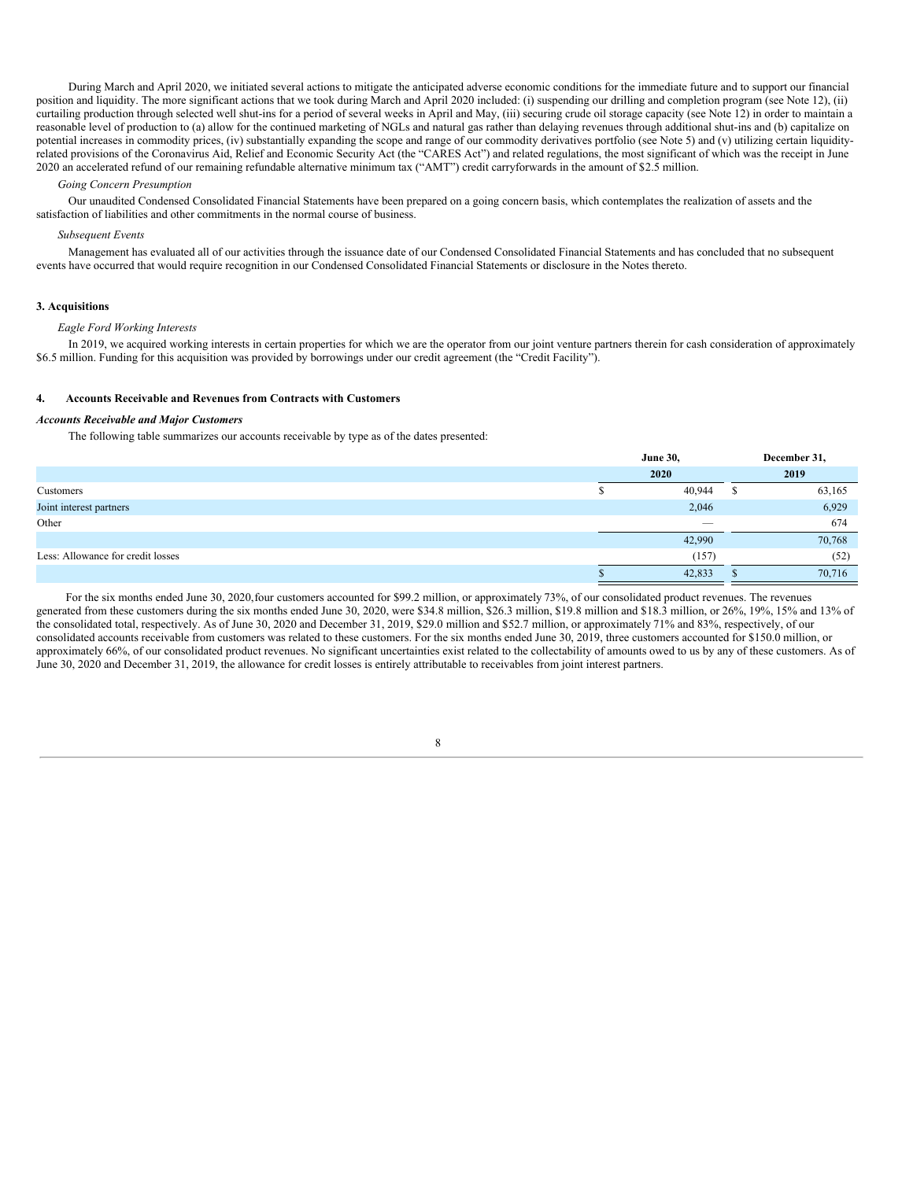During March and April 2020, we initiated several actions to mitigate the anticipated adverse economic conditions for the immediate future and to support our financial position and liquidity. The more significant actions that we took during March and April 2020 included: (i) suspending our drilling and completion program (see Note 12), (ii) curtailing production through selected well shut-ins for a period of several weeks in April and May, (iii) securing crude oil storage capacity (see Note 12) in order to maintain a reasonable level of production to (a) allow for the continued marketing of NGLs and natural gas rather than delaying revenues through additional shut-ins and (b) capitalize on potential increases in commodity prices, (iv) substantially expanding the scope and range of our commodity derivatives portfolio (see Note 5) and (v) utilizing certain liquidityrelated provisions of the Coronavirus Aid, Relief and Economic Security Act (the "CARES Act") and related regulations, the most significant of which was the receipt in June 2020 an accelerated refund of our remaining refundable alternative minimum tax ("AMT") credit carryforwards in the amount of \$2.5 million.

#### *Going Concern Presumption*

Our unaudited Condensed Consolidated Financial Statements have been prepared on a going concern basis, which contemplates the realization of assets and the satisfaction of liabilities and other commitments in the normal course of business.

#### *Subsequent Events*

Management has evaluated all of our activities through the issuance date of our Condensed Consolidated Financial Statements and has concluded that no subsequent events have occurred that would require recognition in our Condensed Consolidated Financial Statements or disclosure in the Notes thereto.

### <span id="page-7-0"></span>**3. Acquisitions**

## *Eagle Ford Working Interests*

In 2019, we acquired working interests in certain properties for which we are the operator from our joint venture partners therein for cash consideration of approximately \$6.5 million. Funding for this acquisition was provided by borrowings under our credit agreement (the "Credit Facility").

# <span id="page-7-1"></span>**4. Accounts Receivable and Revenues from Contracts with Customers**

#### *Accounts Receivable and Major Customers*

The following table summarizes our accounts receivable by type as of the dates presented:

|                                   | <b>June 30,</b> |   | December 31, |
|-----------------------------------|-----------------|---|--------------|
|                                   | 2020            |   | 2019         |
| Customers                         | 40,944          | S | 63,165       |
| Joint interest partners           | 2,046           |   | 6,929        |
| Other                             | __              |   | 674          |
|                                   | 42,990          |   | 70,768       |
| Less: Allowance for credit losses | (157)           |   | (52)         |
|                                   | 42,833          |   | 70,716       |

For the six months ended June 30, 2020, four customers accounted for \$99.2 million, or approximately 73%, of our consolidated product revenues. The revenues generated from these customers during the six months ended June 30, 2020, were \$34.8 million, \$26.3 million, \$19.8 million and \$18.3 million, or 26%, 19%, 15% and 13% of the consolidated total, respectively. As of June 30, 2020 and December 31, 2019, \$29.0 million and \$52.7 million, or approximately 71% and 83%, respectively, of our consolidated accounts receivable from customers was related to these customers. For the six months ended June 30, 2019, three customers accounted for \$150.0 million, or approximately 66%, of our consolidated product revenues. No significant uncertainties exist related to the collectability of amounts owed to us by any of these customers. As of June 30, 2020 and December 31, 2019, the allowance for credit losses is entirely attributable to receivables from joint interest partners.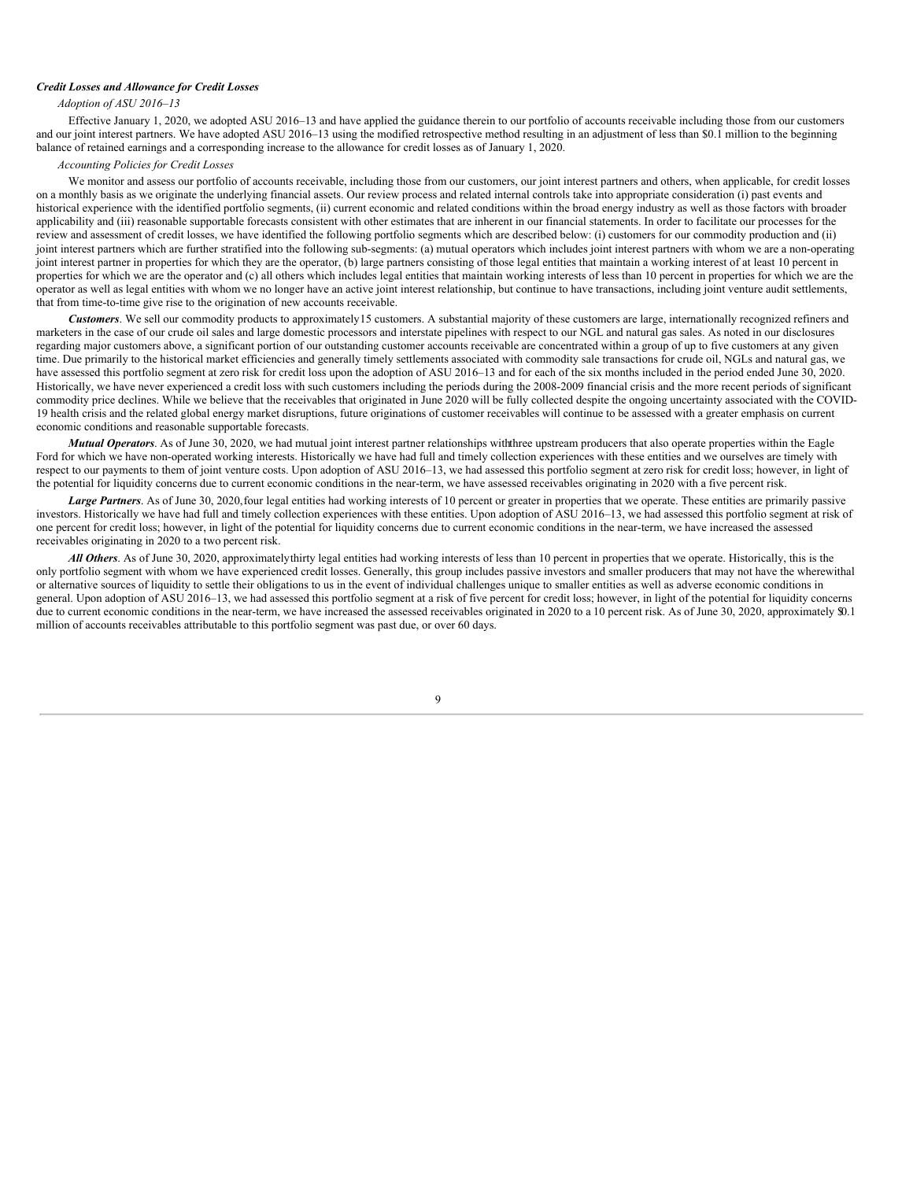#### *Credit Losses and Allowance for Credit Losses*

# *Adoption of ASU 2016–13*

Effective January 1, 2020, we adopted ASU 2016–13 and have applied the guidance therein to our portfolio of accounts receivable including those from our customers and our joint interest partners. We have adopted ASU 2016–13 using the modified retrospective method resulting in an adjustment of less than \$0.1 million to the beginning balance of retained earnings and a corresponding increase to the allowance for credit losses as of January 1, 2020.

# *Accounting Policies for Credit Losses*

We monitor and assess our portfolio of accounts receivable, including those from our customers, our joint interest partners and others, when applicable, for credit losses on a monthly basis as we originate the underlying financial assets. Our review process and related internal controls take into appropriate consideration (i) past events and historical experience with the identified portfolio segments, (ii) current economic and related conditions within the broad energy industry as well as those factors with broader applicability and (iii) reasonable supportable forecasts consistent with other estimates that are inherent in our financial statements. In order to facilitate our processes for the review and assessment of credit losses, we have identified the following portfolio segments which are described below: (i) customers for our commodity production and (ii) joint interest partners which are further stratified into the following sub-segments: (a) mutual operators which includes joint interest partners with whom we are a non-operating joint interest partner in properties for which they are the operator, (b) large partners consisting of those legal entities that maintain a working interest of at least 10 percent in properties for which we are the operator and (c) all others which includes legal entities that maintain working interests of less than 10 percent in properties for which we are the operator as well as legal entities with whom we no longer have an active joint interest relationship, but continue to have transactions, including joint venture audit settlements, that from time-to-time give rise to the origination of new accounts receivable.

*Customers*. We sell our commodity products to approximately15 customers. A substantial majority of these customers are large, internationally recognized refiners and marketers in the case of our crude oil sales and large domestic processors and interstate pipelines with respect to our NGL and natural gas sales. As noted in our disclosures regarding major customers above, a significant portion of our outstanding customer accounts receivable are concentrated within a group of up to five customers at any given time. Due primarily to the historical market efficiencies and generally timely settlements associated with commodity sale transactions for crude oil, NGLs and natural gas, we have assessed this portfolio segment at zero risk for credit loss upon the adoption of ASU 2016-13 and for each of the six months included in the period ended June 30, 2020. Historically, we have never experienced a credit loss with such customers including the periods during the 2008-2009 financial crisis and the more recent periods of significant commodity price declines. While we believe that the receivables that originated in June 2020 will be fully collected despite the ongoing uncertainty associated with the COVID-19 health crisis and the related global energy market disruptions, future originations of customer receivables will continue to be assessed with a greater emphasis on current economic conditions and reasonable supportable forecasts.

*Mutual Operators*. As of June 30, 2020, we had mutual joint interest partner relationships withthree upstream producers that also operate properties within the Eagle Ford for which we have non-operated working interests. Historically we have had full and timely collection experiences with these entities and we ourselves are timely with respect to our payments to them of joint venture costs. Upon adoption of ASU 2016–13, we had assessed this portfolio segment at zero risk for credit loss; however, in light of the potential for liquidity concerns due to current economic conditions in the near-term, we have assessed receivables originating in 2020 with a five percent risk.

*Large Partners*. As of June 30, 2020,four legal entities had working interests of 10 percent or greater in properties that we operate. These entities are primarily passive investors. Historically we have had full and timely collection experiences with these entities. Upon adoption of ASU 2016–13, we had assessed this portfolio segment at risk of one percent for credit loss; however, in light of the potential for liquidity concerns due to current economic conditions in the near-term, we have increased the assessed receivables originating in 2020 to a two percent risk.

*All Others*. As of June 30, 2020, approximatelythirty legal entities had working interests of less than 10 percent in properties that we operate. Historically, this is the only portfolio segment with whom we have experienced credit losses. Generally, this group includes passive investors and smaller producers that may not have the wherewithal or alternative sources of liquidity to settle their obligations to us in the event of individual challenges unique to smaller entities as well as adverse economic conditions in general. Upon adoption of ASU 2016–13, we had assessed this portfolio segment at a risk of five percent for credit loss; however, in light of the potential for liquidity concerns due to current economic conditions in the near-term, we have increased the assessed receivables originated in 2020 to a 10 percent risk. As of June 30, 2020, approximately \$0.1 million of accounts receivables attributable to this portfolio segment was past due, or over 60 days.

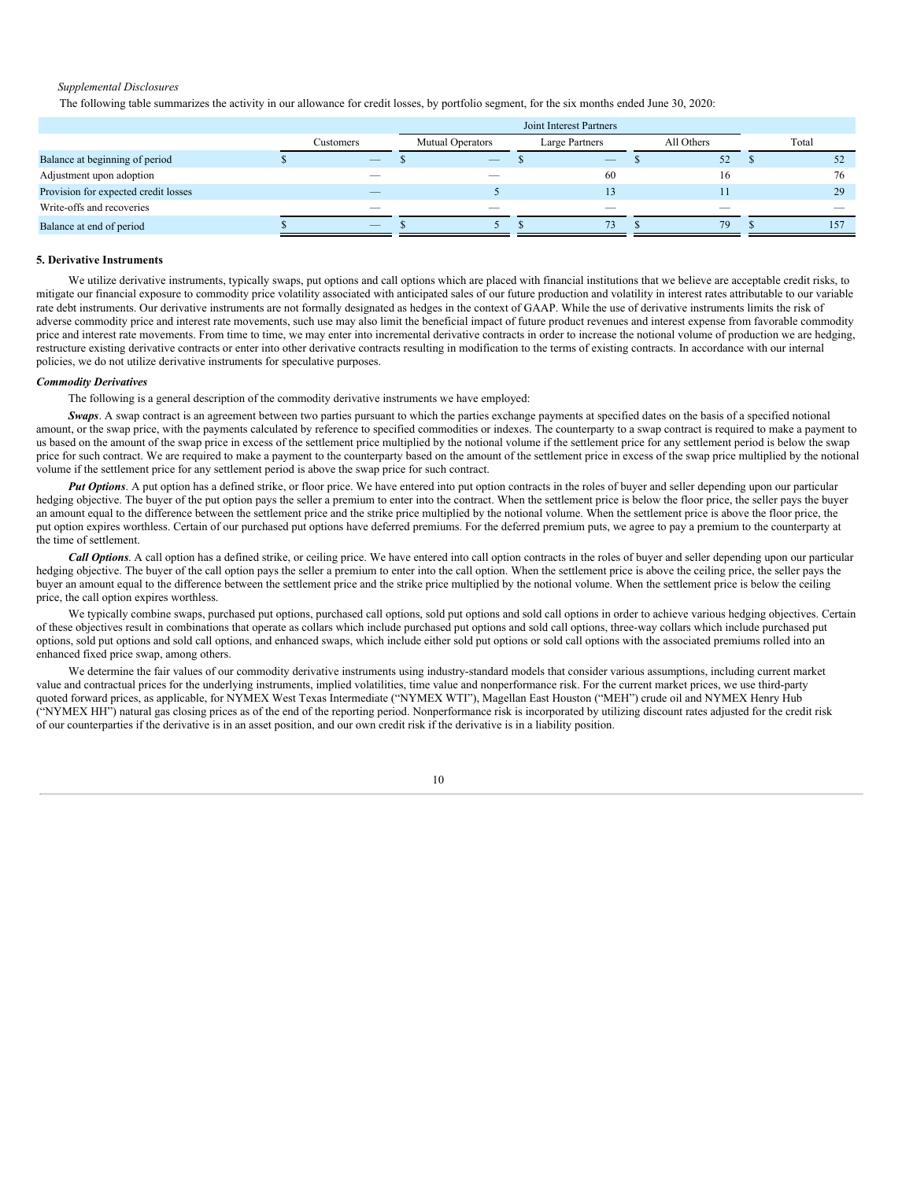#### *Supplemental Disclosures*

The following table summarizes the activity in our allowance for credit losses, by portfolio segment, for the six months ended June 30, 2020:

|                                      | Customers                | <b>Mutual Operators</b>  | Large Partners |  | All Others | Total |
|--------------------------------------|--------------------------|--------------------------|----------------|--|------------|-------|
| Balance at beginning of period       | $\overline{\phantom{m}}$ | $\overline{\phantom{m}}$ |                |  | 52         | 52    |
| Adjustment upon adoption             |                          |                          | 60             |  | 16         | 76    |
| Provision for expected credit losses |                          |                          | 13             |  |            | 29    |
| Write-offs and recoveries            |                          |                          |                |  |            |       |
| Balance at end of period             | $\overline{\phantom{a}}$ |                          | 73             |  | 79         | 157   |

# <span id="page-9-0"></span>**5. Derivative Instruments**

We utilize derivative instruments, typically swaps, put options and call options which are placed with financial institutions that we believe are acceptable credit risks, to mitigate our financial exposure to commodity price volatility associated with anticipated sales of our future production and volatility in interest rates attributable to our variable rate debt instruments. Our derivative instruments are not formally designated as hedges in the context of GAAP. While the use of derivative instruments limits the risk of adverse commodity price and interest rate movements, such use may also limit the beneficial impact of future product revenues and interest expense from favorable commodity price and interest rate movements. From time to time, we may enter into incremental derivative contracts in order to increase the notional volume of production we are hedging, restructure existing derivative contracts or enter into other derivative contracts resulting in modification to the terms of existing contracts. In accordance with our internal policies, we do not utilize derivative instruments for speculative purposes.

#### *Commodity Derivatives*

The following is a general description of the commodity derivative instruments we have employed:

*Swaps*. A swap contract is an agreement between two parties pursuant to which the parties exchange payments at specified dates on the basis of a specified notional amount, or the swap price, with the payments calculated by reference to specified commodities or indexes. The counterparty to a swap contract is required to make a payment to us based on the amount of the swap price in excess of the settlement price multiplied by the notional volume if the settlement price for any settlement period is below the swap price for such contract. We are required to make a payment to the counterparty based on the amount of the settlement price in excess of the swap price multiplied by the notional volume if the settlement price for any settlement period is above the swap price for such contract.

*Put Options*. A put option has a defined strike, or floor price. We have entered into put option contracts in the roles of buyer and seller depending upon our particular hedging objective. The buyer of the put option pays the seller a premium to enter into the contract. When the settlement price is below the floor price, the seller pays the buyer an amount equal to the difference between the settlement price and the strike price multiplied by the notional volume. When the settlement price is above the floor price, the put option expires worthless. Certain of our purchased put options have deferred premiums. For the deferred premium puts, we agree to pay a premium to the counterparty at the time of settlement.

*Call Options*. A call option has a defined strike, or ceiling price. We have entered into call option contracts in the roles of buyer and seller depending upon our particular hedging objective. The buyer of the call option pays the seller a premium to enter into the call option. When the settlement price is above the ceiling price, the seller pays the buyer an amount equal to the difference between the settlement price and the strike price multiplied by the notional volume. When the settlement price is below the ceiling price, the call option expires worthless.

We typically combine swaps, purchased put options, purchased call options, sold put options and sold call options in order to achieve various hedging objectives. Certain of these objectives result in combinations that operate as collars which include purchased put options and sold call options, three-way collars which include purchased put options, sold put options and sold call options, and enhanced swaps, which include either sold put options or sold call options with the associated premiums rolled into an enhanced fixed price swap, among others.

We determine the fair values of our commodity derivative instruments using industry-standard models that consider various assumptions, including current market value and contractual prices for the underlying instruments, implied volatilities, time value and nonperformance risk. For the current market prices, we use third-party quoted forward prices, as applicable, for NYMEX West Texas Intermediate ("NYMEX WTI"), Magellan East Houston ("MEH") crude oil and NYMEX Henry Hub ("NYMEX HH") natural gas closing prices as of the end of the reporting period. Nonperformance risk is incorporated by utilizing discount rates adjusted for the credit risk of our counterparties if the derivative is in an asset position, and our own credit risk if the derivative is in a liability position.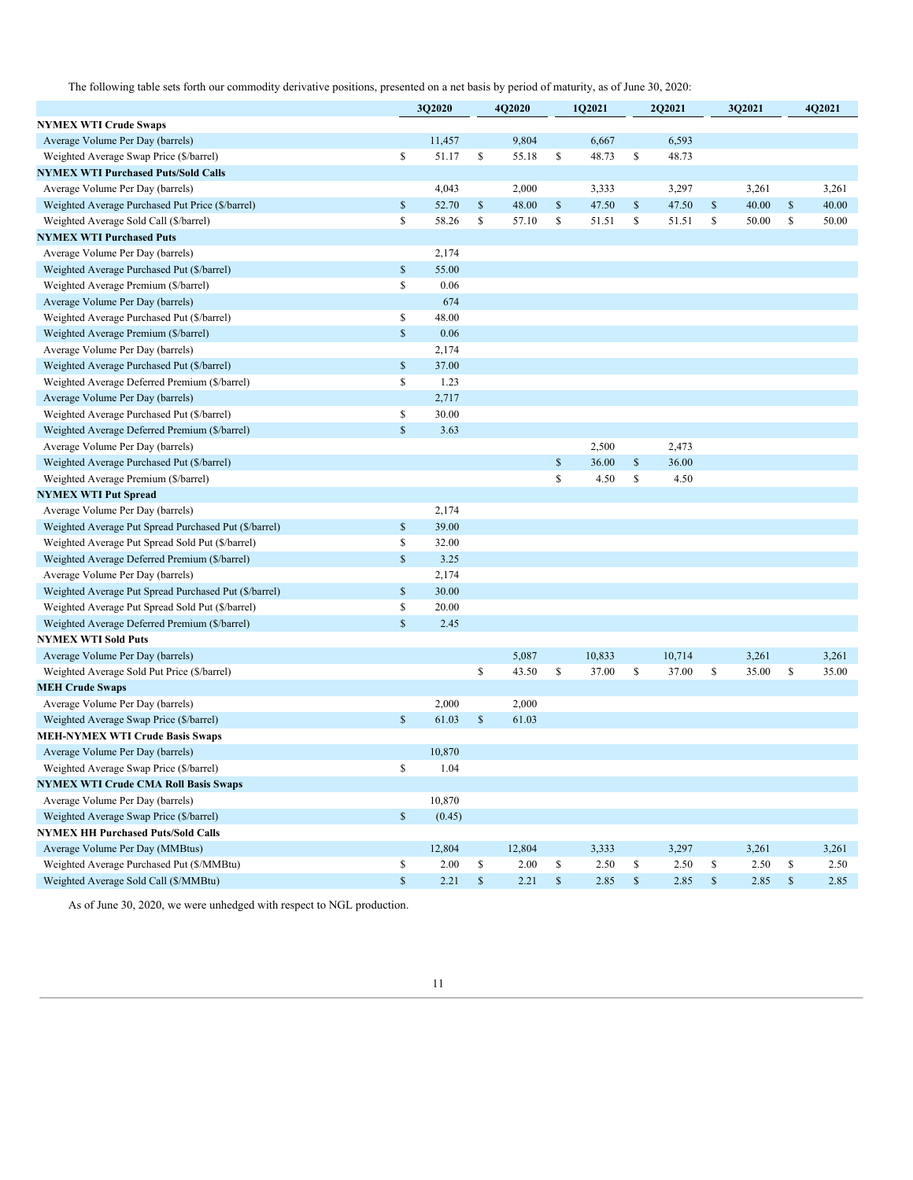The following table sets forth our commodity derivative positions, presented on a net basis by period of maturity, as of June 30, 2020:

|                                                       |              | 3Q2020 |              | 4Q2020 |              | 1Q2021 | 2Q2021       |        | 3Q2021       |       |              | 4Q2021 |
|-------------------------------------------------------|--------------|--------|--------------|--------|--------------|--------|--------------|--------|--------------|-------|--------------|--------|
| <b>NYMEX WTI Crude Swaps</b>                          |              |        |              |        |              |        |              |        |              |       |              |        |
| Average Volume Per Day (barrels)                      |              | 11,457 |              | 9,804  |              | 6,667  |              | 6,593  |              |       |              |        |
| Weighted Average Swap Price (\$/barrel)               | \$           | 51.17  | \$           | 55.18  | \$           | 48.73  | \$           | 48.73  |              |       |              |        |
| <b>NYMEX WTI Purchased Puts/Sold Calls</b>            |              |        |              |        |              |        |              |        |              |       |              |        |
| Average Volume Per Day (barrels)                      |              | 4,043  |              | 2,000  |              | 3,333  |              | 3,297  |              | 3,261 |              | 3,261  |
| Weighted Average Purchased Put Price (\$/barrel)      | \$           | 52.70  | $\mathbb{S}$ | 48.00  | \$           | 47.50  | $\mathbb{S}$ | 47.50  | $\mathbb{S}$ | 40.00 | $\mathbb{S}$ | 40.00  |
| Weighted Average Sold Call (\$/barrel)                | \$           | 58.26  | \$           | 57.10  | \$           | 51.51  | \$           | 51.51  | \$           | 50.00 | \$           | 50.00  |
| <b>NYMEX WTI Purchased Puts</b>                       |              |        |              |        |              |        |              |        |              |       |              |        |
| Average Volume Per Day (barrels)                      |              | 2,174  |              |        |              |        |              |        |              |       |              |        |
| Weighted Average Purchased Put (\$/barrel)            | $\mathbb{S}$ | 55.00  |              |        |              |        |              |        |              |       |              |        |
| Weighted Average Premium (\$/barrel)                  | \$           | 0.06   |              |        |              |        |              |        |              |       |              |        |
| Average Volume Per Day (barrels)                      |              | 674    |              |        |              |        |              |        |              |       |              |        |
| Weighted Average Purchased Put (\$/barrel)            | \$           | 48.00  |              |        |              |        |              |        |              |       |              |        |
| Weighted Average Premium (\$/barrel)                  | $\mathbb{S}$ | 0.06   |              |        |              |        |              |        |              |       |              |        |
| Average Volume Per Day (barrels)                      |              | 2,174  |              |        |              |        |              |        |              |       |              |        |
| Weighted Average Purchased Put (\$/barrel)            | $\mathbb{S}$ | 37.00  |              |        |              |        |              |        |              |       |              |        |
| Weighted Average Deferred Premium (\$/barrel)         | \$           | 1.23   |              |        |              |        |              |        |              |       |              |        |
| Average Volume Per Day (barrels)                      |              | 2,717  |              |        |              |        |              |        |              |       |              |        |
| Weighted Average Purchased Put (\$/barrel)            | \$           | 30.00  |              |        |              |        |              |        |              |       |              |        |
| Weighted Average Deferred Premium (\$/barrel)         | $\mathbb{S}$ | 3.63   |              |        |              |        |              |        |              |       |              |        |
| Average Volume Per Day (barrels)                      |              |        |              |        |              | 2,500  |              | 2,473  |              |       |              |        |
| Weighted Average Purchased Put (\$/barrel)            |              |        |              |        | \$           | 36.00  | \$           | 36.00  |              |       |              |        |
| Weighted Average Premium (\$/barrel)                  |              |        |              |        | $\mathbb{S}$ | 4.50   | \$           | 4.50   |              |       |              |        |
| <b>NYMEX WTI Put Spread</b>                           |              |        |              |        |              |        |              |        |              |       |              |        |
| Average Volume Per Day (barrels)                      |              | 2,174  |              |        |              |        |              |        |              |       |              |        |
| Weighted Average Put Spread Purchased Put (\$/barrel) | \$           | 39.00  |              |        |              |        |              |        |              |       |              |        |
| Weighted Average Put Spread Sold Put (\$/barrel)      | \$           | 32.00  |              |        |              |        |              |        |              |       |              |        |
| Weighted Average Deferred Premium (\$/barrel)         | $\mathbb{S}$ | 3.25   |              |        |              |        |              |        |              |       |              |        |
| Average Volume Per Day (barrels)                      |              | 2,174  |              |        |              |        |              |        |              |       |              |        |
| Weighted Average Put Spread Purchased Put (\$/barrel) | $\mathbb{S}$ | 30.00  |              |        |              |        |              |        |              |       |              |        |
| Weighted Average Put Spread Sold Put (\$/barrel)      | \$           | 20.00  |              |        |              |        |              |        |              |       |              |        |
| Weighted Average Deferred Premium (\$/barrel)         | \$           | 2.45   |              |        |              |        |              |        |              |       |              |        |
| <b>NYMEX WTI Sold Puts</b>                            |              |        |              |        |              |        |              |        |              |       |              |        |
| Average Volume Per Day (barrels)                      |              |        |              | 5,087  |              | 10,833 |              | 10,714 |              | 3,261 |              | 3,261  |
| Weighted Average Sold Put Price (\$/barrel)           |              |        | \$           | 43.50  | $\mathbb{S}$ | 37.00  | \$           | 37.00  | \$           | 35.00 | $\mathbb S$  | 35.00  |
| <b>MEH Crude Swaps</b>                                |              |        |              |        |              |        |              |        |              |       |              |        |
| Average Volume Per Day (barrels)                      |              | 2,000  |              | 2,000  |              |        |              |        |              |       |              |        |
| Weighted Average Swap Price (\$/barrel)               | \$           | 61.03  | $\mathbb{S}$ | 61.03  |              |        |              |        |              |       |              |        |
| <b>MEH-NYMEX WTI Crude Basis Swaps</b>                |              |        |              |        |              |        |              |        |              |       |              |        |
| Average Volume Per Day (barrels)                      |              | 10,870 |              |        |              |        |              |        |              |       |              |        |
| Weighted Average Swap Price (\$/barrel)               | \$           | 1.04   |              |        |              |        |              |        |              |       |              |        |
| <b>NYMEX WTI Crude CMA Roll Basis Swaps</b>           |              |        |              |        |              |        |              |        |              |       |              |        |
| Average Volume Per Day (barrels)                      |              | 10,870 |              |        |              |        |              |        |              |       |              |        |
| Weighted Average Swap Price (\$/barrel)               | $\mathbb{S}$ | (0.45) |              |        |              |        |              |        |              |       |              |        |
| <b>NYMEX HH Purchased Puts/Sold Calls</b>             |              |        |              |        |              |        |              |        |              |       |              |        |
| Average Volume Per Day (MMBtus)                       |              | 12,804 |              | 12,804 |              | 3,333  |              | 3,297  |              | 3,261 |              | 3,261  |
| Weighted Average Purchased Put (\$/MMBtu)             | \$           | 2.00   | \$           | 2.00   | \$           | 2.50   | \$           | 2.50   | \$           | 2.50  | \$           | 2.50   |
| Weighted Average Sold Call (\$/MMBtu)                 | $\mathbb{S}$ | 2.21   | $\mathbb{S}$ | 2.21   | $\mathbb{S}$ | 2.85   | $\mathbb{S}$ | 2.85   | $\mathbb{S}$ | 2.85  | $\mathbb{S}$ | 2.85   |

As of June 30, 2020, we were unhedged with respect to NGL production.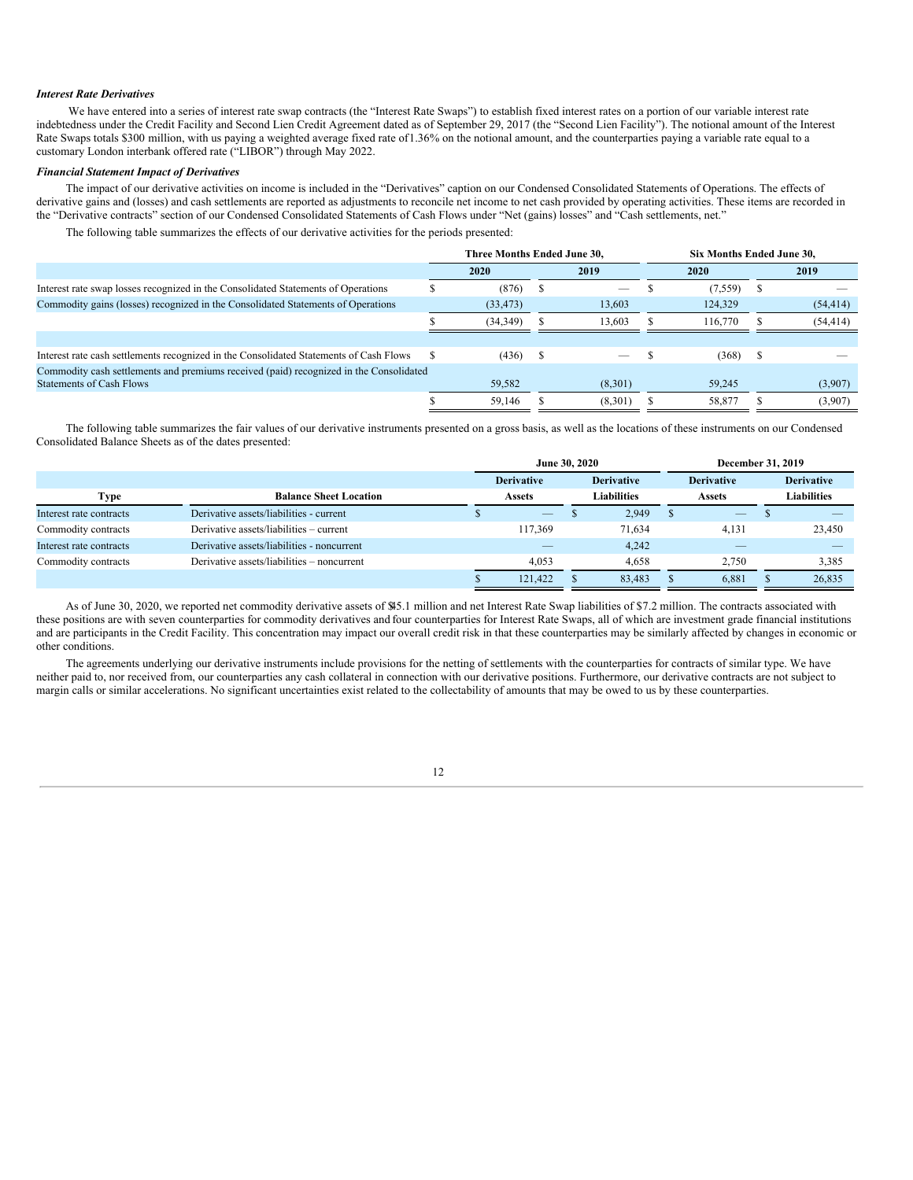#### *Interest Rate Derivatives*

We have entered into a series of interest rate swap contracts (the "Interest Rate Swaps") to establish fixed interest rates on a portion of our variable interest rate indebtedness under the Credit Facility and Second Lien Credit Agreement dated as of September 29, 2017 (the "Second Lien Facility"). The notional amount of the Interest Rate Swaps totals \$300 million, with us paying a weighted average fixed rate of 1.36% on the notional amount, and the counterparties paying a variable rate equal to a customary London interbank offered rate ("LIBOR") through May 2022.

# *Financial Statement Impact of Derivatives*

The impact of our derivative activities on income is included in the "Derivatives" caption on our Condensed Consolidated Statements of Operations. The effects of derivative gains and (losses) and cash settlements are reported as adjustments to reconcile net income to net cash provided by operating activities. These items are recorded in the "Derivative contracts" section of our Condensed Consolidated Statements of Cash Flows under "Net (gains) losses" and "Cash settlements, net."

The following table summarizes the effects of our derivative activities for the periods presented:

|                                                                                        | Three Months Ended June 30. |         | Six Months Ended June 30. |         |      |           |
|----------------------------------------------------------------------------------------|-----------------------------|---------|---------------------------|---------|------|-----------|
|                                                                                        | 2020                        | 2019    |                           | 2020    |      | 2019      |
| Interest rate swap losses recognized in the Consolidated Statements of Operations      | (876)                       |         |                           | (7,559) |      |           |
| Commodity gains (losses) recognized in the Consolidated Statements of Operations       | (33, 473)                   | 13,603  |                           | 124,329 |      | (54, 414) |
|                                                                                        | (34,349)                    | 13.603  |                           | 116,770 |      | (54, 414) |
|                                                                                        |                             |         |                           |         |      |           |
| Interest rate cash settlements recognized in the Consolidated Statements of Cash Flows | $(436)$ \$                  |         |                           | (368)   | - \$ |           |
| Commodity cash settlements and premiums received (paid) recognized in the Consolidated |                             |         |                           |         |      |           |
| <b>Statements of Cash Flows</b>                                                        | 59,582                      | (8,301) |                           | 59,245  |      | (3,907)   |
|                                                                                        | 59.146                      | (8,301) |                           | 58,877  |      | (3,907)   |

The following table summarizes the fair values of our derivative instruments presented on a gross basis, as well as the locations of these instruments on our Condensed Consolidated Balance Sheets as of the dates presented:

|                         |                                            | <b>June 30, 2020</b>            |  |                    |  | <b>December 31, 2019</b> |  |                    |
|-------------------------|--------------------------------------------|---------------------------------|--|--------------------|--|--------------------------|--|--------------------|
|                         |                                            | <b>Derivative</b>               |  | <b>Derivative</b>  |  | <b>Derivative</b>        |  | <b>Derivative</b>  |
| Type                    | <b>Balance Sheet Location</b>              | Assets                          |  | <b>Liabilities</b> |  | <b>Assets</b>            |  | <b>Liabilities</b> |
| Interest rate contracts | Derivative assets/liabilities - current    | $\hspace{0.1mm}-\hspace{0.1mm}$ |  | 2.949              |  | $\qquad \qquad -$        |  |                    |
| Commodity contracts     | Derivative assets/liabilities – current    | 117.369                         |  | 71.634             |  | 4.131                    |  | 23,450             |
| Interest rate contracts | Derivative assets/liabilities - noncurrent |                                 |  | 4,242              |  | __                       |  |                    |
| Commodity contracts     | Derivative assets/liabilities – noncurrent | 4.053                           |  | 4.658              |  | 2.750                    |  | 3,385              |
|                         |                                            | 121,422                         |  | 83.483             |  | 6,881                    |  | 26,835             |

As of June 30, 2020, we reported net commodity derivative assets of \$45.1 million and net Interest Rate Swap liabilities of \$7.2 million. The contracts associated with these positions are with seven counterparties for commodity derivatives and four counterparties for Interest Rate Swaps, all of which are investment grade financial institutions and are participants in the Credit Facility. This concentration may impact our overall credit risk in that these counterparties may be similarly affected by changes in economic or other conditions.

<span id="page-11-0"></span>The agreements underlying our derivative instruments include provisions for the netting of settlements with the counterparties for contracts of similar type. We have neither paid to, nor received from, our counterparties any cash collateral in connection with our derivative positions. Furthermore, our derivative contracts are not subject to margin calls or similar accelerations. No significant uncertainties exist related to the collectability of amounts that may be owed to us by these counterparties.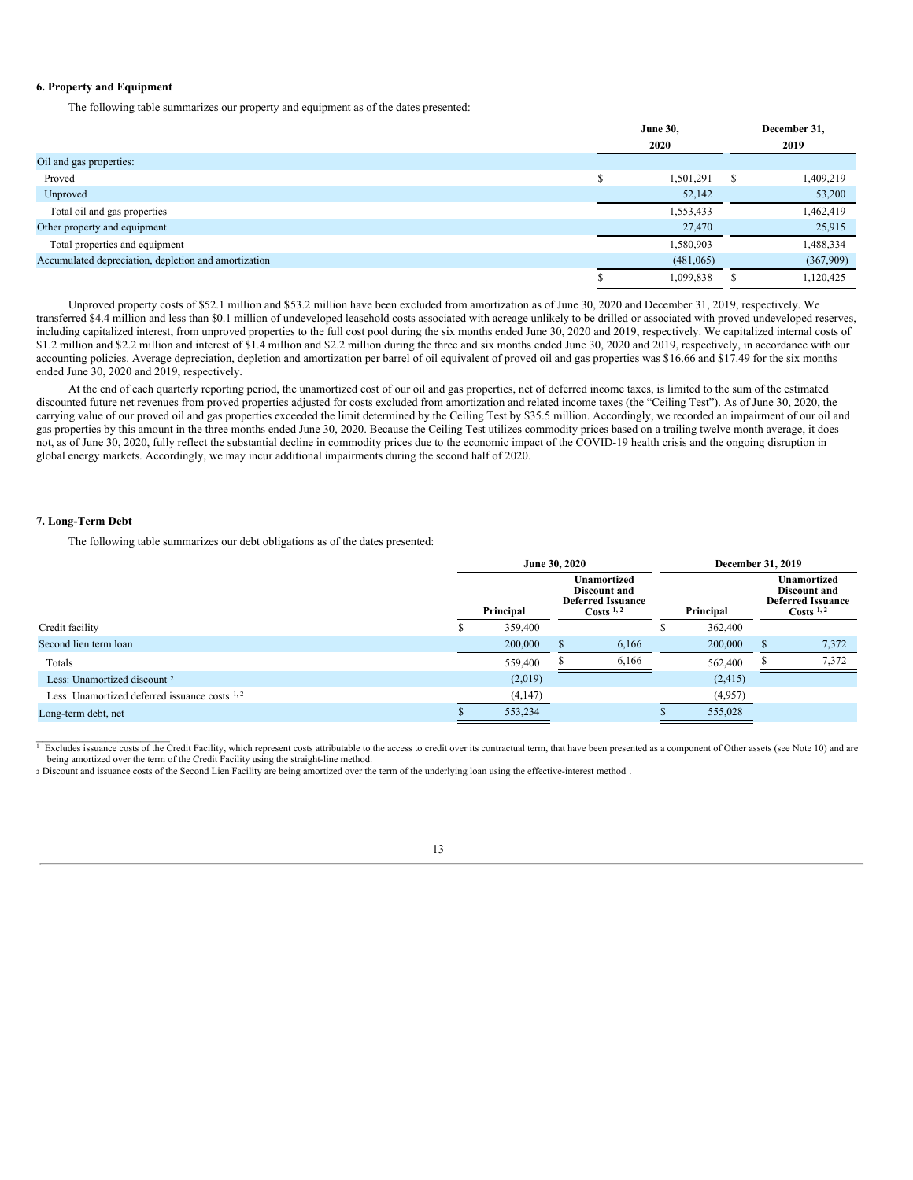# **6. Property and Equipment**

The following table summarizes our property and equipment as of the dates presented:

|                                                      |        | <b>June 30,</b> |      |    | December 31, |  |
|------------------------------------------------------|--------|-----------------|------|----|--------------|--|
|                                                      |        | 2020            | 2019 |    |              |  |
| Oil and gas properties:                              |        |                 |      |    |              |  |
| Proved                                               | ¢<br>D | 1,501,291       |      | £. | 1,409,219    |  |
| Unproved                                             |        | 52,142          |      |    | 53,200       |  |
| Total oil and gas properties                         |        | 1,553,433       |      |    | 1,462,419    |  |
| Other property and equipment                         |        | 27,470          |      |    | 25,915       |  |
| Total properties and equipment                       |        | 1,580,903       |      |    | 1,488,334    |  |
| Accumulated depreciation, depletion and amortization |        | (481,065)       |      |    | (367,909)    |  |
|                                                      |        | 1,099,838       |      |    | 1,120,425    |  |
|                                                      |        |                 |      |    |              |  |

Unproved property costs of \$52.1 million and \$53.2 million have been excluded from amortization as of June 30, 2020 and December 31, 2019, respectively. We transferred \$4.4 million and less than \$0.1 million of undeveloped leasehold costs associated with acreage unlikely to be drilled or associated with proved undeveloped reserves, including capitalized interest, from unproved properties to the full cost pool during the six months ended June 30, 2020 and 2019, respectively. We capitalized internal costs of \$1.2 million and \$2.2 million and interest of \$1.4 million and \$2.2 million during the three and six months ended June 30, 2020 and 2019, respectively, in accordance with our accounting policies. Average depreciation, depletion and amortization per barrel of oil equivalent of proved oil and gas properties was \$16.66 and \$17.49 for the six months ended June 30, 2020 and 2019, respectively.

At the end of each quarterly reporting period, the unamortized cost of our oil and gas properties, net of deferred income taxes, is limited to the sum of the estimated discounted future net revenues from proved properties adjusted for costs excluded from amortization and related income taxes (the "Ceiling Test"). As of June 30, 2020, the carrying value of our proved oil and gas properties exceeded the limit determined by the Ceiling Test by \$35.5 million. Accordingly, we recorded an impairment of our oil and gas properties by this amount in the three months ended June 30, 2020. Because the Ceiling Test utilizes commodity prices based on a trailing twelve month average, it does not, as of June 30, 2020, fully reflect the substantial decline in commodity prices due to the economic impact of the COVID-19 health crisis and the ongoing disruption in global energy markets. Accordingly, we may incur additional impairments during the second half of 2020.

#### <span id="page-12-0"></span>**7. Long-Term Debt**

The following table summarizes our debt obligations as of the dates presented:

| June 30, 2020 |         |           |       | <b>December 31, 2019</b>                                                                   |           |   |                                                                                                   |
|---------------|---------|-----------|-------|--------------------------------------------------------------------------------------------|-----------|---|---------------------------------------------------------------------------------------------------|
|               |         |           |       |                                                                                            | Principal |   | <b>Unamortized</b><br><b>Discount and</b><br><b>Deferred Issuance</b><br>$\cos ts$ <sup>1,2</sup> |
|               | 359,400 |           |       |                                                                                            | 362,400   |   |                                                                                                   |
|               | 200,000 |           | 6,166 |                                                                                            | 200,000   | × | 7,372                                                                                             |
|               | 559,400 |           | 6,166 |                                                                                            | 562,400   |   | 7,372                                                                                             |
|               | (2,019) |           |       |                                                                                            | (2,415)   |   |                                                                                                   |
|               | (4,147) |           |       |                                                                                            | (4,957)   |   |                                                                                                   |
|               | 553,234 |           |       |                                                                                            | 555,028   |   |                                                                                                   |
|               |         | Principal |       | Unamortized<br><b>Discount and</b><br><b>Deferred Issuance</b><br>$\cos ts$ <sup>1,2</sup> |           |   |                                                                                                   |

Excludes issuance costs of the Credit Facility, which represent costs attributable to the access to credit over its contractual term, that have been presented as a component of Other assets (see Note 10) and are being amortized over the term of the Credit Facility using the straight-line method.

<sup>2</sup> Discount and issuance costs of the Second Lien Facility are being amortized over the term of the underlying loan using the effective-interest method .

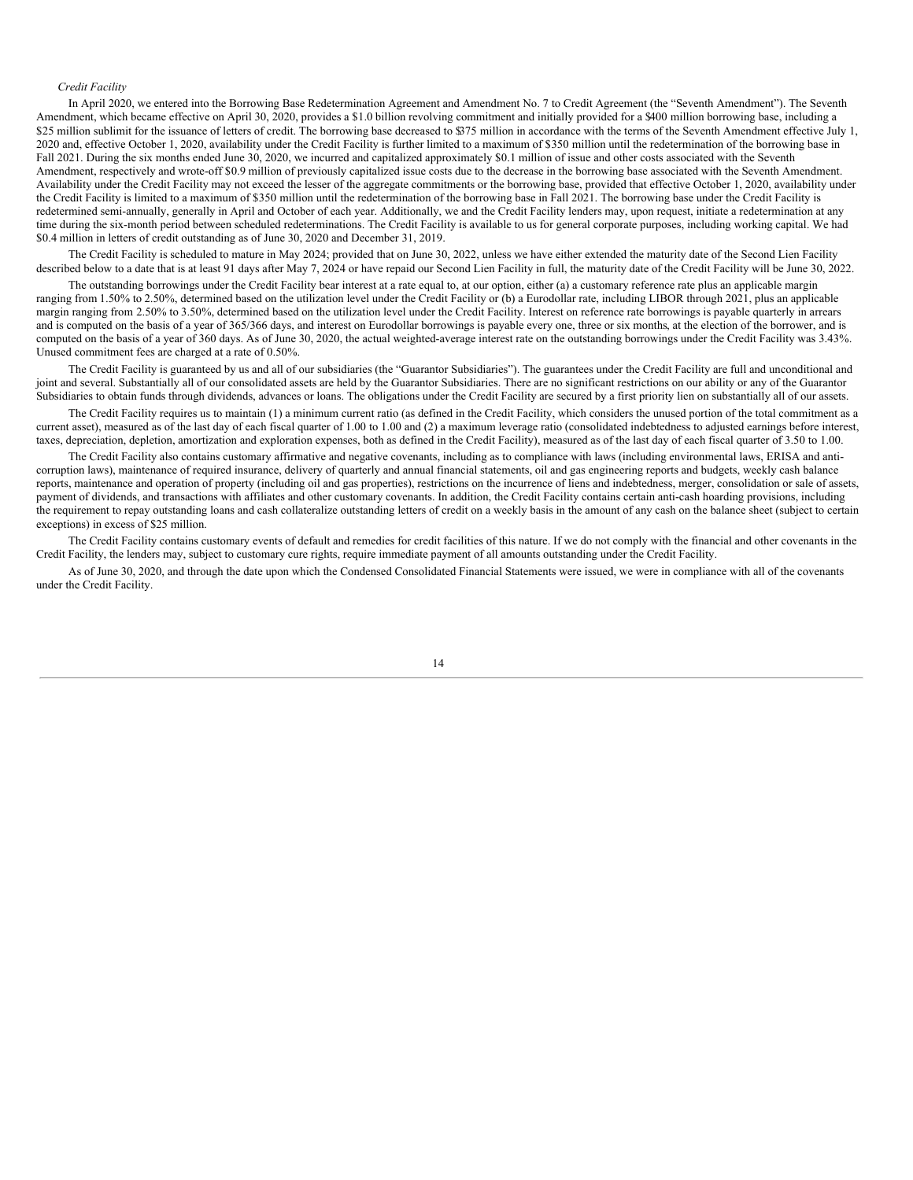#### *Credit Facility*

In April 2020, we entered into the Borrowing Base Redetermination Agreement and Amendment No. 7 to Credit Agreement (the "Seventh Amendment"). The Seventh Amendment, which became effective on April 30, 2020, provides a \$1.0 billion revolving commitment and initially provided for a \$400 million borrowing base, including a \$25 million sublimit for the issuance of letters of credit. The borrowing base decreased to \$375 million in accordance with the terms of the Seventh Amendment effective July 1, 2020 and, effective October 1, 2020, availability under the Credit Facility is further limited to a maximum of \$350 million until the redetermination of the borrowing base in Fall 2021. During the six months ended June 30, 2020, we incurred and capitalized approximately \$0.1 million of issue and other costs associated with the Seventh Amendment, respectively and wrote-off \$0.9 million of previously capitalized issue costs due to the decrease in the borrowing base associated with the Seventh Amendment. Availability under the Credit Facility may not exceed the lesser of the aggregate commitments or the borrowing base, provided that effective October 1, 2020, availability under the Credit Facility is limited to a maximum of \$350 million until the redetermination of the borrowing base in Fall 2021. The borrowing base under the Credit Facility is redetermined semi-annually, generally in April and October of each year. Additionally, we and the Credit Facility lenders may, upon request, initiate a redetermination at any time during the six-month period between scheduled redeterminations. The Credit Facility is available to us for general corporate purposes, including working capital. We had \$0.4 million in letters of credit outstanding as of June 30, 2020 and December 31, 2019.

The Credit Facility is scheduled to mature in May 2024; provided that on June 30, 2022, unless we have either extended the maturity date of the Second Lien Facility described below to a date that is at least 91 days after May 7, 2024 or have repaid our Second Lien Facility in full, the maturity date of the Credit Facility will be June 30, 2022.

The outstanding borrowings under the Credit Facility bear interest at a rate equal to, at our option, either (a) a customary reference rate plus an applicable margin ranging from 1.50% to 2.50%, determined based on the utilization level under the Credit Facility or (b) a Eurodollar rate, including LIBOR through 2021, plus an applicable margin ranging from 2.50% to 3.50%, determined based on the utilization level under the Credit Facility. Interest on reference rate borrowings is payable quarterly in arrears and is computed on the basis of a year of 365/366 days, and interest on Eurodollar borrowings is payable every one, three or six months, at the election of the borrower, and is computed on the basis of a year of 360 days. As of June 30, 2020, the actual weighted-average interest rate on the outstanding borrowings under the Credit Facility was 3.43%. Unused commitment fees are charged at a rate of 0.50%.

The Credit Facility is guaranteed by us and all of our subsidiaries (the "Guarantor Subsidiaries"). The guarantees under the Credit Facility are full and unconditional and joint and several. Substantially all of our consolidated assets are held by the Guarantor Subsidiaries. There are no significant restrictions on our ability or any of the Guarantor Subsidiaries to obtain funds through dividends, advances or loans. The obligations under the Credit Facility are secured by a first priority lien on substantially all of our assets.

The Credit Facility requires us to maintain (1) a minimum current ratio (as defined in the Credit Facility, which considers the unused portion of the total commitment as a current asset), measured as of the last day of each fiscal quarter of 1.00 to 1.00 and (2) a maximum leverage ratio (consolidated indebtedness to adjusted earnings before interest, taxes, depreciation, depletion, amortization and exploration expenses, both as defined in the Credit Facility), measured as of the last day of each fiscal quarter of 3.50 to 1.00.

The Credit Facility also contains customary affirmative and negative covenants, including as to compliance with laws (including environmental laws, ERISA and anticorruption laws), maintenance of required insurance, delivery of quarterly and annual financial statements, oil and gas engineering reports and budgets, weekly cash balance reports, maintenance and operation of property (including oil and gas properties), restrictions on the incurrence of liens and indebtedness, merger, consolidation or sale of assets, payment of dividends, and transactions with affiliates and other customary covenants. In addition, the Credit Facility contains certain anti-cash hoarding provisions, including the requirement to repay outstanding loans and cash collateralize outstanding letters of credit on a weekly basis in the amount of any cash on the balance sheet (subject to certain exceptions) in excess of \$25 million.

The Credit Facility contains customary events of default and remedies for credit facilities of this nature. If we do not comply with the financial and other covenants in the Credit Facility, the lenders may, subject to customary cure rights, require immediate payment of all amounts outstanding under the Credit Facility.

As of June 30, 2020, and through the date upon which the Condensed Consolidated Financial Statements were issued, we were in compliance with all of the covenants under the Credit Facility.

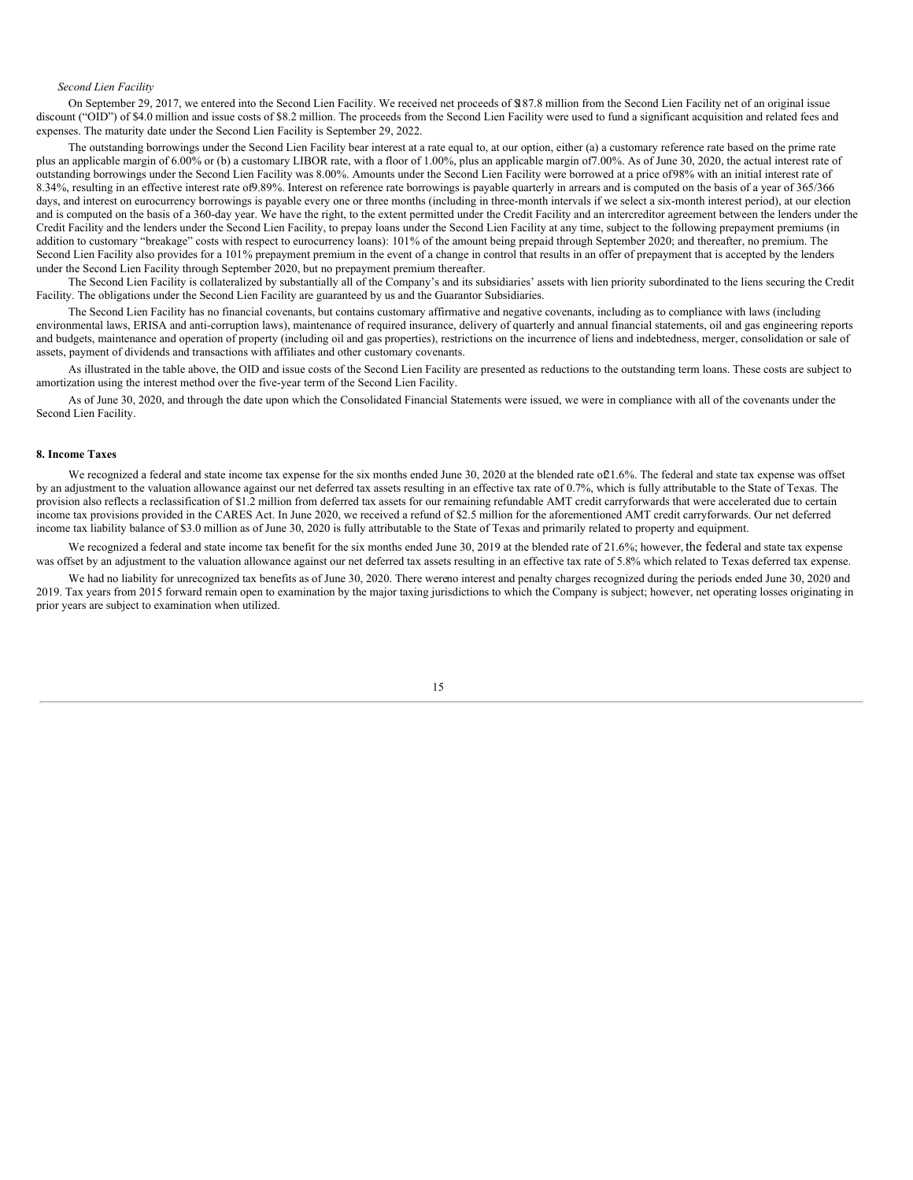#### *Second Lien Facility*

On September 29, 2017, we entered into the Second Lien Facility. We received net proceeds of \$187.8 million from the Second Lien Facility net of an original issue discount ("OID") of \$4.0 million and issue costs of \$8.2 million. The proceeds from the Second Lien Facility were used to fund a significant acquisition and related fees and expenses. The maturity date under the Second Lien Facility is September 29, 2022.

The outstanding borrowings under the Second Lien Facility bear interest at a rate equal to, at our option, either (a) a customary reference rate based on the prime rate plus an applicable margin of 6.00% or (b) a customary LIBOR rate, with a floor of 1.00%, plus an applicable margin of7.00%. As of June 30, 2020, the actual interest rate of outstanding borrowings under the Second Lien Facility was 8.00%. Amounts under the Second Lien Facility were borrowed at a price of98% with an initial interest rate of 8.34%, resulting in an effective interest rate of9.89%. Interest on reference rate borrowings is payable quarterly in arrears and is computed on the basis of a year of 365/366 days, and interest on eurocurrency borrowings is payable every one or three months (including in three-month intervals if we select a six-month interest period), at our election and is computed on the basis of a 360-day year. We have the right, to the extent permitted under the Credit Facility and an intercreditor agreement between the lenders under the Credit Facility and the lenders under the Second Lien Facility, to prepay loans under the Second Lien Facility at any time, subject to the following prepayment premiums (in addition to customary "breakage" costs with respect to eurocurrency loans): 101% of the amount being prepaid through September 2020; and thereafter, no premium. The Second Lien Facility also provides for a 101% prepayment premium in the event of a change in control that results in an offer of prepayment that is accepted by the lenders under the Second Lien Facility through September 2020, but no prepayment premium thereafter.

The Second Lien Facility is collateralized by substantially all of the Company's and its subsidiaries' assets with lien priority subordinated to the liens securing the Credit Facility. The obligations under the Second Lien Facility are guaranteed by us and the Guarantor Subsidiaries.

The Second Lien Facility has no financial covenants, but contains customary affirmative and negative covenants, including as to compliance with laws (including environmental laws, ERISA and anti-corruption laws), maintenance of required insurance, delivery of quarterly and annual financial statements, oil and gas engineering reports and budgets, maintenance and operation of property (including oil and gas properties), restrictions on the incurrence of liens and indebtedness, merger, consolidation or sale of assets, payment of dividends and transactions with affiliates and other customary covenants.

As illustrated in the table above, the OID and issue costs of the Second Lien Facility are presented as reductions to the outstanding term loans. These costs are subject to amortization using the interest method over the five-year term of the Second Lien Facility.

As of June 30, 2020, and through the date upon which the Consolidated Financial Statements were issued, we were in compliance with all of the covenants under the Second Lien Facility.

#### <span id="page-14-0"></span>**8. Income Taxes**

We recognized a federal and state income tax expense for the six months ended June 30, 2020 at the blended rate of 21.6%. The federal and state tax expense was offset by an adjustment to the valuation allowance against our net deferred tax assets resulting in an effective tax rate of 0.7%, which is fully attributable to the State of Texas. The provision also reflects a reclassification of \$1.2 million from deferred tax assets for our remaining refundable AMT credit carryforwards that were accelerated due to certain income tax provisions provided in the CARES Act. In June 2020, we received a refund of \$2.5 million for the aforementioned AMT credit carryforwards. Our net deferred income tax liability balance of \$3.0 million as of June 30, 2020 is fully attributable to the State of Texas and primarily related to property and equipment.

We recognized a federal and state income tax benefit for the six months ended June 30, 2019 at the blended rate of 21.6%; however, the federal and state tax expense was offset by an adjustment to the valuation allowance against our net deferred tax assets resulting in an effective tax rate of 5.8% which related to Texas deferred tax expense.

<span id="page-14-1"></span>We had no liability for unrecognized tax benefits as of June 30, 2020. There wereno interest and penalty charges recognized during the periods ended June 30, 2020 and 2019. Tax years from 2015 forward remain open to examination by the major taxing jurisdictions to which the Company is subject; however, net operating losses originating in prior years are subject to examination when utilized.

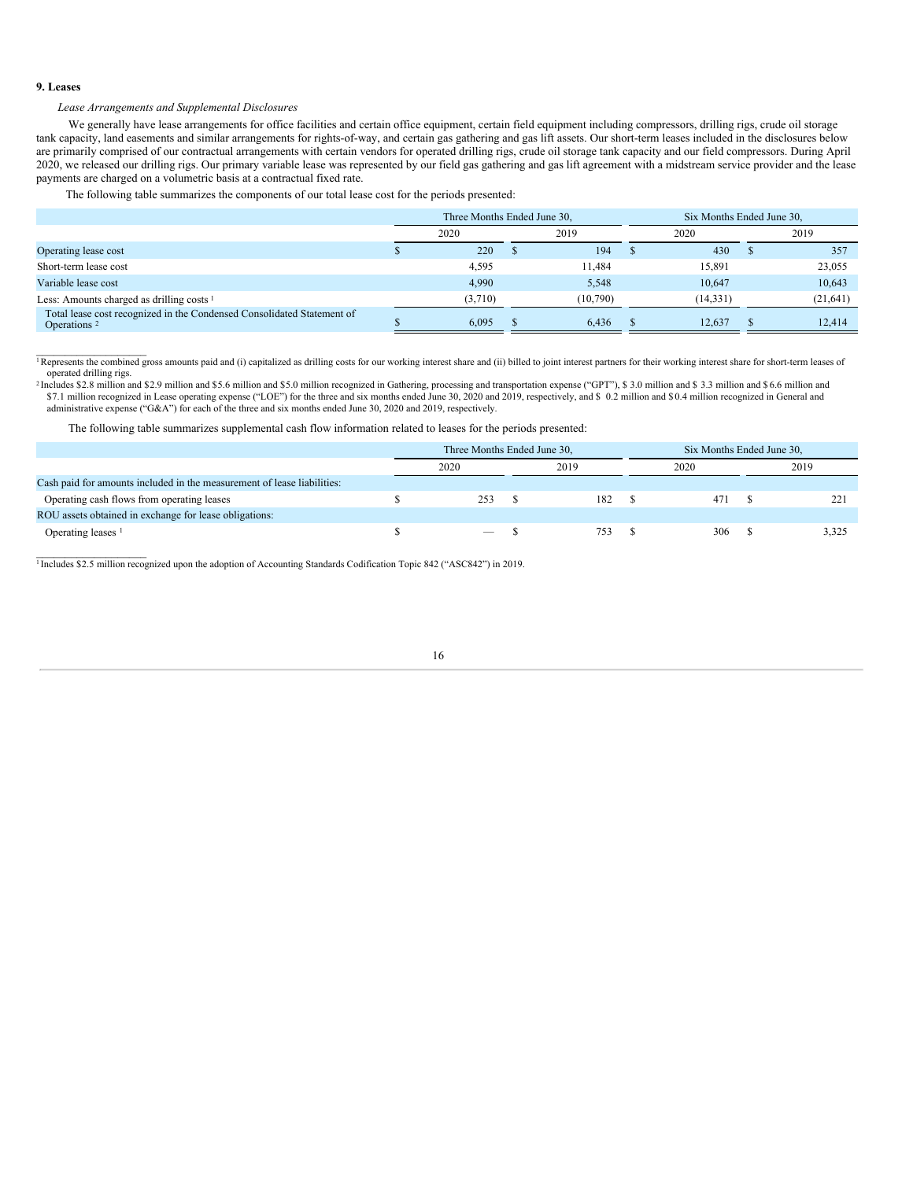# **9. Leases**

#### *Lease Arrangements and Supplemental Disclosures*

We generally have lease arrangements for office facilities and certain office equipment, certain field equipment including compressors, drilling rigs, crude oil storage tank capacity, land easements and similar arrangements for rights-of-way, and certain gas gathering and gas lift assets. Our short-term leases included in the disclosures below are primarily comprised of our contractual arrangements with certain vendors for operated drilling rigs, crude oil storage tank capacity and our field compressors. During April 2020, we released our drilling rigs. Our primary variable lease was represented by our field gas gathering and gas lift agreement with a midstream service provider and the lease payments are charged on a volumetric basis at a contractual fixed rate.

The following table summarizes the components of our total lease cost for the periods presented:

|                                                                                                   |  | Three Months Ended June 30, |  | Six Months Ended June 30, |  |           |  |           |  |  |  |      |
|---------------------------------------------------------------------------------------------------|--|-----------------------------|--|---------------------------|--|-----------|--|-----------|--|--|--|------|
|                                                                                                   |  | 2020                        |  |                           |  | 2019      |  | 2020      |  |  |  | 2019 |
| Operating lease cost                                                                              |  | 220                         |  | 194                       |  | 430       |  | 357       |  |  |  |      |
| Short-term lease cost                                                                             |  | 4,595                       |  | 11.484                    |  | 15,891    |  | 23,055    |  |  |  |      |
| Variable lease cost                                                                               |  | 4,990                       |  | 5,548                     |  | 10,647    |  | 10,643    |  |  |  |      |
| Less: Amounts charged as drilling costs <sup>1</sup>                                              |  | (3,710)                     |  | (10,790)                  |  | (14, 331) |  | (21, 641) |  |  |  |      |
| Total lease cost recognized in the Condensed Consolidated Statement of<br>Operations <sup>2</sup> |  | 6,095                       |  | 6,436                     |  | 12,637    |  | 12,414    |  |  |  |      |

-<br>Represents the combined gross amounts paid and (i) capitalized as drilling costs for our working interest share and (ii) billed to joint interest partners for their working interest share for short-term leases of operated drilling rigs.

<sup>2</sup> Includes \$2.8 million and \$2.9 million and \$5.6 million and \$5.0 million recognized in Gathering, processing and transportation expense ("GPT"), \$ 3.0 million and \$ 3.3 million and \$ 6.6 million and \$ 6.6 million and \$7.1 million recognized in Lease operating expense ("LOE") for the three and six months ended June 30, 2020 and 2019, respectively, and \$ 0.2 million and \$ 0.4 million recognized in General and administrative expense ("G&A") for each of the three and six months ended June 30, 2020 and 2019, respectively.

The following table summarizes supplemental cash flow information related to leases for the periods presented:

|                                                                         |              | Three Months Ended June 30, |      | Six Months Ended June 30, |  |     |  |       |
|-------------------------------------------------------------------------|--------------|-----------------------------|------|---------------------------|--|-----|--|-------|
|                                                                         | 2020<br>2019 |                             | 2020 | 2019                      |  |     |  |       |
| Cash paid for amounts included in the measurement of lease liabilities: |              |                             |      |                           |  |     |  |       |
| Operating cash flows from operating leases                              |              | 253                         |      | 182                       |  | 471 |  |       |
| ROU assets obtained in exchange for lease obligations:                  |              |                             |      |                           |  |     |  |       |
| Operating leases <sup>1</sup>                                           |              | $\overline{\phantom{m}}$    |      | 753                       |  | 306 |  | 3.325 |

-<br>Includes \$2.5 million recognized upon the adoption of Accounting Standards Codification Topic 842 ("ASC842") in 2019.

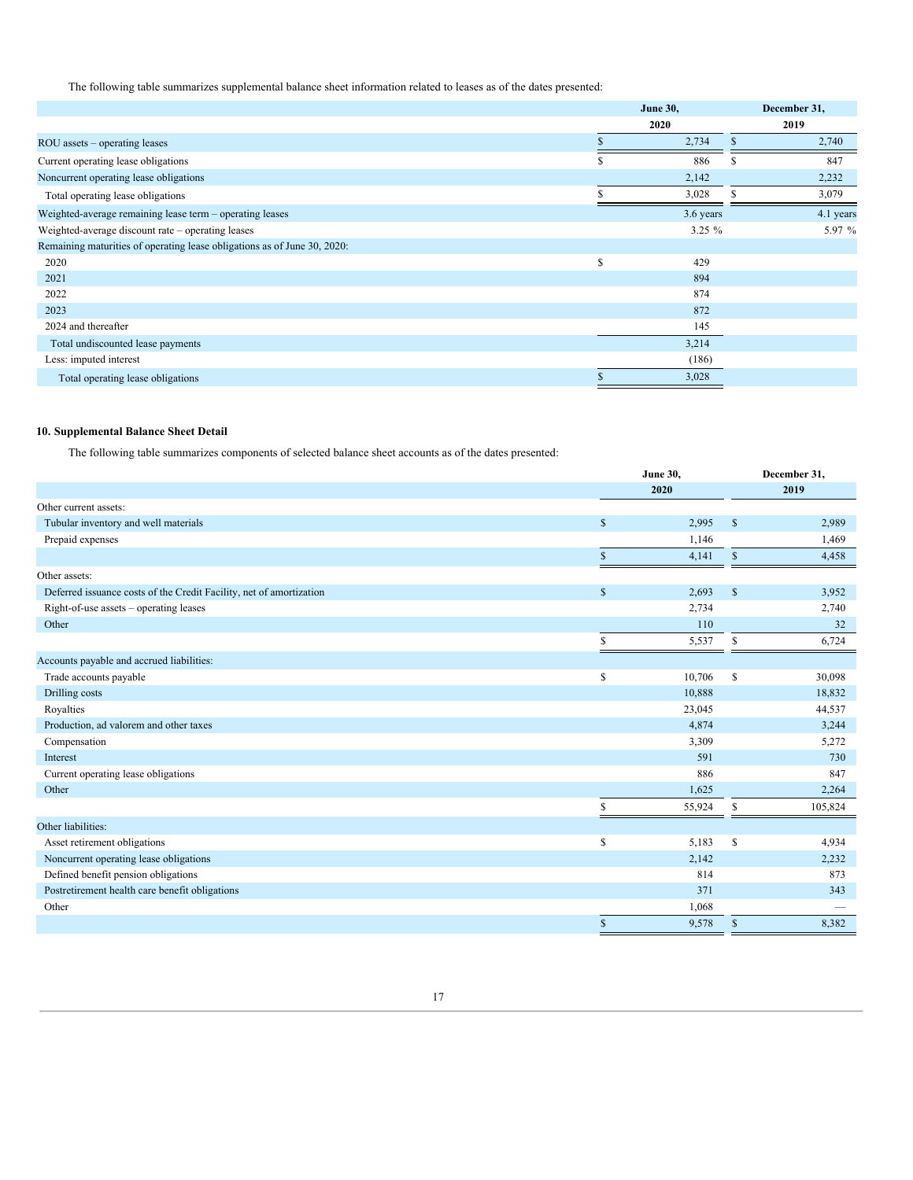The following table summarizes supplemental balance sheet information related to leases as of the dates presented:

|                                                                          |   | <b>June 30,</b>        | December 31, |
|--------------------------------------------------------------------------|---|------------------------|--------------|
|                                                                          |   | 2020                   | 2019         |
| ROU assets – operating leases                                            |   | 2,734<br><sup>\$</sup> | 2,740        |
| Current operating lease obligations                                      |   | 886<br>S               | 847          |
| Noncurrent operating lease obligations                                   |   | 2,142                  | 2,232        |
| Total operating lease obligations                                        |   | 3,028<br>\$.           | 3,079        |
| Weighted-average remaining lease term – operating leases                 |   | 3.6 years              | 4.1 years    |
| Weighted-average discount rate – operating leases                        |   | $3.25 \%$              | 5.97 %       |
| Remaining maturities of operating lease obligations as of June 30, 2020: |   |                        |              |
| 2020                                                                     | S | 429                    |              |
| 2021                                                                     |   | 894                    |              |
| 2022                                                                     |   | 874                    |              |
| 2023                                                                     |   | 872                    |              |
| 2024 and thereafter                                                      |   | 145                    |              |
| Total undiscounted lease payments                                        |   | 3,214                  |              |
| Less: imputed interest                                                   |   | (186)                  |              |
| Total operating lease obligations                                        |   | 3,028                  |              |

# <span id="page-16-0"></span>**10. Supplemental Balance Sheet Detail**

The following table summarizes components of selected balance sheet accounts as of the dates presented:

|                                                                     |               | <b>June 30,</b> |              | December 31, |
|---------------------------------------------------------------------|---------------|-----------------|--------------|--------------|
|                                                                     |               | 2020            |              | 2019         |
| Other current assets:                                               |               |                 |              |              |
| Tubular inventory and well materials                                | $\mathbb{S}$  | 2,995           | $\mathbb{S}$ | 2,989        |
| Prepaid expenses                                                    |               | 1,146           |              | 1,469        |
|                                                                     | $\mathcal{S}$ | 4,141           | $\mathbb{S}$ | 4,458        |
| Other assets:                                                       |               |                 |              |              |
| Deferred issuance costs of the Credit Facility, net of amortization | $\mathbb{S}$  | 2,693           | $\mathbb{S}$ | 3,952        |
| Right-of-use assets – operating leases                              |               | 2,734           |              | 2,740        |
| Other                                                               |               | 110             |              | 32           |
|                                                                     | S             | 5,537           | \$           | 6,724        |
| Accounts payable and accrued liabilities:                           |               |                 |              |              |
| Trade accounts payable                                              | S             | 10,706          | $\mathbb S$  | 30,098       |
| Drilling costs                                                      |               | 10,888          |              | 18,832       |
| Royalties                                                           |               | 23,045          |              | 44,537       |
| Production, ad valorem and other taxes                              |               | 4,874           |              | 3,244        |
| Compensation                                                        |               | 3,309           |              | 5,272        |
| Interest                                                            |               | 591             |              | 730          |
| Current operating lease obligations                                 |               | 886             |              | 847          |
| Other                                                               |               | 1,625           |              | 2,264        |
|                                                                     | S             | 55,924          | \$           | 105,824      |
| Other liabilities:                                                  |               |                 |              |              |
| Asset retirement obligations                                        | S             | 5,183           | S            | 4,934        |
| Noncurrent operating lease obligations                              |               | 2,142           |              | 2,232        |
| Defined benefit pension obligations                                 |               | 814             |              | 873          |
| Postretirement health care benefit obligations                      |               | 371             |              | 343          |
| Other                                                               |               | 1,068           |              |              |
|                                                                     | $\mathbb{S}$  | 9,578           | $\mathbb{S}$ | 8,382        |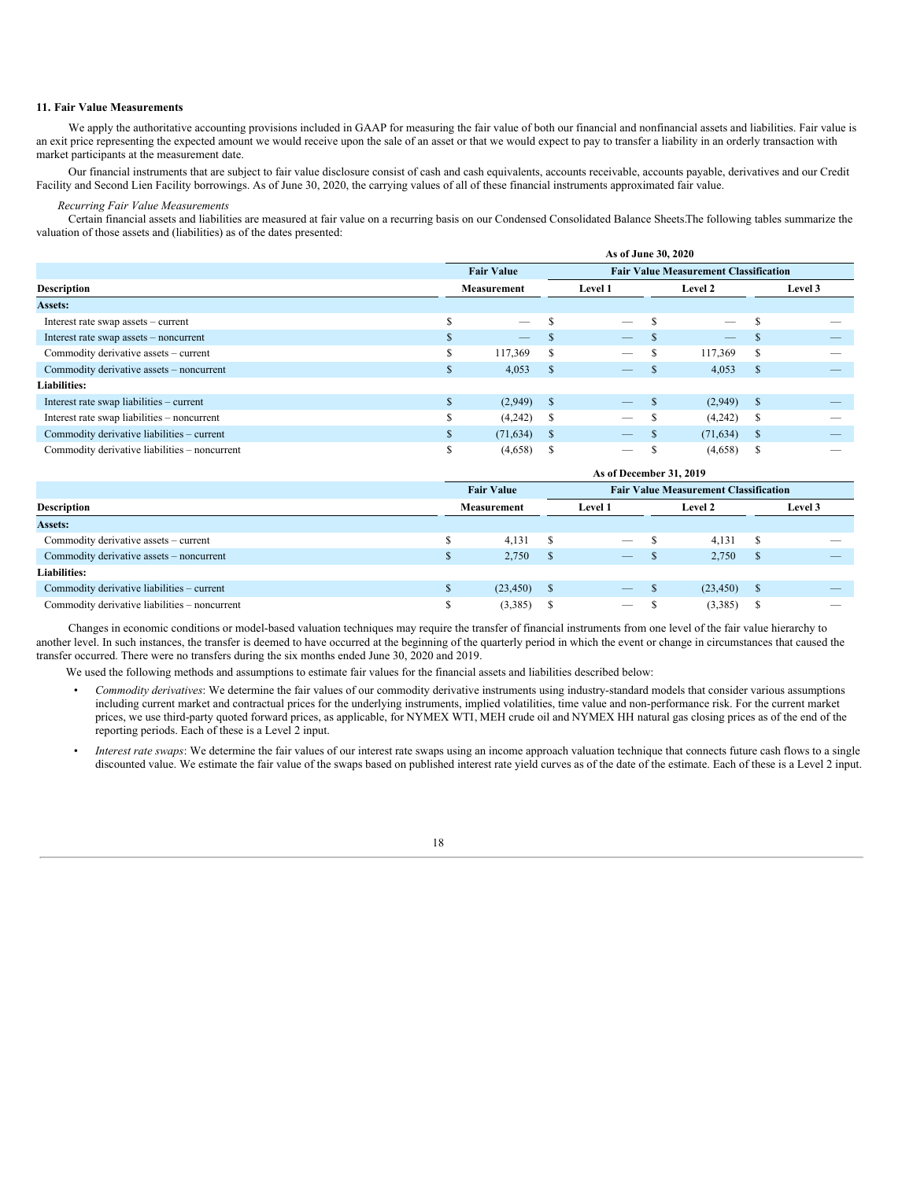# <span id="page-17-0"></span>**11. Fair Value Measurements**

We apply the authoritative accounting provisions included in GAAP for measuring the fair value of both our financial and nonfinancial assets and liabilities. Fair value is an exit price representing the expected amount we would receive upon the sale of an asset or that we would expect to pay to transfer a liability in an orderly transaction with market participants at the measurement date.

Our financial instruments that are subject to fair value disclosure consist of cash and cash equivalents, accounts receivable, accounts payable, derivatives and our Credit Facility and Second Lien Facility borrowings. As of June 30, 2020, the carrying values of all of these financial instruments approximated fair value.

# *Recurring Fair Value Measurements*

Certain financial assets and liabilities are measured at fair value on a recurring basis on our Condensed Consolidated Balance Sheets.The following tables summarize the valuation of those assets and (liabilities) as of the dates presented:

|                                               |    | As of June 30, 2020      |              |                                              |               |               |          |         |  |  |  |  |  |
|-----------------------------------------------|----|--------------------------|--------------|----------------------------------------------|---------------|---------------|----------|---------|--|--|--|--|--|
|                                               |    | <b>Fair Value</b>        |              | <b>Fair Value Measurement Classification</b> |               |               |          |         |  |  |  |  |  |
| <b>Description</b>                            |    | Measurement              |              | Level 1                                      |               | Level 2       |          | Level 3 |  |  |  |  |  |
| Assets:                                       |    |                          |              |                                              |               |               |          |         |  |  |  |  |  |
| Interest rate swap assets – current           |    | $\qquad \qquad -$        |              |                                              |               |               | <b>S</b> |         |  |  |  |  |  |
| Interest rate swap assets – noncurrent        |    | $\overline{\phantom{0}}$ | <b>J</b>     |                                              |               |               | Ð        |         |  |  |  |  |  |
| Commodity derivative assets - current         | S  | 117,369                  | S            |                                              | S             | 117,369       | S.       |         |  |  |  |  |  |
| Commodity derivative assets - noncurrent      | D. | 4,053                    | <sup>S</sup> | $\overline{\phantom{a}}$                     |               | 4,053         | \$       |         |  |  |  |  |  |
| <b>Liabilities:</b>                           |    |                          |              |                                              |               |               |          |         |  |  |  |  |  |
| Interest rate swap liabilities - current      | ъ. | (2,949)                  | -S           | $\qquad \qquad -$                            | -S            | $(2,949)$ \$  |          |         |  |  |  |  |  |
| Interest rate swap liabilities – noncurrent   | S. | (4,242)                  | S            |                                              |               | (4,242)       | \$       |         |  |  |  |  |  |
| Commodity derivative liabilities - current    | \$ | (71, 634)                | -S           |                                              | <sup>\$</sup> | $(71,634)$ \$ |          |         |  |  |  |  |  |
| Commodity derivative liabilities - noncurrent |    | (4,658)                  | S            |                                              |               | (4,658)       | S        |         |  |  |  |  |  |

|                                               | As of December 31, 2019 |           |               |                                              |  |           |    |         |  |  |  |  |
|-----------------------------------------------|-------------------------|-----------|---------------|----------------------------------------------|--|-----------|----|---------|--|--|--|--|
|                                               | <b>Fair Value</b>       |           |               | <b>Fair Value Measurement Classification</b> |  |           |    |         |  |  |  |  |
| <b>Description</b>                            | Measurement             |           |               | Level 1                                      |  | Level 2   |    | Level 3 |  |  |  |  |
| Assets:                                       |                         |           |               |                                              |  |           |    |         |  |  |  |  |
| Commodity derivative assets – current         |                         | 4,131     | <sup>\$</sup> | $\overline{\phantom{a}}$                     |  | 4,131     | -S |         |  |  |  |  |
| Commodity derivative assets - noncurrent      | ъ.                      | 2,750     | <sup>\$</sup> | $\overline{\phantom{0}}$                     |  | 2,750     | -S |         |  |  |  |  |
| <b>Liabilities:</b>                           |                         |           |               |                                              |  |           |    |         |  |  |  |  |
| Commodity derivative liabilities - current    |                         | (23, 450) | <sup>S</sup>  | $\overline{\phantom{m}}$                     |  | (23, 450) | -S |         |  |  |  |  |
| Commodity derivative liabilities – noncurrent | S                       | (3,385)   |               |                                              |  | (3,385)   | S  | __      |  |  |  |  |

Changes in economic conditions or model-based valuation techniques may require the transfer of financial instruments from one level of the fair value hierarchy to another level. In such instances, the transfer is deemed to have occurred at the beginning of the quarterly period in which the event or change in circumstances that caused the transfer occurred. There were no transfers during the six months ended June 30, 2020 and 2019.

We used the following methods and assumptions to estimate fair values for the financial assets and liabilities described below:

- *Commodity derivatives*: We determine the fair values of our commodity derivative instruments using industry-standard models that consider various assumptions including current market and contractual prices for the underlying instruments, implied volatilities, time value and non-performance risk. For the current market prices, we use third-party quoted forward prices, as applicable, for NYMEX WTI, MEH crude oil and NYMEX HH natural gas closing prices as of the end of the reporting periods. Each of these is a Level 2 input.
- *Interest rate swaps*: We determine the fair values of our interest rate swaps using an income approach valuation technique that connects future cash flows to a single discounted value. We estimate the fair value of the swaps based on published interest rate yield curves as of the date of the estimate. Each of these is a Level 2 input.

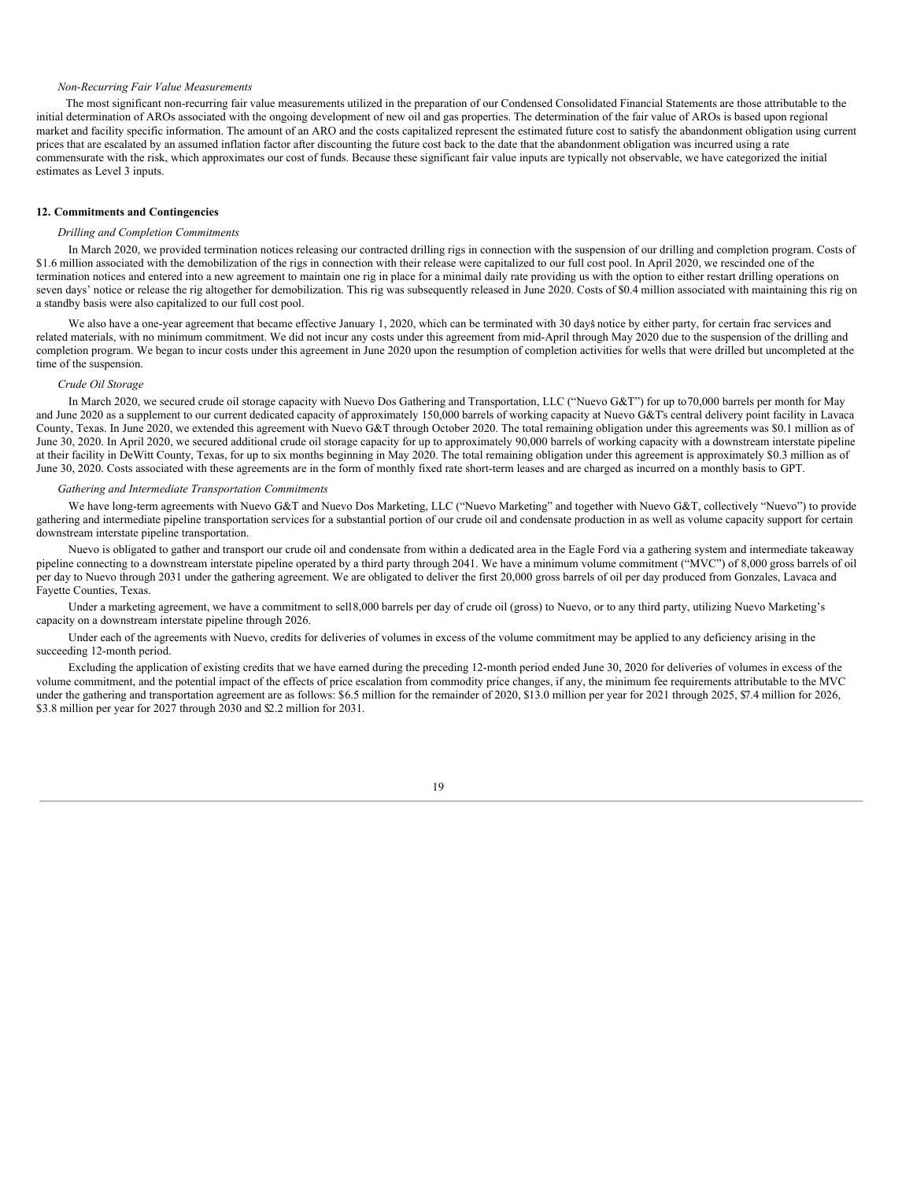#### *Non-Recurring Fair Value Measurements*

The most significant non-recurring fair value measurements utilized in the preparation of our Condensed Consolidated Financial Statements are those attributable to the initial determination of AROs associated with the ongoing development of new oil and gas properties. The determination of the fair value of AROs is based upon regional market and facility specific information. The amount of an ARO and the costs capitalized represent the estimated future cost to satisfy the abandonment obligation using current prices that are escalated by an assumed inflation factor after discounting the future cost back to the date that the abandonment obligation was incurred using a rate commensurate with the risk, which approximates our cost of funds. Because these significant fair value inputs are typically not observable, we have categorized the initial estimates as Level 3 inputs.

#### <span id="page-18-0"></span>**12. Commitments and Contingencies**

#### *Drilling and Completion Commitments*

In March 2020, we provided termination notices releasing our contracted drilling rigs in connection with the suspension of our drilling and completion program. Costs of \$1.6 million associated with the demobilization of the rigs in connection with their release were capitalized to our full cost pool. In April 2020, we rescinded one of the termination notices and entered into a new agreement to maintain one rig in place for a minimal daily rate providing us with the option to either restart drilling operations on seven days' notice or release the rig altogether for demobilization. This rig was subsequently released in June 2020. Costs of \$0.4 million associated with maintaining this rig on a standby basis were also capitalized to our full cost pool.

We also have a one-year agreement that became effective January 1, 2020, which can be terminated with 30 days notice by either party, for certain frac services and related materials, with no minimum commitment. We did not incur any costs under this agreement from mid-April through May 2020 due to the suspension of the drilling and completion program. We began to incur costs under this agreement in June 2020 upon the resumption of completion activities for wells that were drilled but uncompleted at the time of the suspension.

# *Crude Oil Storage*

In March 2020, we secured crude oil storage capacity with Nuevo Dos Gathering and Transportation, LLC ("Nuevo G&T") for up to70,000 barrels per month for May and June 2020 as a supplement to our current dedicated capacity of approximately 150,000 barrels of working capacity at Nuevo G&T*'*s central delivery point facility in Lavaca County, Texas. In June 2020, we extended this agreement with Nuevo G&T through October 2020. The total remaining obligation under this agreements was \$0.1 million as of June 30, 2020. In April 2020, we secured additional crude oil storage capacity for up to approximately 90,000 barrels of working capacity with a downstream interstate pipeline at their facility in DeWitt County, Texas, for up to six months beginning in May 2020. The total remaining obligation under this agreement is approximately \$0.3 million as of June 30, 2020. Costs associated with these agreements are in the form of monthly fixed rate short-term leases and are charged as incurred on a monthly basis to GPT.

# *Gathering and Intermediate Transportation Commitments*

We have long-term agreements with Nuevo G&T and Nuevo Dos Marketing, LLC ("Nuevo Marketing" and together with Nuevo G&T, collectively "Nuevo") to provide gathering and intermediate pipeline transportation services for a substantial portion of our crude oil and condensate production in as well as volume capacity support for certain downstream interstate pipeline transportation.

Nuevo is obligated to gather and transport our crude oil and condensate from within a dedicated area in the Eagle Ford via a gathering system and intermediate takeaway pipeline connecting to a downstream interstate pipeline operated by a third party through 2041. We have a minimum volume commitment ("MVC") of 8,000 gross barrels of oil per day to Nuevo through 2031 under the gathering agreement. We are obligated to deliver the first 20,000 gross barrels of oil per day produced from Gonzales, Lavaca and Fayette Counties, Texas.

Under a marketing agreement, we have a commitment to sell8,000 barrels per day of crude oil (gross) to Nuevo, or to any third party, utilizing Nuevo Marketing's capacity on a downstream interstate pipeline through 2026.

Under each of the agreements with Nuevo, credits for deliveries of volumes in excess of the volume commitment may be applied to any deficiency arising in the succeeding 12-month period.

Excluding the application of existing credits that we have earned during the preceding 12-month period ended June 30, 2020 for deliveries of volumes in excess of the volume commitment, and the potential impact of the effects of price escalation from commodity price changes, if any, the minimum fee requirements attributable to the MVC under the gathering and transportation agreement are as follows: \$6.5 million for the remainder of 2020, \$13.0 million per year for 2021 through 2025, \$7.4 million for 2026, \$3.8 million per year for 2027 through 2030 and \$2.2 million for 2031.

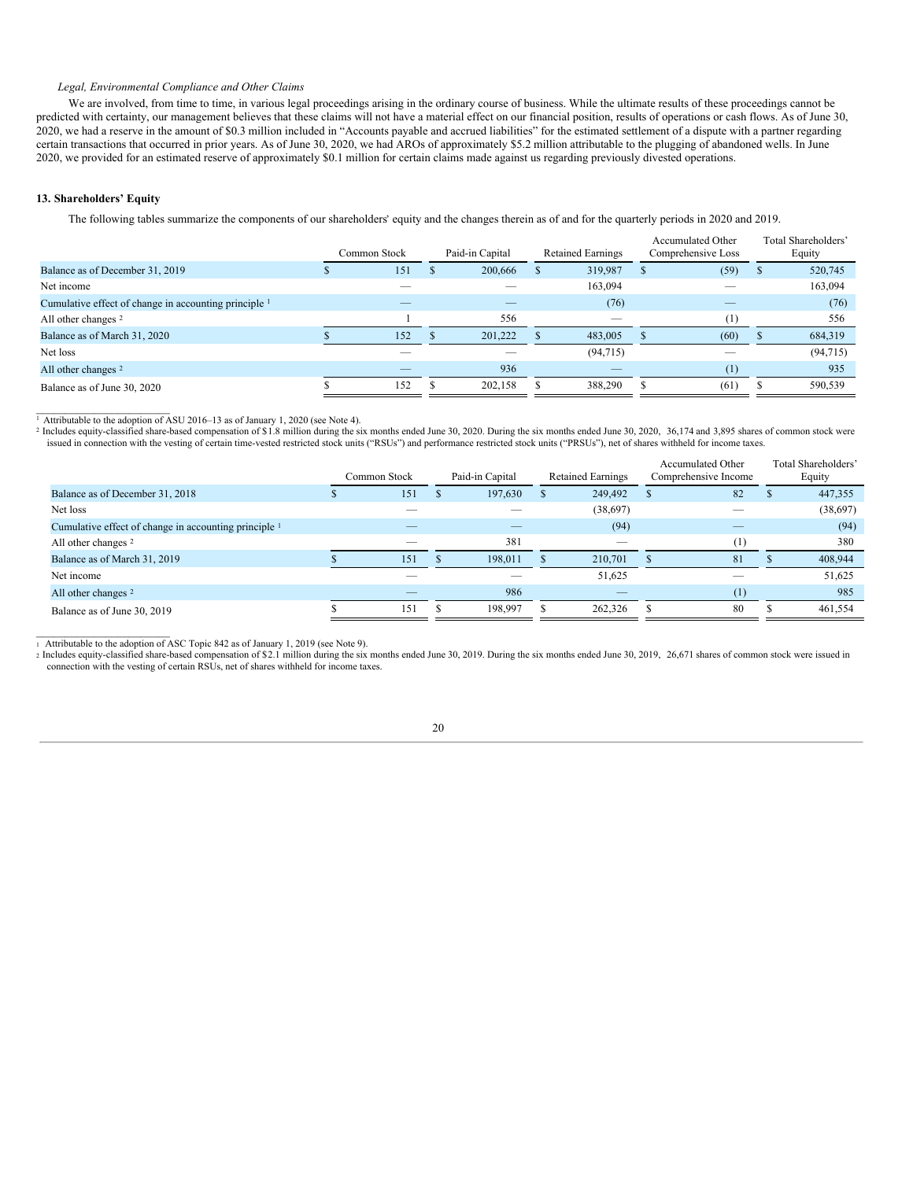# *Legal, Environmental Compliance and Other Claims*

We are involved, from time to time, in various legal proceedings arising in the ordinary course of business. While the ultimate results of these proceedings cannot be predicted with certainty, our management believes that these claims will not have a material effect on our financial position, results of operations or cash flows. As of June 30, 2020, we had a reserve in the amount of \$0.3 million included in "Accounts payable and accrued liabilities" for the estimated settlement of a dispute with a partner regarding certain transactions that occurred in prior years. As of June 30, 2020, we had AROs of approximately \$5.2 million attributable to the plugging of abandoned wells. In June 2020, we provided for an estimated reserve of approximately \$0.1 million for certain claims made against us regarding previously divested operations.

# <span id="page-19-0"></span>**13. Shareholders' Equity**

 $\mathcal{L}_\text{max}$ 

 $\mathcal{L}_\text{max}$ 

The following tables summarize the components of our shareholders' equity and the changes therein as of and for the quarterly periods in 2020 and 2019.

|                                                       | Common Stock | Paid-in Capital |    | <b>Retained Earnings</b> |   | <b>Accumulated Other</b><br>Comprehensive Loss |   | Total Shareholders'<br>Equity |
|-------------------------------------------------------|--------------|-----------------|----|--------------------------|---|------------------------------------------------|---|-------------------------------|
| Balance as of December 31, 2019                       | 151          | 200,666         | -S | 319,987                  | ж | (59)                                           | ъ | 520,745                       |
| Net income                                            |              |                 |    | 163,094                  |   |                                                |   | 163,094                       |
| Cumulative effect of change in accounting principle 1 |              |                 |    | (76)                     |   |                                                |   | (76)                          |
| All other changes 2                                   |              | 556             |    |                          |   | (1)                                            |   | 556                           |
| Balance as of March 31, 2020                          | 152          | 201.222         |    | 483,005                  |   | (60)                                           |   | 684,319                       |
| Net loss                                              |              |                 |    | (94, 715)                |   |                                                |   | (94, 715)                     |
| All other changes <sup>2</sup>                        |              | 936             |    |                          |   | (1)                                            |   | 935                           |
| Balance as of June 30, 2020                           | 152          | 202.158         | S  | 388,290                  |   | (61)                                           |   | 590,539                       |

<sup>1</sup> Attributable to the adoption of ASU 2016–13 as of January 1, 2020 (see Note 4).

<sup>2</sup> Includes equity-classified share-based compensation of \$1.8 million during the six months ended June 30, 2020. During the six months ended June 30, 2020, 36,174 and 3,895 shares of common stock were issued in connection with the vesting of certain time-vested restricted stock units ("RSUs") and performance restricted stock units ("PRSUs"), net of shares withheld for income taxes.

|                                                       | Common Stock | Paid-in Capital | <b>Retained Earnings</b> |   | <b>Accumulated Other</b><br>Comprehensive Income | Total Shareholders'<br>Equity |
|-------------------------------------------------------|--------------|-----------------|--------------------------|---|--------------------------------------------------|-------------------------------|
| Balance as of December 31, 2018                       | 151          | 197,630         | 249,492                  | ъ | 82                                               | 447,355                       |
| Net loss                                              |              |                 | (38, 697)                |   |                                                  | (38,697)                      |
| Cumulative effect of change in accounting principle 1 |              |                 | (94)                     |   |                                                  | (94)                          |
| All other changes 2                                   |              | 381             |                          |   | (1)                                              | 380                           |
| Balance as of March 31, 2019                          | 151          | 198.011         | 210,701                  |   | 81                                               | 408,944                       |
| Net income                                            |              |                 | 51,625                   |   |                                                  | 51,625                        |
| All other changes <sup>2</sup>                        |              | 986             |                          |   | (1)                                              | 985                           |
| Balance as of June 30, 2019                           | 151          | 198,997         | 262,326                  |   | 80                                               | 461,554                       |

<sup>1</sup> Attributable to the adoption of ASC Topic 842 as of January 1, 2019 (see Note 9).

<span id="page-19-1"></span><sup>2</sup> Includes equity-classified share-based compensation of \$2.1 million during the six months ended June 30, 2019. During the six months ended June 30, 2019, 26,671 shares of common stock were issued in connection with the vesting of certain RSUs, net of shares withheld for income taxes.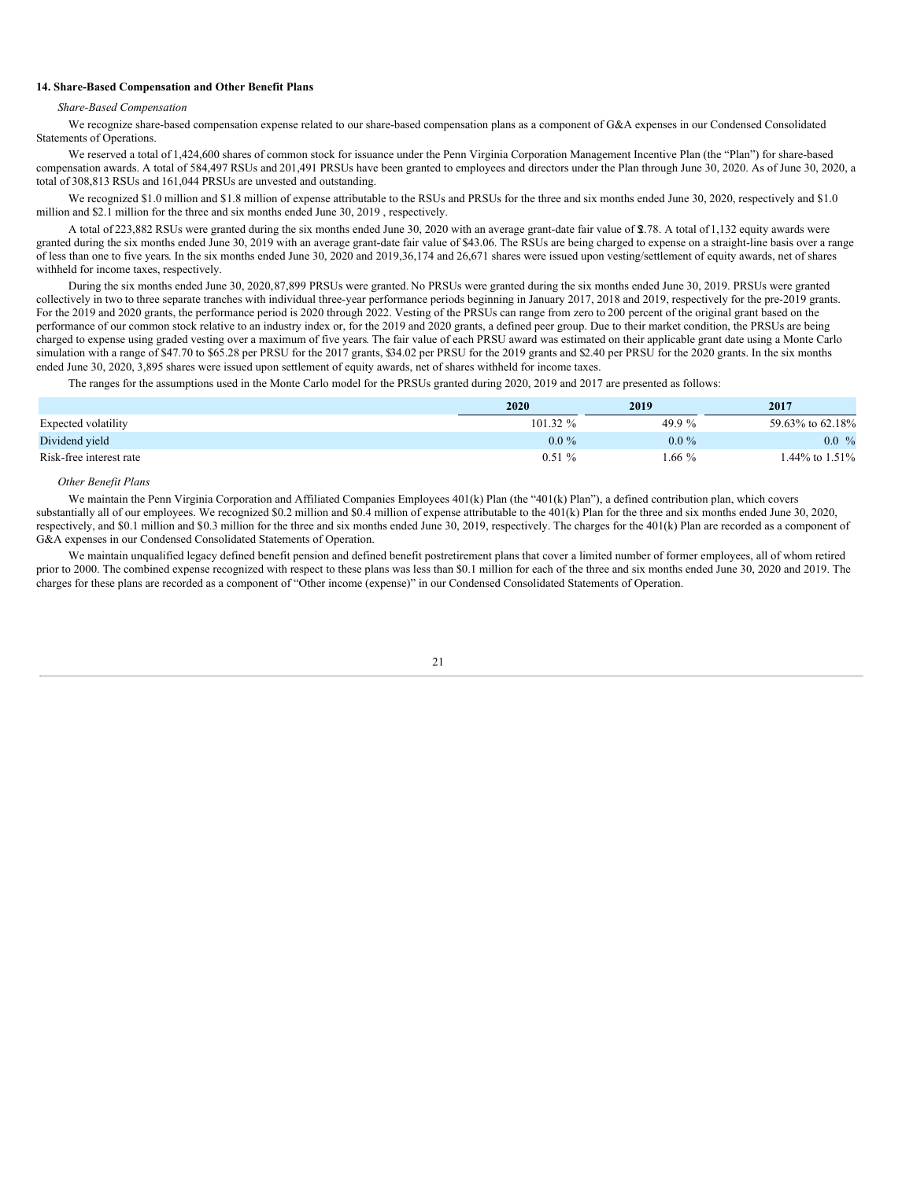#### **14. Share-Based Compensation and Other Benefit Plans**

#### *Share-Based Compensation*

We recognize share-based compensation expense related to our share-based compensation plans as a component of G&A expenses in our Condensed Consolidated Statements of Operations.

We reserved a total of 1,424,600 shares of common stock for issuance under the Penn Virginia Corporation Management Incentive Plan (the "Plan") for share-based compensation awards. A total of 584,497 RSUs and 201,491 PRSUs have been granted to employees and directors under the Plan through June 30, 2020. As of June 30, 2020, a total of 308,813 RSUs and 161,044 PRSUs are unvested and outstanding.

We recognized \$1.0 million and \$1.8 million of expense attributable to the RSUs and PRSUs for the three and six months ended June 30, 2020, respectively and \$1.0 million and \$2.1 million for the three and six months ended June 30, 2019 , respectively.

A total of 223,882 RSUs were granted during the six months ended June 30, 2020 with an average grant-date fair value of \$2.78. A total of 1,132 equity awards were granted during the six months ended June 30, 2019 with an average grant-date fair value of \$43.06. The RSUs are being charged to expense on a straight-line basis over a range of less than one to five years. In the six months ended June 30, 2020 and 2019,36,174 and 26,671 shares were issued upon vesting/settlement of equity awards, net of shares withheld for income taxes, respectively.

During the six months ended June 30, 2020,87,899 PRSUs were granted. No PRSUs were granted during the six months ended June 30, 2019. PRSUs were granted collectively in two to three separate tranches with individual three-year performance periods beginning in January 2017, 2018 and 2019, respectively for the pre-2019 grants. For the 2019 and 2020 grants, the performance period is 2020 through 2022. Vesting of the PRSUs can range from zero to 200 percent of the original grant based on the performance of our common stock relative to an industry index or, for the 2019 and 2020 grants, a defined peer group. Due to their market condition, the PRSUs are being charged to expense using graded vesting over a maximum of five years. The fair value of each PRSU award was estimated on their applicable grant date using a Monte Carlo simulation with a range of \$47.70 to \$65.28 per PRSU for the 2017 grants, \$34.02 per PRSU for the 2019 grants and \$2.40 per PRSU for the 2020 grants. In the six months ended June 30, 2020, 3,895 shares were issued upon settlement of equity awards, net of shares withheld for income taxes.

The ranges for the assumptions used in the Monte Carlo model for the PRSUs granted during 2020, 2019 and 2017 are presented as follows:

|                         | 2020       | 2019    | 2017             |
|-------------------------|------------|---------|------------------|
| Expected volatility     | $101.32\%$ | 49.9 %  | 59.63% to 62.18% |
| Dividend yield          | $0.0\%$    | $0.0\%$ | $0.0\%$          |
| Risk-free interest rate | $0.51 \%$  | 1.66 %  | 1.44% to 1.51%   |

#### *Other Benefit Plans*

We maintain the Penn Virginia Corporation and Affiliated Companies Employees 401(k) Plan (the "401(k) Plan"), a defined contribution plan, which covers substantially all of our employees. We recognized \$0.2 million and \$0.4 million of expense attributable to the 401(k) Plan for the three and six months ended June 30, 2020, respectively, and \$0.1 million and \$0.3 million for the three and six months ended June 30, 2019, respectively. The charges for the 401(k) Plan are recorded as a component of G&A expenses in our Condensed Consolidated Statements of Operation.

<span id="page-20-0"></span>We maintain unqualified legacy defined benefit pension and defined benefit postretirement plans that cover a limited number of former employees, all of whom retired prior to 2000. The combined expense recognized with respect to these plans was less than \$0.1 million for each of the three and six months ended June 30, 2020 and 2019. The charges for these plans are recorded as a component of "Other income (expense)" in our Condensed Consolidated Statements of Operation.

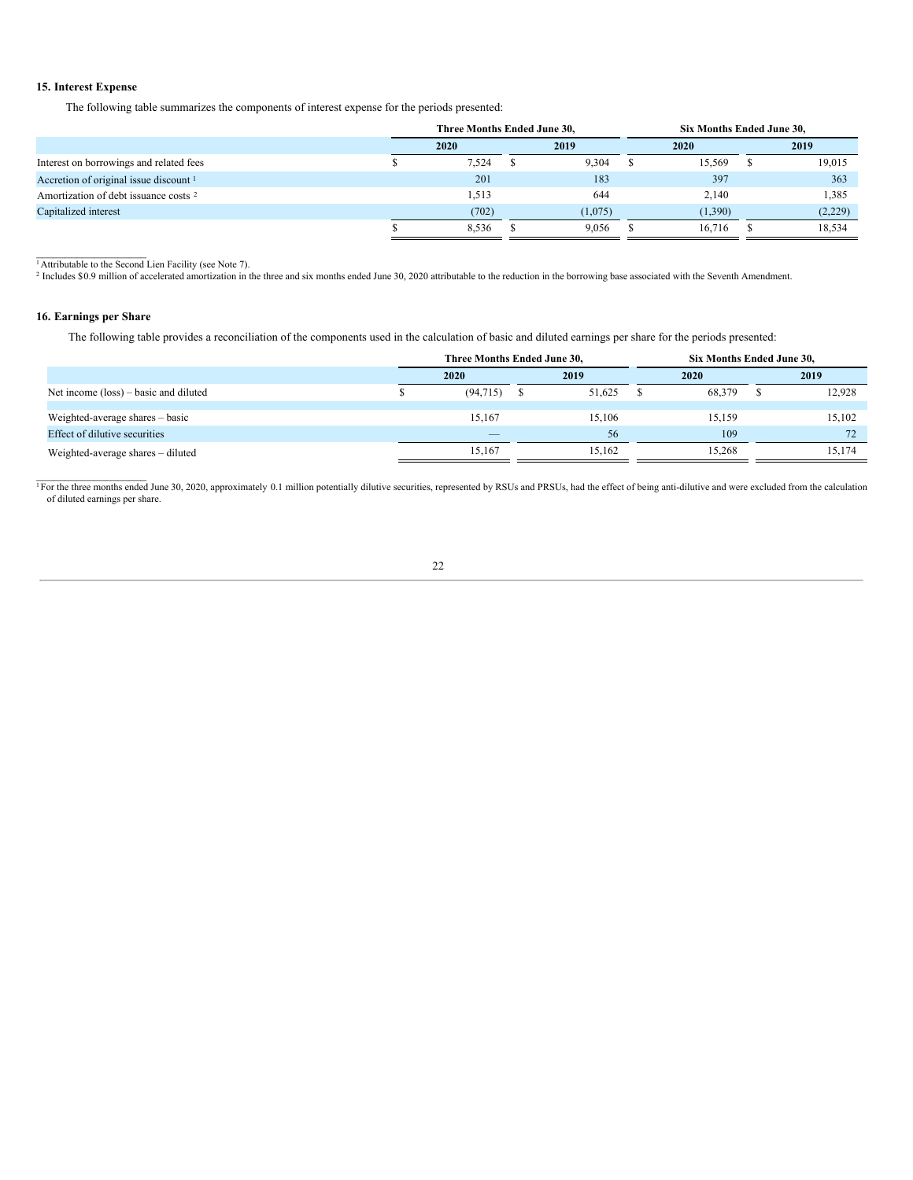# **15. Interest Expense**

The following table summarizes the components of interest expense for the periods presented:

|                                                  |       | Three Months Ended June 30. | Six Months Ended June 30. |         |  |  |  |
|--------------------------------------------------|-------|-----------------------------|---------------------------|---------|--|--|--|
|                                                  | 2020  | 2019                        | 2020                      | 2019    |  |  |  |
| Interest on borrowings and related fees          | 7,524 | 9,304                       | 15,569                    | 19,015  |  |  |  |
| Accretion of original issue discount 1           | 201   | 183                         | 397                       | 363     |  |  |  |
| Amortization of debt issuance costs <sup>2</sup> | 1,513 | 644                         | 2,140                     | 1,385   |  |  |  |
| Capitalized interest                             | (702) | (1,075)                     | (1,390)                   | (2,229) |  |  |  |
|                                                  | 8,536 | 9,056                       | 16,716                    | 18.534  |  |  |  |

<sup>1</sup> Attributable to the Second Lien Facility (see Note 7).<br><sup>2</sup> Includes \$0.9 million of accelerated amortization in the three and six months ended June 30, 2020 attributable to the reduction in the borrowing base associate

# <span id="page-21-0"></span>**16. Earnings per Share**

The following table provides a reconciliation of the components used in the calculation of basic and diluted earnings per share for the periods presented:

|                                                |                          | Three Months Ended June 30. |        | Six Months Ended June 30. |
|------------------------------------------------|--------------------------|-----------------------------|--------|---------------------------|
|                                                | 2020                     | 2019                        | 2020   | 2019                      |
| Net income $(\text{loss})$ – basic and diluted | (94,715)                 | 51,625                      | 68,379 | 12,928                    |
| Weighted-average shares – basic                | 15,167                   | 15,106                      | 15,159 | 15,102                    |
| Effect of dilutive securities                  | $\overline{\phantom{a}}$ | 56                          | 109    | 72                        |
| Weighted-average shares – diluted              | 15.167                   | 15.162                      | 15.268 | 15.174                    |

<span id="page-21-1"></span>The three months ended June 30, 2020, approximately 0.1 million potentially dilutive securities, represented by RSUs and PRSUs, had the effect of being anti-dilutive and were excluded from the calculation of diluted earnings per share.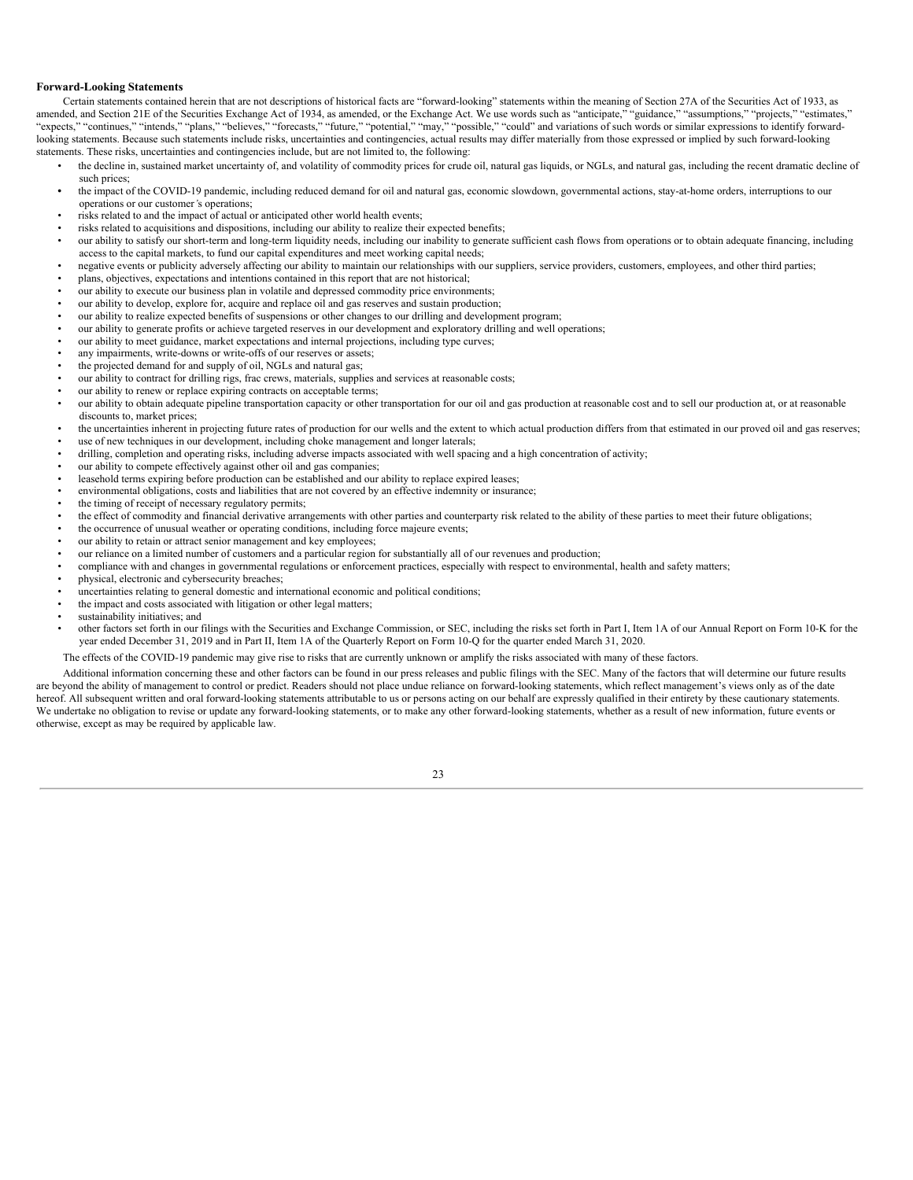#### **Forward-Looking Statements**

Certain statements contained herein that are not descriptions of historical facts are "forward-looking" statements within the meaning of Section 27A of the Securities Act of 1933, as amended, and Section 21E of the Securities Exchange Act of 1934, as amended, or the Exchange Act. We use words such as "anticipate," "guidance," "assumptions," "projects," "estimates," "expects," "continues," "intends," "plans," "believes," "forecasts," "future," "potential," "may," "possible," "could" and variations of such words or similar expressions to identify forwardlooking statements. Because such statements include risks, uncertainties and contingencies, actual results may differ materially from those expressed or implied by such forward-looking statements. These risks, uncertainties and contingencies include, but are not limited to, the following:

- the decline in, sustained market uncertainty of, and volatility of commodity prices for crude oil, natural gas liquids, or NGLs, and natural gas, including the recent dramatic decline of such prices;
- the impact of the COVID-19 pandemic, including reduced demand for oil and natural gas, economic slowdown, governmental actions, stay-at-home orders, interruptions to our operations or our customer*'*s operations;
- risks related to and the impact of actual or anticipated other world health events;
- risks related to acquisitions and dispositions, including our ability to realize their expected benefits;
- our ability to satisfy our short-term and long-term liquidity needs, including our inability to generate sufficient cash flows from operations or to obtain adequate financing, including access to the capital markets, to fund our capital expenditures and meet working capital needs;
- negative events or publicity adversely affecting our ability to maintain our relationships with our suppliers, service providers, customers, employees, and other third parties;
- plans, objectives, expectations and intentions contained in this report that are not historical;
- our ability to execute our business plan in volatile and depressed commodity price environments;
- our ability to develop, explore for, acquire and replace oil and gas reserves and sustain production;
- our ability to realize expected benefits of suspensions or other changes to our drilling and development program;
- our ability to generate profits or achieve targeted reserves in our development and exploratory drilling and well operations;
- our ability to meet guidance, market expectations and internal projections, including type curves;
- any impairments, write-downs or write-offs of our reserves or assets; • the projected demand for and supply of oil, NGLs and natural gas;
- our ability to contract for drilling rigs, frac crews, materials, supplies and services at reasonable costs;
- our ability to renew or replace expiring contracts on acceptable terms;
- our ability to obtain adequate pipeline transportation capacity or other transportation for our oil and gas production at reasonable cost and to sell our production at, or at reasonable discounts to, market prices;
- the uncertainties inherent in projecting future rates of production for our wells and the extent to which actual production differs from that estimated in our proved oil and gas reserves;
- use of new techniques in our development, including choke management and longer laterals;
- drilling, completion and operating risks, including adverse impacts associated with well spacing and a high concentration of activity;
- our ability to compete effectively against other oil and gas companies;
- leasehold terms expiring before production can be established and our ability to replace expired leases;
- environmental obligations, costs and liabilities that are not covered by an effective indemnity or insurance;
- the timing of receipt of necessary regulatory permits;
- the effect of commodity and financial derivative arrangements with other parties and counterparty risk related to the ability of these parties to meet their future obligations;
- the occurrence of unusual weather or operating conditions, including force majeure events;
- our ability to retain or attract senior management and key employees;
- our reliance on a limited number of customers and a particular region for substantially all of our revenues and production;
- compliance with and changes in governmental regulations or enforcement practices, especially with respect to environmental, health and safety matters;
- physical, electronic and cybersecurity breaches;
- uncertainties relating to general domestic and international economic and political conditions;
- the impact and costs associated with litigation or other legal matters;
- sustainability initiatives; and
- other factors set forth in our filings with the Securities and Exchange Commission, or SEC, including the risks set forth in Part I, Item 1A of our Annual Report on Form 10-K for the year ended December 31, 2019 and in Part II, Item 1A of the Quarterly Report on Form 10-Q for the quarter ended March 31, 2020.
- The effects of the COVID-19 pandemic may give rise to risks that are currently unknown or amplify the risks associated with many of these factors.

Additional information concerning these and other factors can be found in our press releases and public filings with the SEC. Many of the factors that will determine our future results are beyond the ability of management to control or predict. Readers should not place undue reliance on forward-looking statements, which reflect management's views only as of the date hereof. All subsequent written and oral forward-looking statements attributable to us or persons acting on our behalf are expressly qualified in their entirety by these cautionary statements. We undertake no obligation to revise or update any forward-looking statements, or to make any other forward-looking statements, whether as a result of new information, future events or otherwise, except as may be required by applicable law.

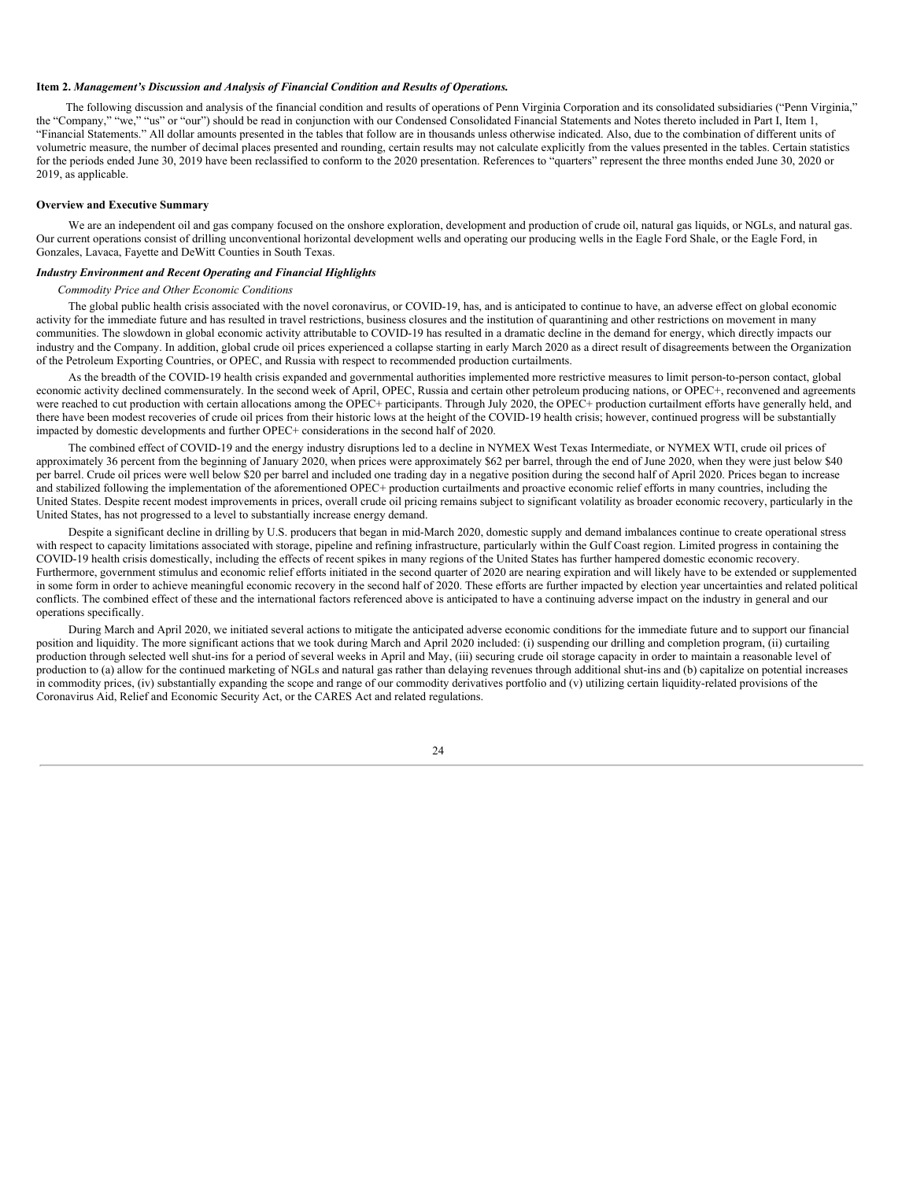# **Item 2.** *Management's Discussion and Analysis of Financial Condition and Results of Operations.*

The following discussion and analysis of the financial condition and results of operations of Penn Virginia Corporation and its consolidated subsidiaries ("Penn Virginia," the "Company," "we," "us" or "our") should be read in conjunction with our Condensed Consolidated Financial Statements and Notes thereto included in Part I, Item 1, "Financial Statements." All dollar amounts presented in the tables that follow are in thousands unless otherwise indicated. Also, due to the combination of different units of volumetric measure, the number of decimal places presented and rounding, certain results may not calculate explicitly from the values presented in the tables. Certain statistics for the periods ended June 30, 2019 have been reclassified to conform to the 2020 presentation. References to "quarters" represent the three months ended June 30, 2020 or 2019, as applicable.

#### <span id="page-23-0"></span>**Overview and Executive Summary**

We are an independent oil and gas company focused on the onshore exploration, development and production of crude oil, natural gas liquids, or NGLs, and natural gas. Our current operations consist of drilling unconventional horizontal development wells and operating our producing wells in the Eagle Ford Shale, or the Eagle Ford, in Gonzales, Lavaca, Fayette and DeWitt Counties in South Texas.

# *Industry Environment and Recent Operating and Financial Highlights*

#### *Commodity Price and Other Economic Conditions*

The global public health crisis associated with the novel coronavirus, or COVID-19, has, and is anticipated to continue to have, an adverse effect on global economic activity for the immediate future and has resulted in travel restrictions, business closures and the institution of quarantining and other restrictions on movement in many communities. The slowdown in global economic activity attributable to COVID-19 has resulted in a dramatic decline in the demand for energy, which directly impacts our industry and the Company. In addition, global crude oil prices experienced a collapse starting in early March 2020 as a direct result of disagreements between the Organization of the Petroleum Exporting Countries, or OPEC, and Russia with respect to recommended production curtailments.

As the breadth of the COVID-19 health crisis expanded and governmental authorities implemented more restrictive measures to limit person-to-person contact, global economic activity declined commensurately. In the second week of April, OPEC, Russia and certain other petroleum producing nations, or OPEC+, reconvened and agreements were reached to cut production with certain allocations among the OPEC+ participants. Through July 2020, the OPEC+ production curtailment efforts have generally held, and there have been modest recoveries of crude oil prices from their historic lows at the height of the COVID-19 health crisis; however, continued progress will be substantially impacted by domestic developments and further OPEC+ considerations in the second half of 2020.

The combined effect of COVID-19 and the energy industry disruptions led to a decline in NYMEX West Texas Intermediate, or NYMEX WTI, crude oil prices of approximately 36 percent from the beginning of January 2020, when prices were approximately \$62 per barrel, through the end of June 2020, when they were just below \$40 per barrel. Crude oil prices were well below \$20 per barrel and included one trading day in a negative position during the second half of April 2020. Prices began to increase and stabilized following the implementation of the aforementioned OPEC+ production curtailments and proactive economic relief efforts in many countries, including the United States. Despite recent modest improvements in prices, overall crude oil pricing remains subject to significant volatility as broader economic recovery, particularly in the United States, has not progressed to a level to substantially increase energy demand.

Despite a significant decline in drilling by U.S. producers that began in mid-March 2020, domestic supply and demand imbalances continue to create operational stress with respect to capacity limitations associated with storage, pipeline and refining infrastructure, particularly within the Gulf Coast region. Limited progress in containing the COVID-19 health crisis domestically, including the effects of recent spikes in many regions of the United States has further hampered domestic economic recovery. Furthermore, government stimulus and economic relief efforts initiated in the second quarter of 2020 are nearing expiration and will likely have to be extended or supplemented in some form in order to achieve meaningful economic recovery in the second half of 2020. These efforts are further impacted by election year uncertainties and related political conflicts. The combined effect of these and the international factors referenced above is anticipated to have a continuing adverse impact on the industry in general and our operations specifically.

During March and April 2020, we initiated several actions to mitigate the anticipated adverse economic conditions for the immediate future and to support our financial position and liquidity. The more significant actions that we took during March and April 2020 included: (i) suspending our drilling and completion program, (ii) curtailing production through selected well shut-ins for a period of several weeks in April and May, (iii) securing crude oil storage capacity in order to maintain a reasonable level of production to (a) allow for the continued marketing of NGLs and natural gas rather than delaying revenues through additional shut-ins and (b) capitalize on potential increases in commodity prices, (iv) substantially expanding the scope and range of our commodity derivatives portfolio and (v) utilizing certain liquidity-related provisions of the Coronavirus Aid, Relief and Economic Security Act, or the CARES Act and related regulations.

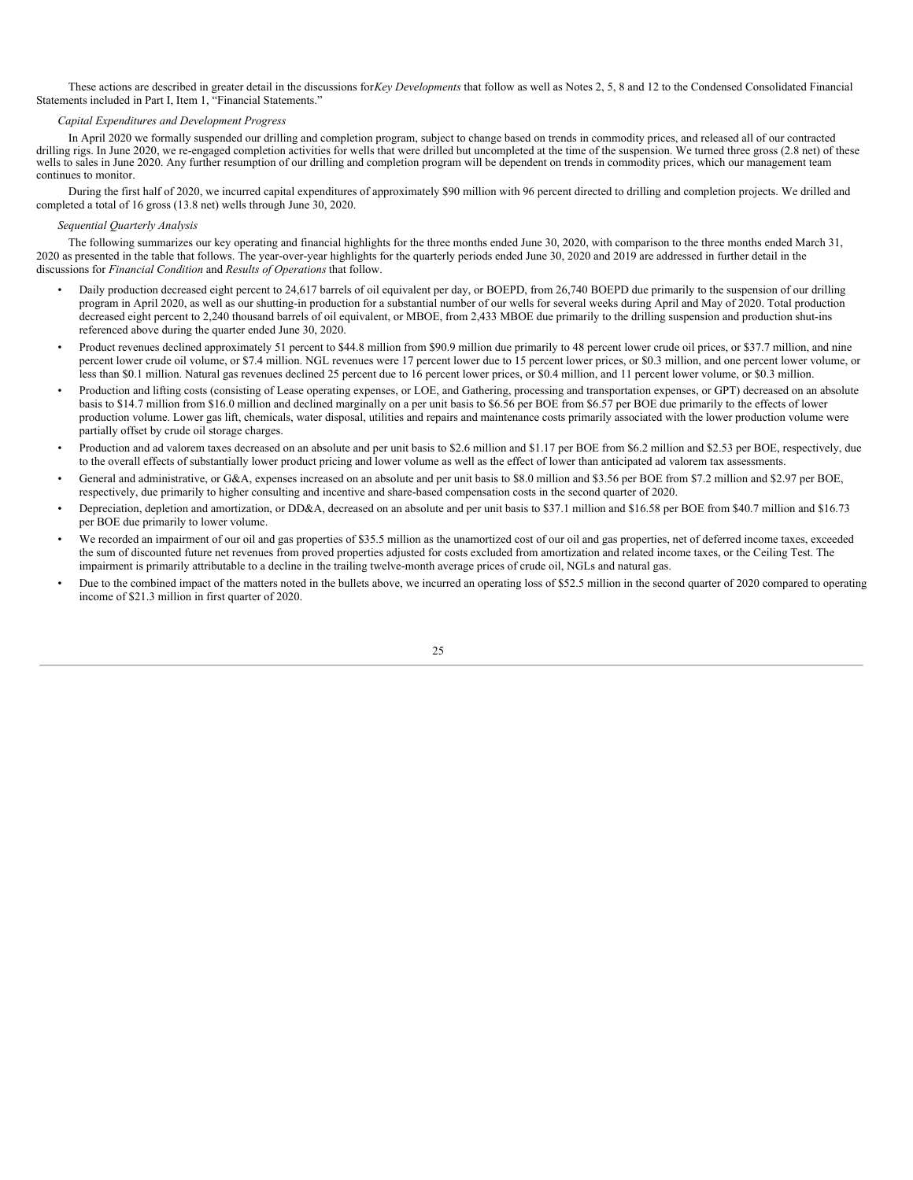These actions are described in greater detail in the discussions for*Key Developments* that follow as well as Notes 2, 5, 8 and 12 to the Condensed Consolidated Financial Statements included in Part I, Item 1, "Financial Statements."

# *Capital Expenditures and Development Progress*

In April 2020 we formally suspended our drilling and completion program, subject to change based on trends in commodity prices, and released all of our contracted drilling rigs. In June 2020, we re-engaged completion activities for wells that were drilled but uncompleted at the time of the suspension. We turned three gross (2.8 net) of these wells to sales in June 2020. Any further resumption of our drilling and completion program will be dependent on trends in commodity prices, which our management team continues to monitor.

During the first half of 2020, we incurred capital expenditures of approximately \$90 million with 96 percent directed to drilling and completion projects. We drilled and completed a total of 16 gross (13.8 net) wells through June 30, 2020.

#### *Sequential Quarterly Analysis*

The following summarizes our key operating and financial highlights for the three months ended June 30, 2020, with comparison to the three months ended March 31, 2020 as presented in the table that follows. The year-over-year highlights for the quarterly periods ended June 30, 2020 and 2019 are addressed in further detail in the discussions for *Financial Condition* and *Results of Operations* that follow.

- Daily production decreased eight percent to 24,617 barrels of oil equivalent per day, or BOEPD, from 26,740 BOEPD due primarily to the suspension of our drilling program in April 2020, as well as our shutting-in production for a substantial number of our wells for several weeks during April and May of 2020. Total production decreased eight percent to 2,240 thousand barrels of oil equivalent, or MBOE, from 2,433 MBOE due primarily to the drilling suspension and production shut-ins referenced above during the quarter ended June 30, 2020.
- Product revenues declined approximately 51 percent to \$44.8 million from \$90.9 million due primarily to 48 percent lower crude oil prices, or \$37.7 million, and nine percent lower crude oil volume, or \$7.4 million. NGL revenues were 17 percent lower due to 15 percent lower prices, or \$0.3 million, and one percent lower volume, or less than \$0.1 million. Natural gas revenues declined 25 percent due to 16 percent lower prices, or \$0.4 million, and 11 percent lower volume, or \$0.3 million.
- Production and lifting costs (consisting of Lease operating expenses, or LOE, and Gathering, processing and transportation expenses, or GPT) decreased on an absolute basis to \$14.7 million from \$16.0 million and declined marginally on a per unit basis to \$6.56 per BOE from \$6.57 per BOE due primarily to the effects of lower production volume. Lower gas lift, chemicals, water disposal, utilities and repairs and maintenance costs primarily associated with the lower production volume were partially offset by crude oil storage charges.
- Production and ad valorem taxes decreased on an absolute and per unit basis to \$2.6 million and \$1.17 per BOE from \$6.2 million and \$2.53 per BOE, respectively, due to the overall effects of substantially lower product pricing and lower volume as well as the effect of lower than anticipated ad valorem tax assessments.
- General and administrative, or G&A, expenses increased on an absolute and per unit basis to \$8.0 million and \$3.56 per BOE from \$7.2 million and \$2.97 per BOE, respectively, due primarily to higher consulting and incentive and share-based compensation costs in the second quarter of 2020.
- Depreciation, depletion and amortization, or DD&A, decreased on an absolute and per unit basis to \$37.1 million and \$16.58 per BOE from \$40.7 million and \$16.73 per BOE due primarily to lower volume.
- We recorded an impairment of our oil and gas properties of \$35.5 million as the unamortized cost of our oil and gas properties, net of deferred income taxes, exceeded the sum of discounted future net revenues from proved properties adjusted for costs excluded from amortization and related income taxes, or the Ceiling Test. The impairment is primarily attributable to a decline in the trailing twelve-month average prices of crude oil, NGLs and natural gas.
- Due to the combined impact of the matters noted in the bullets above, we incurred an operating loss of \$52.5 million in the second quarter of 2020 compared to operating income of \$21.3 million in first quarter of 2020.

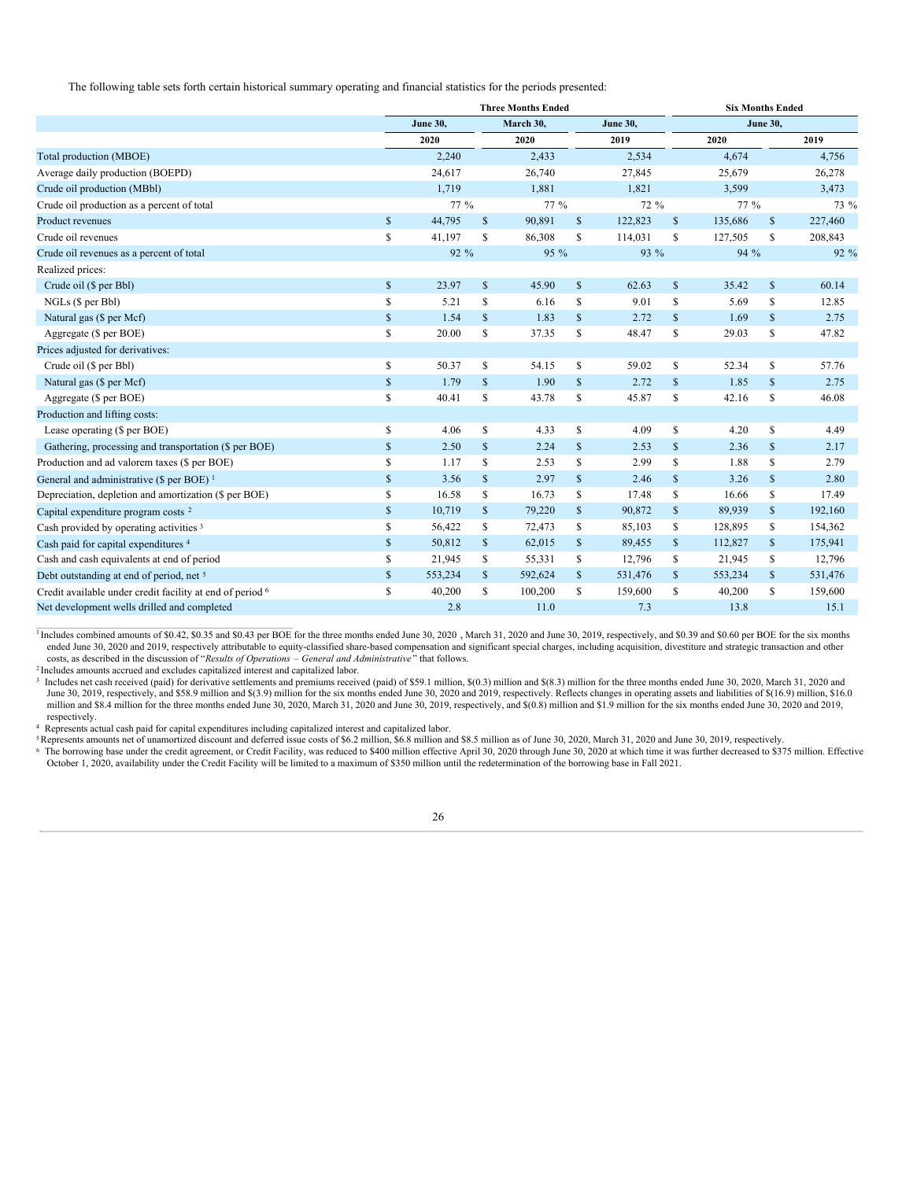The following table sets forth certain historical summary operating and financial statistics for the periods presented:

|                                                           |               |                      |               | <b>Three Months Ended</b> |               |                          |               | <b>Six Months Ended</b> |               |         |  |  |
|-----------------------------------------------------------|---------------|----------------------|---------------|---------------------------|---------------|--------------------------|---------------|-------------------------|---------------|---------|--|--|
|                                                           |               | <b>June 30.</b>      |               | March 30,                 | June 30,      |                          |               | <b>June 30,</b>         |               |         |  |  |
|                                                           |               | 2020                 |               | 2020                      |               | 2019                     |               | 2020                    |               | 2019    |  |  |
| Total production (MBOE)                                   |               | 2,240                |               | 2,433                     |               | 2,534                    |               | 4,674                   |               | 4,756   |  |  |
| Average daily production (BOEPD)                          |               | 24,617               |               | 26,740                    |               | 27,845                   |               | 25,679                  |               | 26,278  |  |  |
| Crude oil production (MBbl)                               |               | 1,719                |               | 1,881                     |               | 1,821                    |               | 3,599                   |               | 3,473   |  |  |
| Crude oil production as a percent of total                |               | 77 %                 |               | 77 %                      |               | 72 %                     |               |                         | 77 %          |         |  |  |
| Product revenues                                          | $\mathbb{S}$  | 44,795               | $\mathbb{S}$  | 90,891                    | $\mathbb{S}$  | 122,823                  | \$            | 135,686                 | $\mathbb{S}$  | 227,460 |  |  |
| Crude oil revenues                                        | $\mathbb{S}$  | 41,197               | \$            | 86,308                    | S             | 114,031                  | \$            | 127,505                 | \$            | 208,843 |  |  |
| Crude oil revenues as a percent of total                  |               | 92 %<br>95 %<br>93 % |               |                           | 94 %          |                          | 92 %          |                         |               |         |  |  |
| Realized prices:                                          |               |                      |               |                           |               |                          |               |                         |               |         |  |  |
| Crude oil (\$ per Bbl)                                    | $\mathbb{S}$  | 23.97                | \$            | 45.90                     | \$            | 62.63                    | $\mathsf{\$}$ | 35.42                   | \$            | 60.14   |  |  |
| NGLs (\$ per Bbl)                                         | $\mathbb S$   | 5.21                 | S             | 6.16                      | S             | 9.01                     | \$            | 5.69                    | <sup>\$</sup> | 12.85   |  |  |
| Natural gas (\$ per Mcf)                                  | $\mathbb{S}$  | 1.54                 | $\mathsf{\$}$ | 1.83                      | $\mathsf{\$}$ | 2.72                     | $\mathsf{\$}$ | 1.69                    | \$            | 2.75    |  |  |
| Aggregate (\$ per BOE)                                    | $\mathbb{S}$  | 20.00                |               | 37.35                     | \$            | 48.47                    | \$            | 29.03                   | \$            | 47.82   |  |  |
| Prices adjusted for derivatives:                          |               |                      |               |                           |               |                          |               |                         |               |         |  |  |
| Crude oil (\$ per Bbl)                                    | \$            | 50.37                | \$            | 54.15                     | \$            | 59.02                    | \$            | 52.34                   | \$            | 57.76   |  |  |
| Natural gas (\$ per Mcf)                                  | $\mathsf{\$}$ | 1.79                 | $\mathsf{\$}$ | 1.90                      | \$            | 2.72                     | $\mathsf{\$}$ | 1.85                    | $\mathsf{\$}$ | 2.75    |  |  |
| Aggregate (\$ per BOE)                                    | $\mathbb{S}$  | 40.41                | S             | 43.78                     | \$            | 45.87                    | \$            | 42.16                   | S             | 46.08   |  |  |
| Production and lifting costs:                             |               |                      |               |                           |               |                          |               |                         |               |         |  |  |
| Lease operating (\$ per BOE)                              | \$            | 4.06                 | \$            | 4.33                      | \$            | 4.09                     | \$            | 4.20                    | \$            | 4.49    |  |  |
| Gathering, processing and transportation (\$ per BOE)     | $\mathbb{S}$  | 2.50                 | \$            | 2.24                      | \$            | 2.53                     | $\mathsf{\$}$ | 2.36                    | $\mathsf{\$}$ | 2.17    |  |  |
| Production and ad valorem taxes (\$ per BOE)              | $\mathbf S$   | 1.17                 | \$            | 2.53                      | \$            | 2.99                     | \$            | 1.88                    | <sup>\$</sup> | 2.79    |  |  |
| General and administrative (\$ per BOE) <sup>1</sup>      | $\mathsf{\$}$ | 3.56                 | \$            | 2.97                      | $\mathsf{\$}$ | 2.46                     | $\mathsf{\$}$ | 3.26                    | $\mathsf{\$}$ | 2.80    |  |  |
| Depreciation, depletion and amortization (\$ per BOE)     | $\mathbb{S}$  | 16.58                | \$            | 16.73                     | S             | 17.48                    | \$            | 16.66                   | \$            | 17.49   |  |  |
| Capital expenditure program costs <sup>2</sup>            | $\mathbb{S}$  | 10,719               | $\mathsf{\$}$ | 79,220                    | $\mathbb{S}$  | 90,872                   | $\mathbb{S}$  | 89,939                  | $\mathbb{S}$  | 192,160 |  |  |
| Cash provided by operating activities <sup>3</sup>        | $\mathbb{S}$  | 56,422               | \$            | 72,473                    | \$            | 85,103                   | \$            | 128,895                 | \$            | 154,362 |  |  |
| Cash paid for capital expenditures 4                      | $\mathbb{S}$  | 50,812               | \$            | 62,015                    | \$            | 89,455                   | \$            | 112,827                 | \$            | 175,941 |  |  |
| Cash and cash equivalents at end of period                | S             | 21,945               | \$            | 55,331                    | \$            | 12,796                   | \$            | 21,945                  | \$            | 12,796  |  |  |
| Debt outstanding at end of period, net <sup>5</sup>       | $\mathsf{\$}$ | 553,234              | \$            | 592,624                   |               | $\mathsf{\$}$<br>531,476 |               | 553,234                 | \$            | 531,476 |  |  |
| Credit available under credit facility at end of period 6 | s             | 40,200               | S             | 100,200                   | S             | 159,600                  | S             | 40,200                  | S             | 159,600 |  |  |
| Net development wells drilled and completed               |               | 2.8                  |               | 11.0                      |               | 7.3                      |               | 13.8                    |               | 15.1    |  |  |

 $\frac{1}{1}$  Includes combined amounts of \$0.42, \$0.35 and \$0.43 per BOE for the three months ended June 30, 2020, March 31, 2020 and June 30, 2019, respectively, and \$0.39 and \$0.60 per BOE for the six months ended June 30, 2020 and 2019, respectively attributable to equity-classified share-based compensation and significant special charges, including acquisition, divestiture and strategic transaction and other costs, as descri

<sup>2</sup> Includes amounts accrued and excludes capitalized interest and capitalized labor.

<sup>3</sup> Includes net cash received (paid) for derivative settlements and premiums received (paid) of \$59.1 million, \$(0.3) million and \$(8.3) million for the three months ended June 30, 2020, March 31, 2020 and June 30, 2019, respectively, and \$58.9 million and \$(3.9) million for the six months ended June 30, 2020 and 2019, respectively. Reflects changes in operating assets and liabilities of \$(16.9) million, \$16.0<br>million and \$8 respectively.

<sup>4</sup> Represents actual cash paid for capital expenditures including capitalized interest and capitalized labor.

<sup>5</sup>Represents amounts net of unamortized discount and deferred issue costs of \$6.2 million, \$6.8 million and \$8.5 million as of June 30, 2020, March 31, 2020 and June 30, 2019, respectively.

<span id="page-25-0"></span><sup>6</sup> The borrowing base under the credit agreement, or Credit Facility, was reduced to \$400 million effective April 30, 2020 through June 30, 2020 at which time it was further decreased to \$375 million. Effective October 1, 2020, availability under the Credit Facility will be limited to a maximum of \$350 million until the redetermination of the borrowing base in Fall 2021.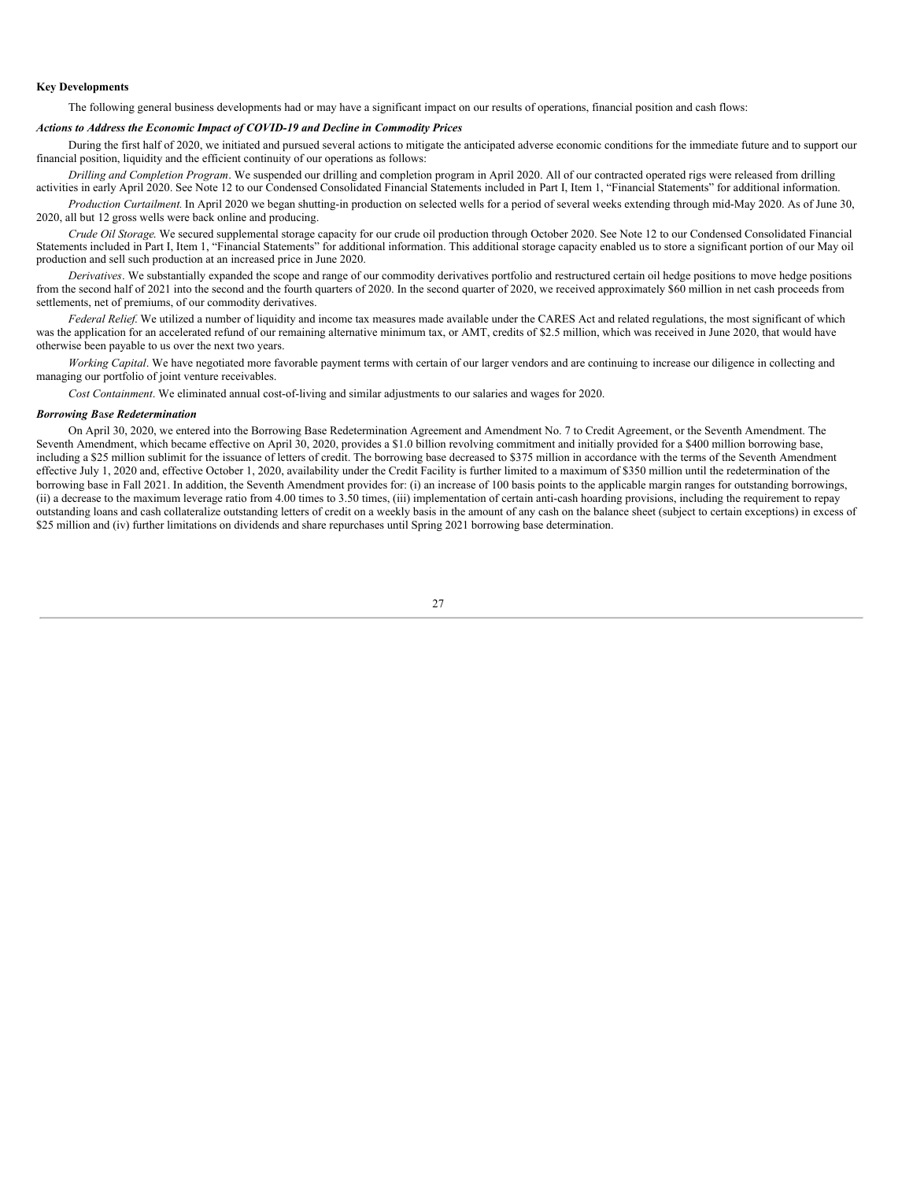#### **Key Developments**

The following general business developments had or may have a significant impact on our results of operations, financial position and cash flows:

### *Actions to Address the Economic Impact of COVID-19 and Decline in Commodity Prices*

During the first half of 2020, we initiated and pursued several actions to mitigate the anticipated adverse economic conditions for the immediate future and to support our financial position, liquidity and the efficient continuity of our operations as follows:

*Drilling and Completion Program*. We suspended our drilling and completion program in April 2020. All of our contracted operated rigs were released from drilling activities in early April 2020. See Note 12 to our Condensed Consolidated Financial Statements included in Part I, Item 1, "Financial Statements" for additional information.

*Production Curtailment.* In April 2020 we began shutting-in production on selected wells for a period of several weeks extending through mid-May 2020. As of June 30, 2020, all but 12 gross wells were back online and producing.

*Crude Oil Storage*. We secured supplemental storage capacity for our crude oil production through October 2020. See Note 12 to our Condensed Consolidated Financial Statements included in Part I, Item 1, "Financial Statements" for additional information. This additional storage capacity enabled us to store a significant portion of our May oil production and sell such production at an increased price in June 2020.

*Derivatives*. We substantially expanded the scope and range of our commodity derivatives portfolio and restructured certain oil hedge positions to move hedge positions from the second half of 2021 into the second and the fourth quarters of 2020. In the second quarter of 2020, we received approximately \$60 million in net cash proceeds from settlements, net of premiums, of our commodity derivatives.

*Federal Relief*. We utilized a number of liquidity and income tax measures made available under the CARES Act and related regulations, the most significant of which was the application for an accelerated refund of our remaining alternative minimum tax, or AMT, credits of \$2.5 million, which was received in June 2020, that would have otherwise been payable to us over the next two years.

*Working Capital*. We have negotiated more favorable payment terms with certain of our larger vendors and are continuing to increase our diligence in collecting and managing our portfolio of joint venture receivables.

*Cost Containment*. We eliminated annual cost-of-living and similar adjustments to our salaries and wages for 2020.

#### *Borrowing B*a*se Redetermination*

On April 30, 2020, we entered into the Borrowing Base Redetermination Agreement and Amendment No. 7 to Credit Agreement, or the Seventh Amendment. The Seventh Amendment, which became effective on April 30, 2020, provides a \$1.0 billion revolving commitment and initially provided for a \$400 million borrowing base, including a \$25 million sublimit for the issuance of letters of credit. The borrowing base decreased to \$375 million in accordance with the terms of the Seventh Amendment effective July 1, 2020 and, effective October 1, 2020, availability under the Credit Facility is further limited to a maximum of \$350 million until the redetermination of the borrowing base in Fall 2021. In addition, the Seventh Amendment provides for: (i) an increase of 100 basis points to the applicable margin ranges for outstanding borrowings, (ii) a decrease to the maximum leverage ratio from 4.00 times to 3.50 times, (iii) implementation of certain anti-cash hoarding provisions, including the requirement to repay outstanding loans and cash collateralize outstanding letters of credit on a weekly basis in the amount of any cash on the balance sheet (subject to certain exceptions) in excess of \$25 million and (iv) further limitations on dividends and share repurchases until Spring 2021 borrowing base determination.

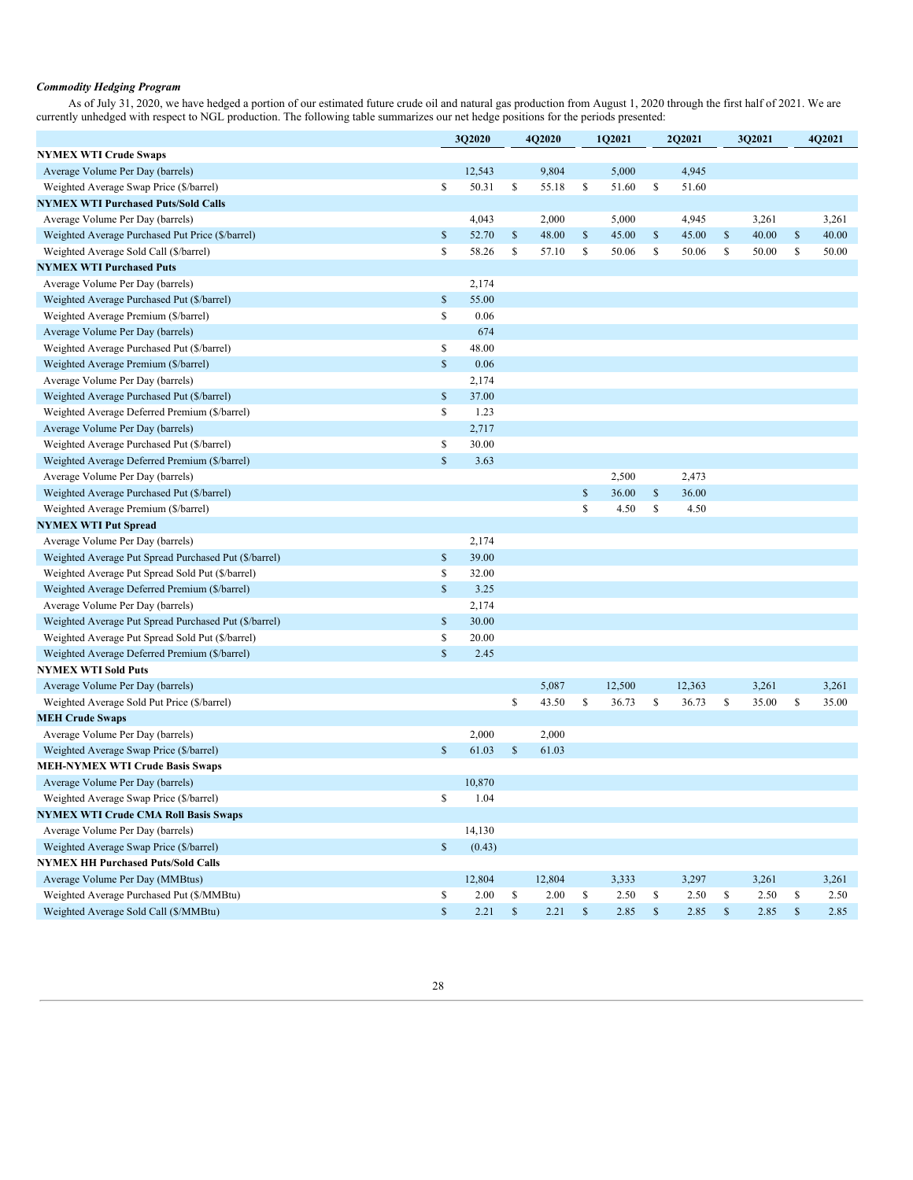# *Commodity Hedging Program*

As of July 31, 2020, we have hedged a portion of our estimated future crude oil and natural gas production from August 1, 2020 through the first half of 2021. We are currently unhedged with respect to NGL production. The following table summarizes our net hedge positions for the periods presented:

|                                                       |              | 3Q2020 |              | 4O2020<br>1Q2021<br>202021 |              |        | 3Q2021        |        | 4Q2021        |       |              |       |
|-------------------------------------------------------|--------------|--------|--------------|----------------------------|--------------|--------|---------------|--------|---------------|-------|--------------|-------|
| <b>NYMEX WTI Crude Swaps</b>                          |              |        |              |                            |              |        |               |        |               |       |              |       |
| Average Volume Per Day (barrels)                      |              | 12,543 |              | 9,804                      |              | 5,000  |               | 4,945  |               |       |              |       |
| Weighted Average Swap Price (\$/barrel)               | \$           | 50.31  | \$           | 55.18                      | \$           | 51.60  | \$            | 51.60  |               |       |              |       |
| <b>NYMEX WTI Purchased Puts/Sold Calls</b>            |              |        |              |                            |              |        |               |        |               |       |              |       |
| Average Volume Per Day (barrels)                      |              | 4,043  |              | 2,000                      |              | 5,000  |               | 4,945  |               | 3,261 |              | 3,261 |
| Weighted Average Purchased Put Price (\$/barrel)      | \$           | 52.70  | $\$$         | 48.00                      | $\mathbb{S}$ | 45.00  | $\mathbb{S}$  | 45.00  | $\mathbb{S}$  | 40.00 | $\mathbb{S}$ | 40.00 |
| Weighted Average Sold Call (\$/barrel)                | \$           | 58.26  | \$           | 57.10                      | \$           | 50.06  | \$            | 50.06  | \$            | 50.00 | \$           | 50.00 |
| <b>NYMEX WTI Purchased Puts</b>                       |              |        |              |                            |              |        |               |        |               |       |              |       |
| Average Volume Per Day (barrels)                      |              | 2,174  |              |                            |              |        |               |        |               |       |              |       |
| Weighted Average Purchased Put (\$/barrel)            | \$           | 55.00  |              |                            |              |        |               |        |               |       |              |       |
| Weighted Average Premium (\$/barrel)                  | \$           | 0.06   |              |                            |              |        |               |        |               |       |              |       |
| Average Volume Per Day (barrels)                      |              | 674    |              |                            |              |        |               |        |               |       |              |       |
| Weighted Average Purchased Put (\$/barrel)            | \$           | 48.00  |              |                            |              |        |               |        |               |       |              |       |
| Weighted Average Premium (\$/barrel)                  | $\mathbb{S}$ | 0.06   |              |                            |              |        |               |        |               |       |              |       |
| Average Volume Per Day (barrels)                      |              | 2,174  |              |                            |              |        |               |        |               |       |              |       |
| Weighted Average Purchased Put (\$/barrel)            | \$           | 37.00  |              |                            |              |        |               |        |               |       |              |       |
| Weighted Average Deferred Premium (\$/barrel)         | \$           | 1.23   |              |                            |              |        |               |        |               |       |              |       |
| Average Volume Per Day (barrels)                      |              | 2,717  |              |                            |              |        |               |        |               |       |              |       |
| Weighted Average Purchased Put (\$/barrel)            | \$           | 30.00  |              |                            |              |        |               |        |               |       |              |       |
| Weighted Average Deferred Premium (\$/barrel)         | \$           | 3.63   |              |                            |              |        |               |        |               |       |              |       |
| Average Volume Per Day (barrels)                      |              |        |              |                            |              | 2,500  |               | 2,473  |               |       |              |       |
| Weighted Average Purchased Put (\$/barrel)            |              |        |              |                            | $\mathbb{S}$ | 36.00  | $\mathbb{S}$  | 36.00  |               |       |              |       |
| Weighted Average Premium (\$/barrel)                  |              |        |              |                            | \$           | 4.50   | \$            | 4.50   |               |       |              |       |
| <b>NYMEX WTI Put Spread</b>                           |              |        |              |                            |              |        |               |        |               |       |              |       |
| Average Volume Per Day (barrels)                      |              | 2,174  |              |                            |              |        |               |        |               |       |              |       |
| Weighted Average Put Spread Purchased Put (\$/barrel) | \$           | 39.00  |              |                            |              |        |               |        |               |       |              |       |
| Weighted Average Put Spread Sold Put (\$/barrel)      | \$           | 32.00  |              |                            |              |        |               |        |               |       |              |       |
| Weighted Average Deferred Premium (\$/barrel)         | \$           | 3.25   |              |                            |              |        |               |        |               |       |              |       |
| Average Volume Per Day (barrels)                      |              | 2,174  |              |                            |              |        |               |        |               |       |              |       |
| Weighted Average Put Spread Purchased Put (\$/barrel) | \$           | 30.00  |              |                            |              |        |               |        |               |       |              |       |
| Weighted Average Put Spread Sold Put (\$/barrel)      | \$           | 20.00  |              |                            |              |        |               |        |               |       |              |       |
| Weighted Average Deferred Premium (\$/barrel)         | \$           | 2.45   |              |                            |              |        |               |        |               |       |              |       |
| <b>NYMEX WTI Sold Puts</b>                            |              |        |              |                            |              |        |               |        |               |       |              |       |
| Average Volume Per Day (barrels)                      |              |        |              | 5,087                      |              | 12,500 |               | 12,363 |               | 3,261 |              | 3,261 |
| Weighted Average Sold Put Price (\$/barrel)           |              |        | \$           | 43.50                      | \$           | 36.73  | \$            | 36.73  | \$            | 35.00 | \$           | 35.00 |
| <b>MEH Crude Swaps</b>                                |              |        |              |                            |              |        |               |        |               |       |              |       |
| Average Volume Per Day (barrels)                      |              | 2,000  |              | 2,000                      |              |        |               |        |               |       |              |       |
| Weighted Average Swap Price (\$/barrel)               | \$           | 61.03  | \$           | 61.03                      |              |        |               |        |               |       |              |       |
| <b>MEH-NYMEX WTI Crude Basis Swaps</b>                |              |        |              |                            |              |        |               |        |               |       |              |       |
| Average Volume Per Day (barrels)                      |              | 10,870 |              |                            |              |        |               |        |               |       |              |       |
| Weighted Average Swap Price (\$/barrel)               | \$           | 1.04   |              |                            |              |        |               |        |               |       |              |       |
| <b>NYMEX WTI Crude CMA Roll Basis Swaps</b>           |              |        |              |                            |              |        |               |        |               |       |              |       |
| Average Volume Per Day (barrels)                      |              | 14,130 |              |                            |              |        |               |        |               |       |              |       |
| Weighted Average Swap Price (\$/barrel)               | $\mathbb{S}$ | (0.43) |              |                            |              |        |               |        |               |       |              |       |
| <b>NYMEX HH Purchased Puts/Sold Calls</b>             |              |        |              |                            |              |        |               |        |               |       |              |       |
| Average Volume Per Day (MMBtus)                       |              | 12,804 |              | 12,804                     |              | 3,333  |               | 3,297  |               | 3,261 |              | 3,261 |
| Weighted Average Purchased Put (\$/MMBtu)             | \$           | 2.00   | \$           | 2.00                       | \$           | 2.50   | \$            | 2.50   | \$            | 2.50  | \$           | 2.50  |
| Weighted Average Sold Call (\$/MMBtu)                 | $\mathbb{S}$ | 2.21   | $\mathbb{S}$ | 2.21                       | $\mathbb{S}$ | 2.85   | <sup>\$</sup> | 2.85   | $\mathcal{S}$ | 2.85  | $\mathbb{S}$ | 2.85  |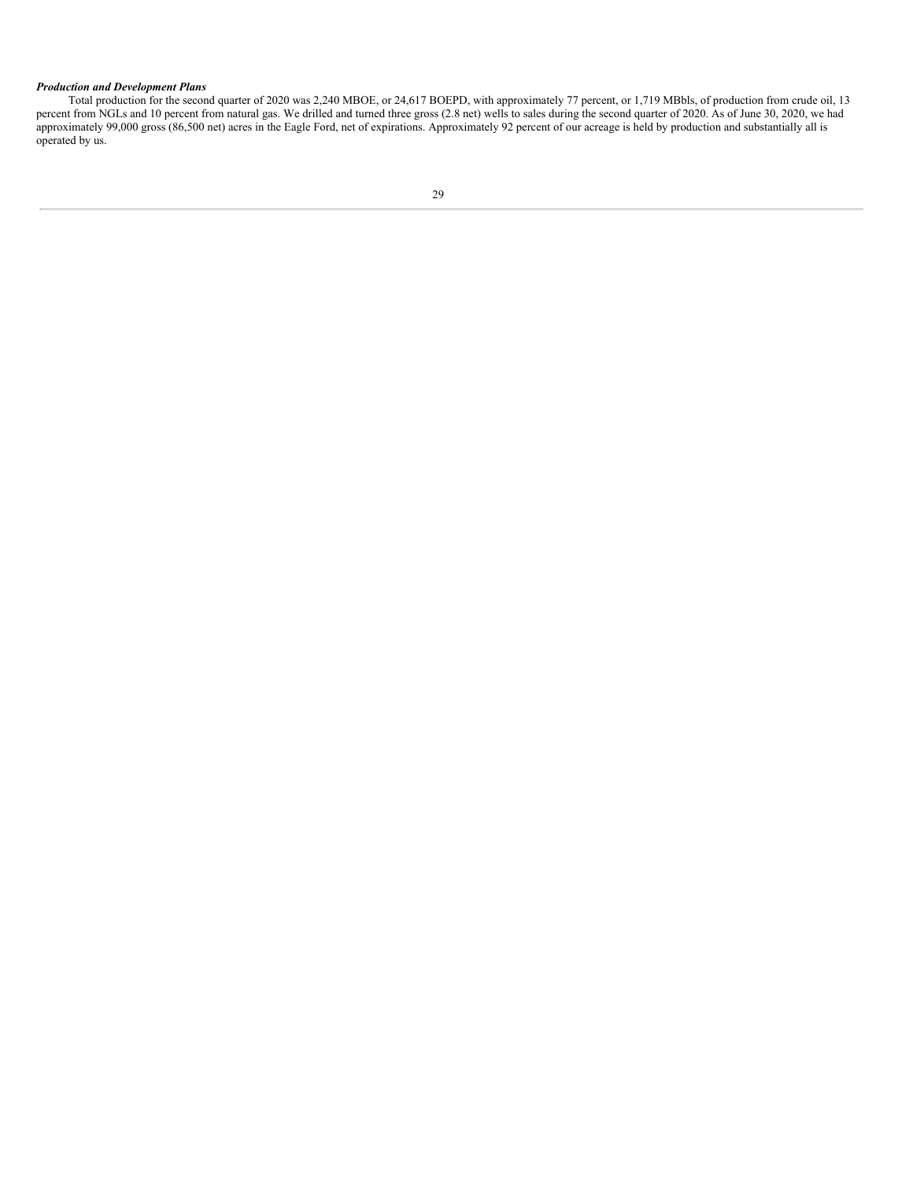# *Production and Development Plans*

<span id="page-28-0"></span>Total production for the second quarter of 2020 was 2,240 MBOE, or 24,617 BOEPD, with approximately 77 percent, or 1,719 MBbls, of production from crude oil, 13 percent from NGLs and 10 percent from natural gas. We drilled and turned three gross (2.8 net) wells to sales during the second quarter of 2020. As of June 30, 2020, we had approximately 99,000 gross (86,500 net) acres in the Eagle Ford, net of expirations. Approximately 92 percent of our acreage is held by production and substantially all is operated by us.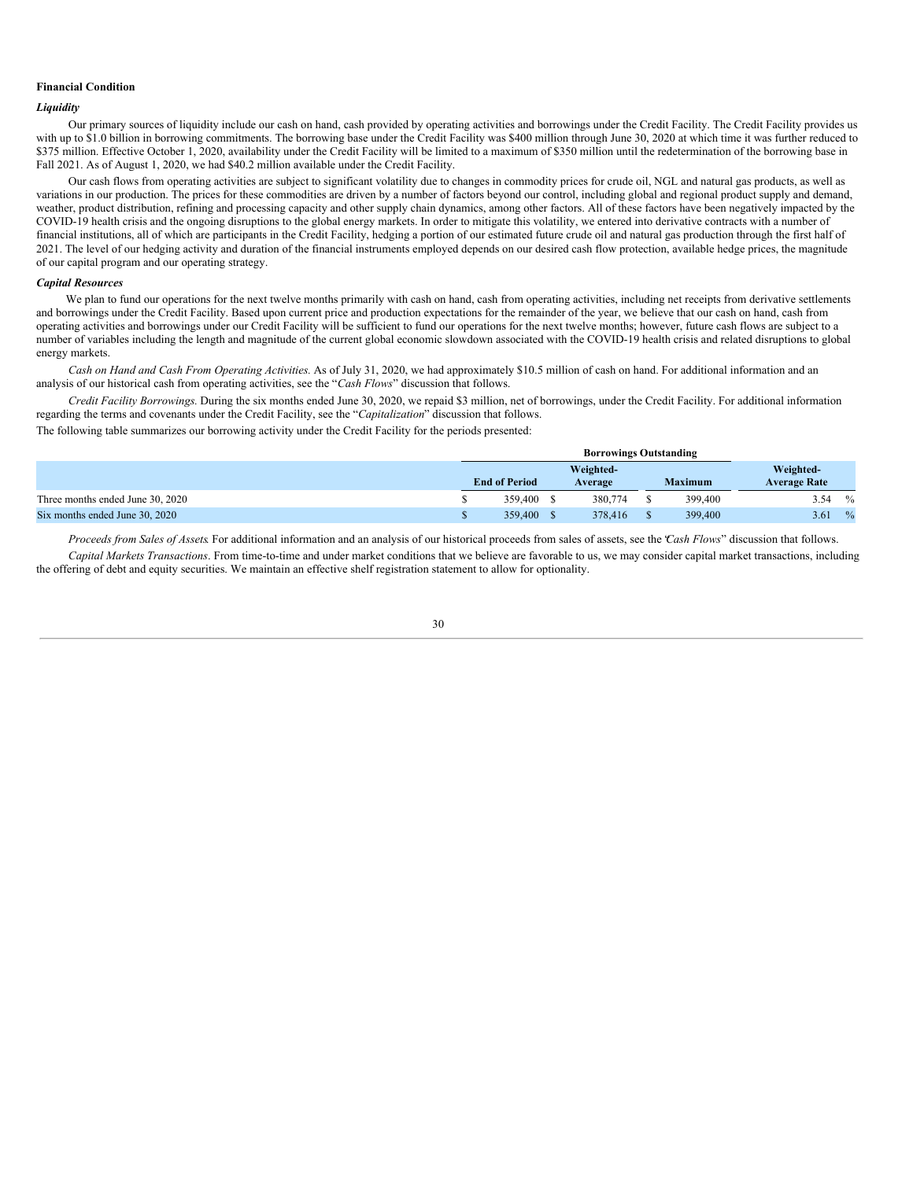# **Financial Condition**

#### *Liquidity*

Our primary sources of liquidity include our cash on hand, cash provided by operating activities and borrowings under the Credit Facility. The Credit Facility provides us with up to \$1.0 billion in borrowing commitments. The borrowing base under the Credit Facility was \$400 million through June 30, 2020 at which time it was further reduced to \$375 million. Effective October 1, 2020, availability under the Credit Facility will be limited to a maximum of \$350 million until the redetermination of the borrowing base in Fall 2021. As of August 1, 2020, we had \$40.2 million available under the Credit Facility.

Our cash flows from operating activities are subject to significant volatility due to changes in commodity prices for crude oil, NGL and natural gas products, as well as variations in our production. The prices for these commodities are driven by a number of factors beyond our control, including global and regional product supply and demand, weather, product distribution, refining and processing capacity and other supply chain dynamics, among other factors. All of these factors have been negatively impacted by the COVID-19 health crisis and the ongoing disruptions to the global energy markets. In order to mitigate this volatility, we entered into derivative contracts with a number of financial institutions, all of which are participants in the Credit Facility, hedging a portion of our estimated future crude oil and natural gas production through the first half of 2021. The level of our hedging activity and duration of the financial instruments employed depends on our desired cash flow protection, available hedge prices, the magnitude of our capital program and our operating strategy.

#### *Capital Resources*

We plan to fund our operations for the next twelve months primarily with cash on hand, cash from operating activities, including net receipts from derivative settlements and borrowings under the Credit Facility. Based upon current price and production expectations for the remainder of the year, we believe that our cash on hand, cash from operating activities and borrowings under our Credit Facility will be sufficient to fund our operations for the next twelve months; however, future cash flows are subject to a number of variables including the length and magnitude of the current global economic slowdown associated with the COVID-19 health crisis and related disruptions to global energy markets.

*Cash on Hand and Cash From Operating Activities.* As of July 31, 2020, we had approximately \$10.5 million of cash on hand. For additional information and an analysis of our historical cash from operating activities, see the "*Cash Flows*" discussion that follows.

*Credit Facility Borrowings.* During the six months ended June 30, 2020, we repaid \$3 million, net of borrowings, under the Credit Facility. For additional information regarding the terms and covenants under the Credit Facility, see the "*Capitalization*" discussion that follows.

The following table summarizes our borrowing activity under the Credit Facility for the periods presented:

|                                  | <b>Borrowings Outstanding</b> |                      |           |         |  |                |                     |               |  |
|----------------------------------|-------------------------------|----------------------|-----------|---------|--|----------------|---------------------|---------------|--|
|                                  |                               |                      | Weighted- |         |  |                |                     |               |  |
|                                  |                               | <b>End of Period</b> |           | Average |  | <b>Maximum</b> | <b>Average Rate</b> |               |  |
| Three months ended June 30, 2020 |                               | 359,400              |           | 380,774 |  | 399,400        | 3.54                | $\%$          |  |
| Six months ended June 30, 2020   |                               | 359,400              |           | 378,416 |  | 399,400        | 3.61                | $\frac{0}{0}$ |  |

*Proceeds from Sales of Assets*. For additional information and an analysis of our historical proceeds from sales of assets, see the "*Cash Flows*" discussion that follows.

*Capital Markets Transactions*. From time-to-time and under market conditions that we believe are favorable to us, we may consider capital market transactions, including the offering of debt and equity securities. We maintain an effective shelf registration statement to allow for optionality.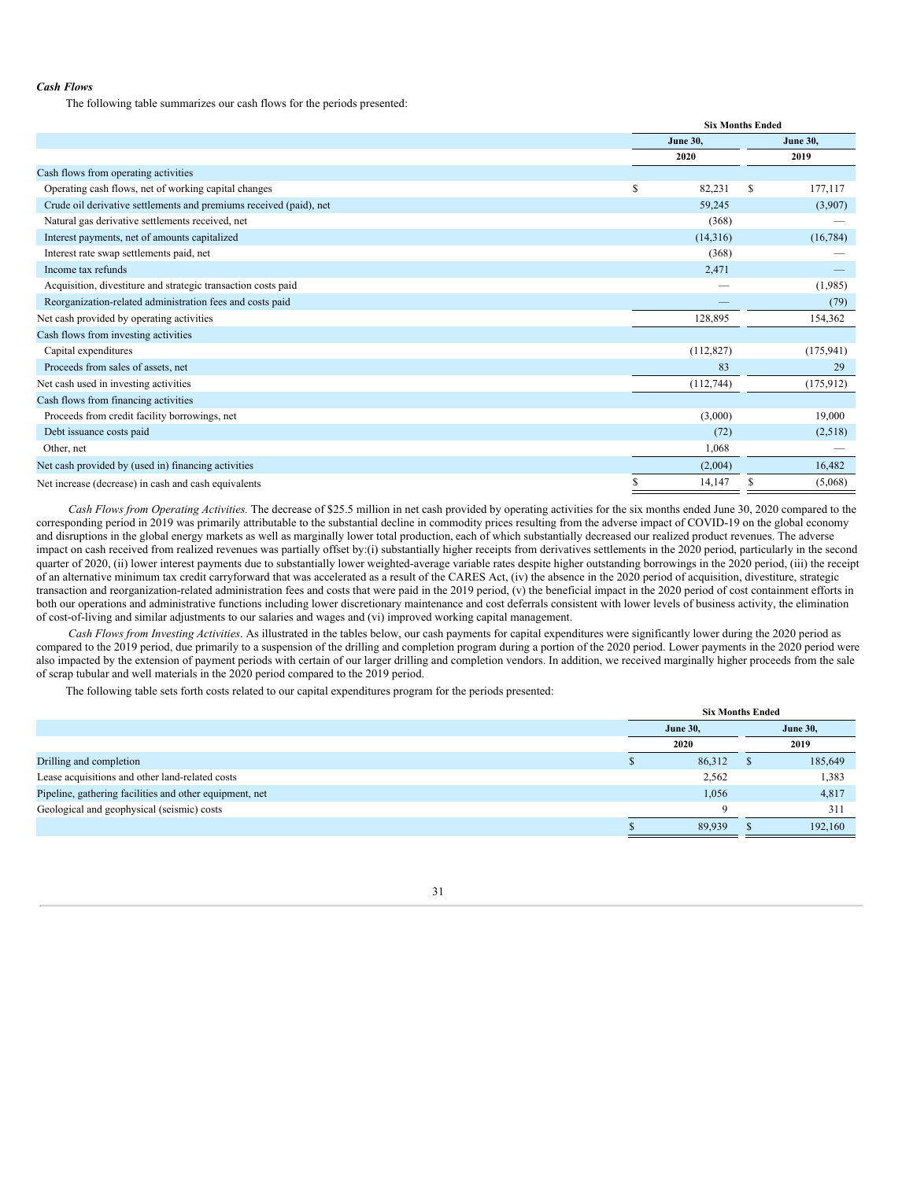### *Cash Flows*

The following table summarizes our cash flows for the periods presented:

|                                                                    |    | <b>Six Months Ended</b> |    |                 |
|--------------------------------------------------------------------|----|-------------------------|----|-----------------|
|                                                                    |    | <b>June 30,</b>         |    | <b>June 30,</b> |
|                                                                    |    | 2020                    |    | 2019            |
| Cash flows from operating activities                               |    |                         |    |                 |
| Operating cash flows, net of working capital changes               | \$ | 82,231                  | \$ | 177,117         |
| Crude oil derivative settlements and premiums received (paid), net |    | 59,245                  |    | (3,907)         |
| Natural gas derivative settlements received, net                   |    | (368)                   |    |                 |
| Interest payments, net of amounts capitalized                      |    | (14,316)                |    | (16, 784)       |
| Interest rate swap settlements paid, net                           |    | (368)                   |    |                 |
| Income tax refunds                                                 |    | 2,471                   |    |                 |
| Acquisition, divestiture and strategic transaction costs paid      |    |                         |    | (1,985)         |
| Reorganization-related administration fees and costs paid          |    |                         |    | (79)            |
| Net cash provided by operating activities                          |    | 128,895                 |    | 154,362         |
| Cash flows from investing activities                               |    |                         |    |                 |
| Capital expenditures                                               |    | (112, 827)              |    | (175, 941)      |
| Proceeds from sales of assets, net                                 |    | 83                      |    | 29              |
| Net cash used in investing activities                              |    | (112,744)               |    | (175, 912)      |
| Cash flows from financing activities                               |    |                         |    |                 |
| Proceeds from credit facility borrowings, net                      |    | (3,000)                 |    | 19,000          |
| Debt issuance costs paid                                           |    | (72)                    |    | (2,518)         |
| Other, net                                                         |    | 1,068                   |    |                 |
| Net cash provided by (used in) financing activities                |    | (2,004)                 |    | 16,482          |
| Net increase (decrease) in cash and cash equivalents               | S  | 14,147                  | S  | (5,068)         |

*Cash Flows from Operating Activities.* The decrease of \$25.5 million in net cash provided by operating activities for the six months ended June 30, 2020 compared to the corresponding period in 2019 was primarily attributable to the substantial decline in commodity prices resulting from the adverse impact of COVID-19 on the global economy and disruptions in the global energy markets as well as marginally lower total production, each of which substantially decreased our realized product revenues. The adverse impact on cash received from realized revenues was partially offset by:(i) substantially higher receipts from derivatives settlements in the 2020 period, particularly in the second quarter of 2020, (ii) lower interest payments due to substantially lower weighted-average variable rates despite higher outstanding borrowings in the 2020 period, (iii) the receipt of an alternative minimum tax credit carryforward that was accelerated as a result of the CARES Act, (iv) the absence in the 2020 period of acquisition, divestiture, strategic transaction and reorganization-related administration fees and costs that were paid in the 2019 period, (v) the beneficial impact in the 2020 period of cost containment efforts in both our operations and administrative functions including lower discretionary maintenance and cost deferrals consistent with lower levels of business activity, the elimination of cost-of-living and similar adjustments to our salaries and wages and (vi) improved working capital management.

*Cash Flows from Investing Activities*. As illustrated in the tables below, our cash payments for capital expenditures were significantly lower during the 2020 period as compared to the 2019 period, due primarily to a suspension of the drilling and completion program during a portion of the 2020 period. Lower payments in the 2020 period were also impacted by the extension of payment periods with certain of our larger drilling and completion vendors. In addition, we received marginally higher proceeds from the sale of scrap tubular and well materials in the 2020 period compared to the 2019 period.

The following table sets forth costs related to our capital expenditures program for the periods presented:

|                                                         | <b>Six Months Ended</b> |                 |
|---------------------------------------------------------|-------------------------|-----------------|
|                                                         | <b>June 30,</b>         | <b>June 30,</b> |
|                                                         | 2020                    | 2019            |
| Drilling and completion                                 | 86,312                  | 185,649         |
| Lease acquisitions and other land-related costs         | 2,562                   | 1,383           |
| Pipeline, gathering facilities and other equipment, net | 1,056                   | 4,817           |
| Geological and geophysical (seismic) costs              | $\Omega$                | 311             |
|                                                         | 89,939                  | 192,160         |

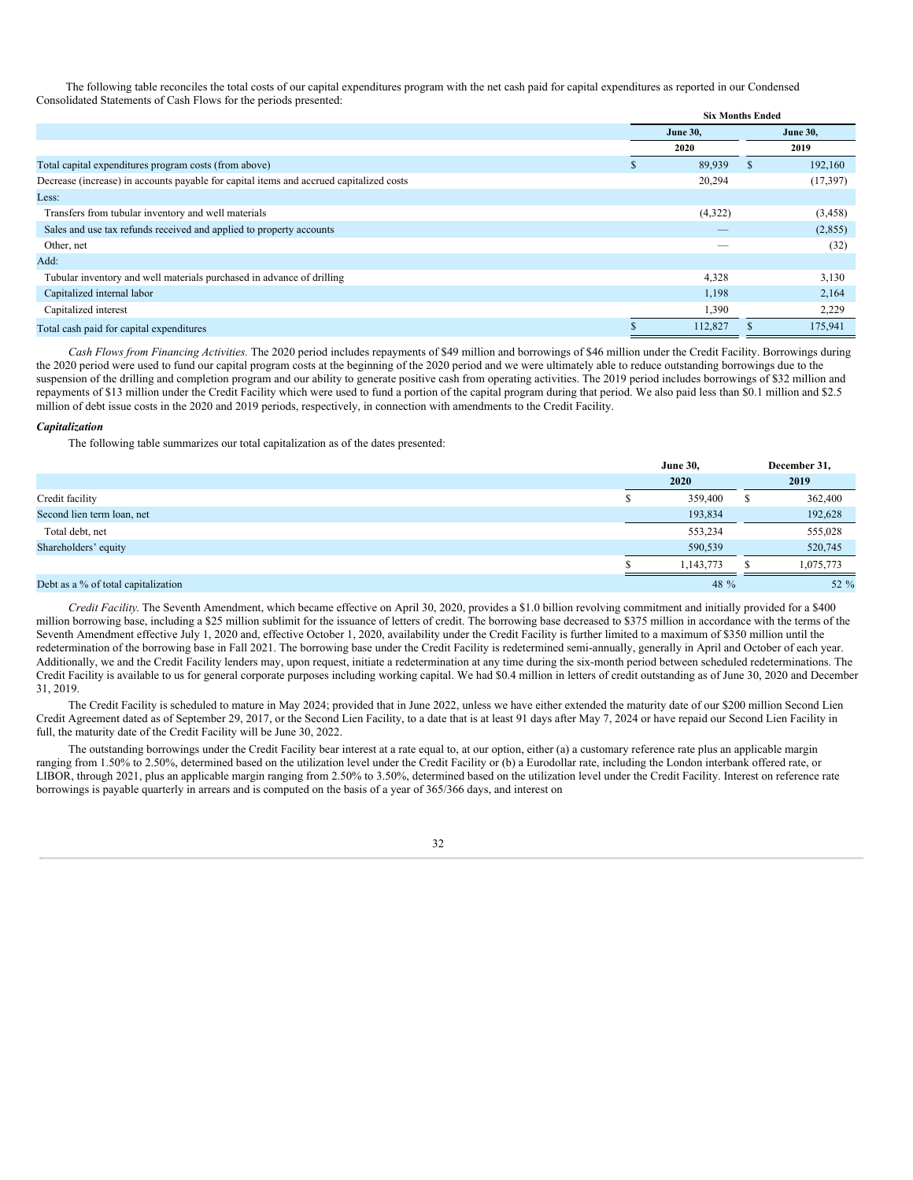The following table reconciles the total costs of our capital expenditures program with the net cash paid for capital expenditures as reported in our Condensed Consolidated Statements of Cash Flows for the periods presented:

|                                                                                         |    | <b>Six Months Ended</b>  |                 |
|-----------------------------------------------------------------------------------------|----|--------------------------|-----------------|
|                                                                                         |    | <b>June 30,</b>          | <b>June 30,</b> |
|                                                                                         |    | 2020                     | 2019            |
| Total capital expenditures program costs (from above)                                   | S. | 89,939                   | \$<br>192,160   |
| Decrease (increase) in accounts payable for capital items and accrued capitalized costs |    | 20,294                   | (17, 397)       |
| Less:                                                                                   |    |                          |                 |
| Transfers from tubular inventory and well materials                                     |    | (4,322)                  | (3,458)         |
| Sales and use tax refunds received and applied to property accounts                     |    | $\overline{\phantom{a}}$ | (2,855)         |
| Other, net                                                                              |    |                          | (32)            |
| Add:                                                                                    |    |                          |                 |
| Tubular inventory and well materials purchased in advance of drilling                   |    | 4,328                    | 3,130           |
| Capitalized internal labor                                                              |    | 1,198                    | 2,164           |
| Capitalized interest                                                                    |    | 1,390                    | 2,229           |
| Total cash paid for capital expenditures                                                |    | 112,827                  | 175,941         |

*Cash Flows from Financing Activities.* The 2020 period includes repayments of \$49 million and borrowings of \$46 million under the Credit Facility. Borrowings during the 2020 period were used to fund our capital program costs at the beginning of the 2020 period and we were ultimately able to reduce outstanding borrowings due to the suspension of the drilling and completion program and our ability to generate positive cash from operating activities. The 2019 period includes borrowings of \$32 million and repayments of \$13 million under the Credit Facility which were used to fund a portion of the capital program during that period. We also paid less than \$0.1 million and \$2.5 million of debt issue costs in the 2020 and 2019 periods, respectively, in connection with amendments to the Credit Facility.

### *Capitalization*

The following table summarizes our total capitalization as of the dates presented:

|                                     | <b>June 30,</b><br>2020<br>359,400<br>193,834<br>553,234<br>590,539 |           |      | December 31, |  |
|-------------------------------------|---------------------------------------------------------------------|-----------|------|--------------|--|
|                                     |                                                                     |           | 2019 |              |  |
| Credit facility                     |                                                                     |           |      | 362,400      |  |
| Second lien term loan, net          |                                                                     |           |      | 192,628      |  |
| Total debt, net                     |                                                                     |           |      | 555,028      |  |
| Shareholders' equity                |                                                                     |           |      | 520,745      |  |
|                                     |                                                                     | 1,143,773 |      | 1,075,773    |  |
| Debt as a % of total capitalization |                                                                     | 48 %      |      | 52 %         |  |

*Credit Facility*. The Seventh Amendment, which became effective on April 30, 2020, provides a \$1.0 billion revolving commitment and initially provided for a \$400 million borrowing base, including a \$25 million sublimit for the issuance of letters of credit. The borrowing base decreased to \$375 million in accordance with the terms of the Seventh Amendment effective July 1, 2020 and, effective October 1, 2020, availability under the Credit Facility is further limited to a maximum of \$350 million until the redetermination of the borrowing base in Fall 2021. The borrowing base under the Credit Facility is redetermined semi-annually, generally in April and October of each year. Additionally, we and the Credit Facility lenders may, upon request, initiate a redetermination at any time during the six-month period between scheduled redeterminations. The Credit Facility is available to us for general corporate purposes including working capital. We had \$0.4 million in letters of credit outstanding as of June 30, 2020 and December 31, 2019.

The Credit Facility is scheduled to mature in May 2024; provided that in June 2022, unless we have either extended the maturity date of our \$200 million Second Lien Credit Agreement dated as of September 29, 2017, or the Second Lien Facility, to a date that is at least 91 days after May 7, 2024 or have repaid our Second Lien Facility in full, the maturity date of the Credit Facility will be June 30, 2022.

The outstanding borrowings under the Credit Facility bear interest at a rate equal to, at our option, either (a) a customary reference rate plus an applicable margin ranging from 1.50% to 2.50%, determined based on the utilization level under the Credit Facility or (b) a Eurodollar rate, including the London interbank offered rate, or LIBOR, through 2021, plus an applicable margin ranging from 2.50% to 3.50%, determined based on the utilization level under the Credit Facility. Interest on reference rate borrowings is payable quarterly in arrears and is computed on the basis of a year of 365/366 days, and interest on

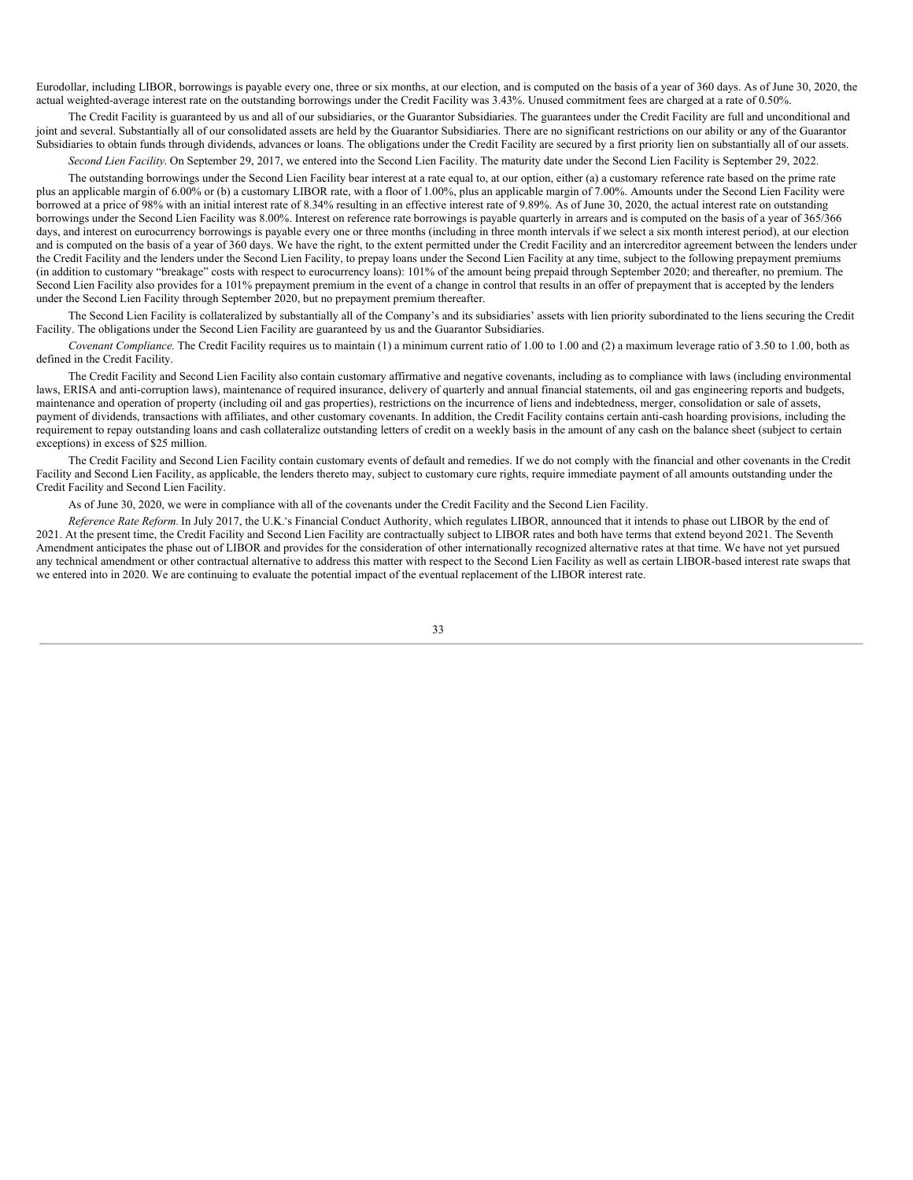Eurodollar, including LIBOR, borrowings is payable every one, three or six months, at our election, and is computed on the basis of a year of 360 days. As of June 30, 2020, the actual weighted-average interest rate on the outstanding borrowings under the Credit Facility was 3.43%. Unused commitment fees are charged at a rate of 0.50%.

The Credit Facility is guaranteed by us and all of our subsidiaries, or the Guarantor Subsidiaries. The guarantees under the Credit Facility are full and unconditional and joint and several. Substantially all of our consolidated assets are held by the Guarantor Subsidiaries. There are no significant restrictions on our ability or any of the Guarantor Subsidiaries to obtain funds through dividends, advances or loans. The obligations under the Credit Facility are secured by a first priority lien on substantially all of our assets.

*Second Lien Facility*. On September 29, 2017, we entered into the Second Lien Facility. The maturity date under the Second Lien Facility is September 29, 2022.

The outstanding borrowings under the Second Lien Facility bear interest at a rate equal to, at our option, either (a) a customary reference rate based on the prime rate plus an applicable margin of 6.00% or (b) a customary LIBOR rate, with a floor of 1.00%, plus an applicable margin of 7.00%. Amounts under the Second Lien Facility were borrowed at a price of 98% with an initial interest rate of 8.34% resulting in an effective interest rate of 9.89%. As of June 30, 2020, the actual interest rate on outstanding borrowings under the Second Lien Facility was 8.00%. Interest on reference rate borrowings is payable quarterly in arrears and is computed on the basis of a year of 365/366 days, and interest on eurocurrency borrowings is payable every one or three months (including in three month intervals if we select a six month interest period), at our election and is computed on the basis of a year of 360 days. We have the right, to the extent permitted under the Credit Facility and an intercreditor agreement between the lenders under the Credit Facility and the lenders under the Second Lien Facility, to prepay loans under the Second Lien Facility at any time, subject to the following prepayment premiums (in addition to customary "breakage" costs with respect to eurocurrency loans): 101% of the amount being prepaid through September 2020; and thereafter, no premium. The Second Lien Facility also provides for a 101% prepayment premium in the event of a change in control that results in an offer of prepayment that is accepted by the lenders under the Second Lien Facility through September 2020, but no prepayment premium thereafter.

The Second Lien Facility is collateralized by substantially all of the Company's and its subsidiaries' assets with lien priority subordinated to the liens securing the Credit Facility. The obligations under the Second Lien Facility are guaranteed by us and the Guarantor Subsidiaries.

*Covenant Compliance.* The Credit Facility requires us to maintain (1) a minimum current ratio of 1.00 to 1.00 and (2) a maximum leverage ratio of 3.50 to 1.00, both as defined in the Credit Facility.

The Credit Facility and Second Lien Facility also contain customary affirmative and negative covenants, including as to compliance with laws (including environmental laws, ERISA and anti-corruption laws), maintenance of required insurance, delivery of quarterly and annual financial statements, oil and gas engineering reports and budgets, maintenance and operation of property (including oil and gas properties), restrictions on the incurrence of liens and indebtedness, merger, consolidation or sale of assets, payment of dividends, transactions with affiliates, and other customary covenants. In addition, the Credit Facility contains certain anti-cash hoarding provisions, including the requirement to repay outstanding loans and cash collateralize outstanding letters of credit on a weekly basis in the amount of any cash on the balance sheet (subject to certain exceptions) in excess of \$25 million.

The Credit Facility and Second Lien Facility contain customary events of default and remedies. If we do not comply with the financial and other covenants in the Credit Facility and Second Lien Facility, as applicable, the lenders thereto may, subject to customary cure rights, require immediate payment of all amounts outstanding under the Credit Facility and Second Lien Facility.

As of June 30, 2020, we were in compliance with all of the covenants under the Credit Facility and the Second Lien Facility.

<span id="page-32-0"></span>*Reference Rate Reform.* In July 2017, the U.K.'s Financial Conduct Authority, which regulates LIBOR, announced that it intends to phase out LIBOR by the end of 2021. At the present time, the Credit Facility and Second Lien Facility are contractually subject to LIBOR rates and both have terms that extend beyond 2021. The Seventh Amendment anticipates the phase out of LIBOR and provides for the consideration of other internationally recognized alternative rates at that time. We have not yet pursued any technical amendment or other contractual alternative to address this matter with respect to the Second Lien Facility as well as certain LIBOR-based interest rate swaps that we entered into in 2020. We are continuing to evaluate the potential impact of the eventual replacement of the LIBOR interest rate.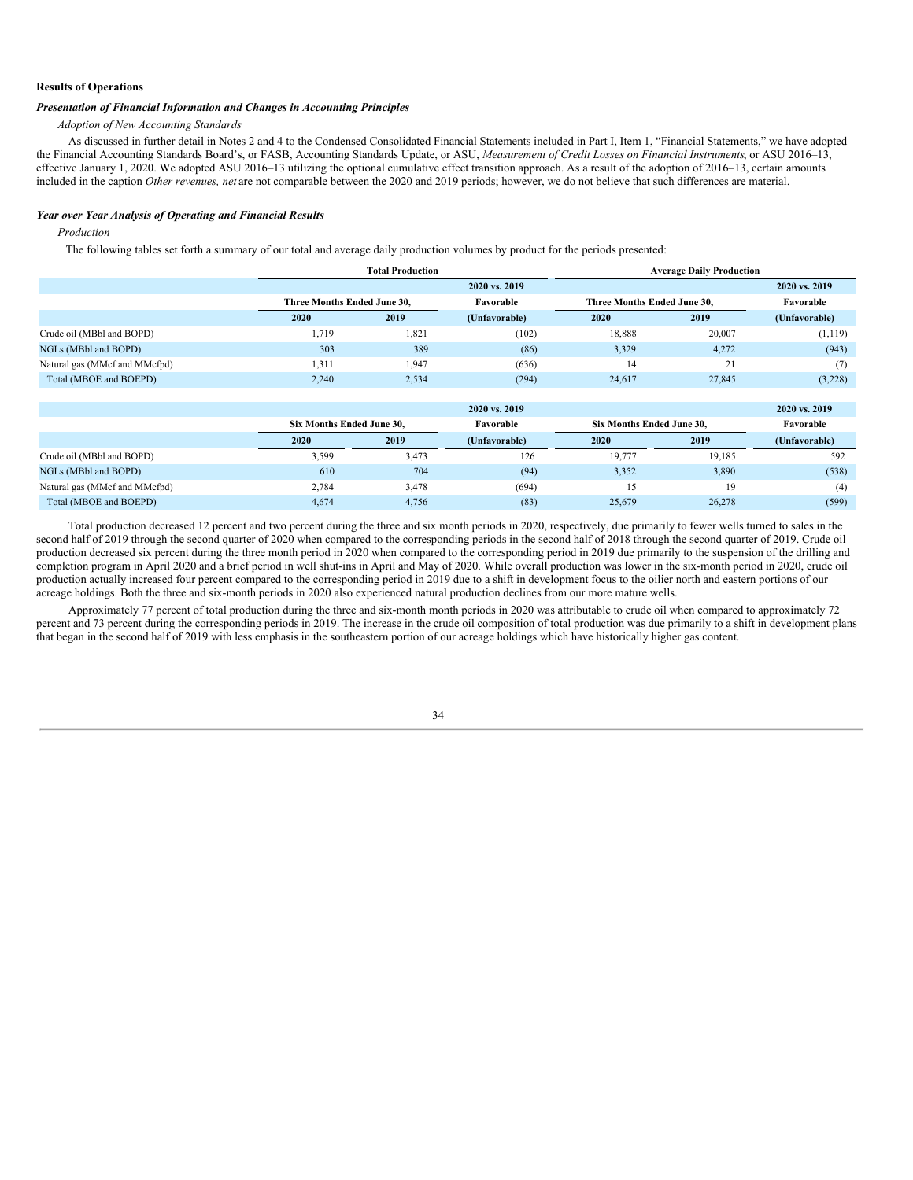# **Results of Operations**

# *Presentation of Financial Information and Changes in Accounting Principles*

# *Adoption of New Accounting Standards*

As discussed in further detail in Notes 2 and 4 to the Condensed Consolidated Financial Statements included in Part I, Item 1, "Financial Statements," we have adopted the Financial Accounting Standards Board's, or FASB, Accounting Standards Update, or ASU, *Measurement of Credit Losses on Financial Instruments*, or ASU 2016–13, effective January 1, 2020. We adopted ASU 2016-13 utilizing the optional cumulative effect transition approach. As a result of the adoption of 2016-13, certain amounts included in the caption *Other revenues, net* are not comparable between the 2020 and 2019 periods; however, we do not believe that such differences are material.

#### *Year over Year Analysis of Operating and Financial Results*

### *Production*

The following tables set forth a summary of our total and average daily production volumes by product for the periods presented:

|                               |                             | <b>Total Production</b> |               |                             | <b>Average Daily Production</b> |               |
|-------------------------------|-----------------------------|-------------------------|---------------|-----------------------------|---------------------------------|---------------|
|                               |                             |                         | 2020 vs. 2019 |                             |                                 | 2020 vs. 2019 |
|                               | Three Months Ended June 30. |                         | Favorable     | Three Months Ended June 30. |                                 | Favorable     |
|                               | 2020                        | 2019                    | (Unfavorable) | 2020                        | 2019                            | (Unfavorable) |
| Crude oil (MBbl and BOPD)     | 1,719                       | 1,821                   | (102)         | 18,888                      | 20,007                          | (1, 119)      |
| NGLs (MBbl and BOPD)          | 303                         | 389                     | (86)          | 3,329                       | 4,272                           | (943)         |
| Natural gas (MMcf and MMcfpd) | 1.311                       | 1,947                   | (636)         | 14                          | 21                              | (7)           |
| Total (MBOE and BOEPD)        | 2,240                       | 2,534                   | (294)         | 24.617                      | 27,845                          | (3,228)       |
|                               |                             |                         |               |                             |                                 |               |

|                               |                           |       | 2020 vs. 2019 |                                  |           | 2020 vs. 2019 |
|-------------------------------|---------------------------|-------|---------------|----------------------------------|-----------|---------------|
|                               | Six Months Ended June 30. |       | Favorable     | <b>Six Months Ended June 30.</b> | Favorable |               |
|                               | 2020                      | 2019  | (Unfavorable) | 2020                             | 2019      | (Unfavorable) |
| Crude oil (MBbl and BOPD)     | 3,599                     | 3.473 | 126           | 19.777                           | 19.185    | 592           |
| NGLs (MBbl and BOPD)          | 610                       | 704   | (94)          | 3,352                            | 3,890     | (538)         |
| Natural gas (MMcf and MMcfpd) | 2,784                     | 3.478 | (694)         | 15                               | 19        | (4)           |
| Total (MBOE and BOEPD)        | 4.674                     | 4.756 | (83)          | 25,679                           | 26,278    | (599)         |

Total production decreased 12 percent and two percent during the three and six month periods in 2020, respectively, due primarily to fewer wells turned to sales in the second half of 2019 through the second quarter of 2020 when compared to the corresponding periods in the second half of 2018 through the second quarter of 2019. Crude oil production decreased six percent during the three month period in 2020 when compared to the corresponding period in 2019 due primarily to the suspension of the drilling and completion program in April 2020 and a brief period in well shut-ins in April and May of 2020. While overall production was lower in the six-month period in 2020, crude oil production actually increased four percent compared to the corresponding period in 2019 due to a shift in development focus to the oilier north and eastern portions of our acreage holdings. Both the three and six-month periods in 2020 also experienced natural production declines from our more mature wells.

Approximately 77 percent of total production during the three and six-month month periods in 2020 was attributable to crude oil when compared to approximately 72 percent and 73 percent during the corresponding periods in 2019. The increase in the crude oil composition of total production was due primarily to a shift in development plans that began in the second half of 2019 with less emphasis in the southeastern portion of our acreage holdings which have historically higher gas content.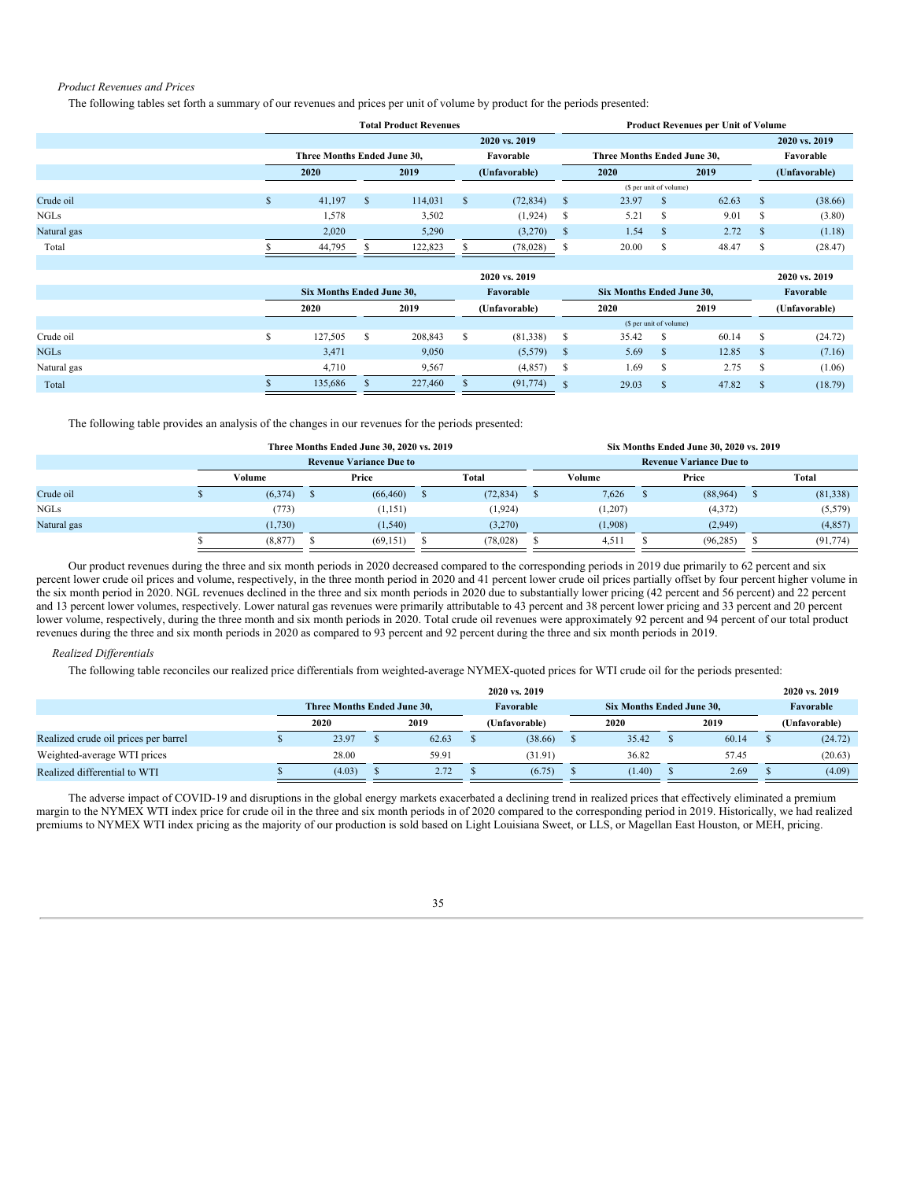# *Product Revenues and Prices*

The following tables set forth a summary of our revenues and prices per unit of volume by product for the periods presented:

|             |                             |   | <b>Total Product Revenues</b> |               |               | <b>Product Revenues per Unit of Volume</b> |                         |                             |       |               |           |  |
|-------------|-----------------------------|---|-------------------------------|---------------|---------------|--------------------------------------------|-------------------------|-----------------------------|-------|---------------|-----------|--|
|             |                             |   |                               | 2020 vs. 2019 |               |                                            |                         |                             |       | 2020 vs. 2019 |           |  |
|             | Three Months Ended June 30, |   |                               |               | Favorable     |                                            |                         | Three Months Ended June 30, |       |               | Favorable |  |
|             | 2020<br>2019                |   |                               |               | (Unfavorable) | 2020                                       |                         | 2019                        |       | (Unfavorable) |           |  |
|             |                             |   |                               |               |               |                                            | (\$ per unit of volume) |                             |       |               |           |  |
| Crude oil   | 41,197                      | S | 114,031                       | S             | (72, 834)     | <b>S</b>                                   | 23.97                   | <sup>S</sup>                | 62.63 | -8            | (38.66)   |  |
| <b>NGLs</b> | 1,578                       |   | 3,502                         |               | (1,924)       | -S                                         | 5.21                    | -S                          | 9.01  | -S            | (3.80)    |  |
| Natural gas | 2,020                       |   | 5,290                         |               | (3,270)       | - 8                                        | 1.54                    | -S                          | 2.72  | ∣S.           | (1.18)    |  |
| Total       | 44,795                      |   | 122,823                       |               | (78, 028)     |                                            | 20.00                   | -S                          | 48.47 | -S            | (28.47)   |  |
|             |                             |   |                               |               |               |                                            |                         |                             |       |               |           |  |

| Favorable<br>Six Months Ended June 30,<br>Six Months Ended June 30,<br>Favorable<br>2020<br>2019<br>2019<br>2020<br>(Unfavorable)<br>(\$ per unit of volume)<br>Crude oil<br>127.505<br>208,843<br>35.42<br>60.14<br>(81,338)<br>S<br>S<br><b>NGLs</b><br>(5,579)<br>12.85<br>9,050<br>3,471<br>5.69<br>-S<br>Ъ,<br>- 5<br>4.710<br>9,567<br>(4,857)<br>2.75<br>Natural gas<br>1.69<br>S<br>- 5<br>135,686<br>227,460<br>(91, 774)<br>Total<br>47.82<br>29.03 |  |  |  |  | 2020 vs. 2019 |  |  |               |  | 2020 vs. 2019 |
|---------------------------------------------------------------------------------------------------------------------------------------------------------------------------------------------------------------------------------------------------------------------------------------------------------------------------------------------------------------------------------------------------------------------------------------------------------------|--|--|--|--|---------------|--|--|---------------|--|---------------|
|                                                                                                                                                                                                                                                                                                                                                                                                                                                               |  |  |  |  |               |  |  |               |  |               |
|                                                                                                                                                                                                                                                                                                                                                                                                                                                               |  |  |  |  |               |  |  | (Unfavorable) |  |               |
|                                                                                                                                                                                                                                                                                                                                                                                                                                                               |  |  |  |  |               |  |  |               |  |               |
|                                                                                                                                                                                                                                                                                                                                                                                                                                                               |  |  |  |  |               |  |  |               |  | (24.72)       |
|                                                                                                                                                                                                                                                                                                                                                                                                                                                               |  |  |  |  |               |  |  |               |  | (7.16)        |
|                                                                                                                                                                                                                                                                                                                                                                                                                                                               |  |  |  |  |               |  |  |               |  | (1.06)        |
|                                                                                                                                                                                                                                                                                                                                                                                                                                                               |  |  |  |  |               |  |  |               |  | (18.79)       |

The following table provides an analysis of the changes in our revenues for the periods presented:

|             |                                | Three Months Ended June 30, 2020 vs. 2019<br><b>Six Months Ended June 30, 2020 vs. 2019</b> |           |  |           |  |                                |  |           |  |           |  |  |  |
|-------------|--------------------------------|---------------------------------------------------------------------------------------------|-----------|--|-----------|--|--------------------------------|--|-----------|--|-----------|--|--|--|
|             | <b>Revenue Variance Due to</b> |                                                                                             |           |  |           |  | <b>Revenue Variance Due to</b> |  |           |  |           |  |  |  |
|             | Volume                         |                                                                                             | Price     |  | Total     |  | Volume                         |  | Price     |  | Total     |  |  |  |
| Crude oil   | (6,374)                        |                                                                                             | (66, 460) |  | (72, 834) |  | 7,626                          |  | (88,964)  |  | (81,338)  |  |  |  |
| <b>NGLs</b> | (773)                          |                                                                                             | (1, 151)  |  | (1,924)   |  | (1,207)                        |  | (4,372)   |  | (5,579)   |  |  |  |
| Natural gas | (1,730)                        |                                                                                             | (1, 540)  |  | (3,270)   |  | (1,908)                        |  | (2,949)   |  | (4, 857)  |  |  |  |
|             | (8, 877)                       |                                                                                             | (69, 151) |  | (78, 028) |  | 4,511                          |  | (96, 285) |  | (91, 774) |  |  |  |

Our product revenues during the three and six month periods in 2020 decreased compared to the corresponding periods in 2019 due primarily to 62 percent and six percent lower crude oil prices and volume, respectively, in the three month period in 2020 and 41 percent lower crude oil prices partially offset by four percent higher volume in the six month period in 2020. NGL revenues declined in the three and six month periods in 2020 due to substantially lower pricing (42 percent and 56 percent) and 22 percent and 13 percent lower volumes, respectively. Lower natural gas revenues were primarily attributable to 43 percent and 38 percent alouer pricing and 33 percent and 20 percent lower volume, respectively, during the three month and six month periods in 2020. Total crude oil revenues were approximately 92 percent and 94 percent of our total product revenues during the three and six month periods in 2020 as compared to 93 percent and 92 percent during the three and six month periods in 2019.

# *Realized Dif erentials*

The following table reconciles our realized price differentials from weighted-average NYMEX-quoted prices for WTI crude oil for the periods presented:

|                                      |                             |      |       | 2020 vs. 2019 |                           |       | 2020 vs. 2019 |
|--------------------------------------|-----------------------------|------|-------|---------------|---------------------------|-------|---------------|
|                                      | Three Months Ended June 30, |      |       | Favorable     | Six Months Ended June 30. |       | Favorable     |
|                                      | 2020                        | 2019 |       | (Unfavorable) | 2020                      | 2019  | (Unfavorable) |
| Realized crude oil prices per barrel | 23.97                       |      | 62.63 | (38.66)       | 35.42                     | 60.14 | (24.72)       |
| Weighted-average WTI prices          | 28.00                       |      | 59.91 | (31.91)       | 36.82                     | 57.45 | (20.63)       |
| Realized differential to WTI         | (4.03)                      |      | 2.72  | (6.75)        | (1.40)                    | 2.69  | (4.09)        |

The adverse impact of COVID-19 and disruptions in the global energy markets exacerbated a declining trend in realized prices that effectively eliminated a premium margin to the NYMEX WTI index price for crude oil in the three and six month periods in of 2020 compared to the corresponding period in 2019. Historically, we had realized premiums to NYMEX WTI index pricing as the majority of our production is sold based on Light Louisiana Sweet, or LLS, or Magellan East Houston, or MEH, pricing.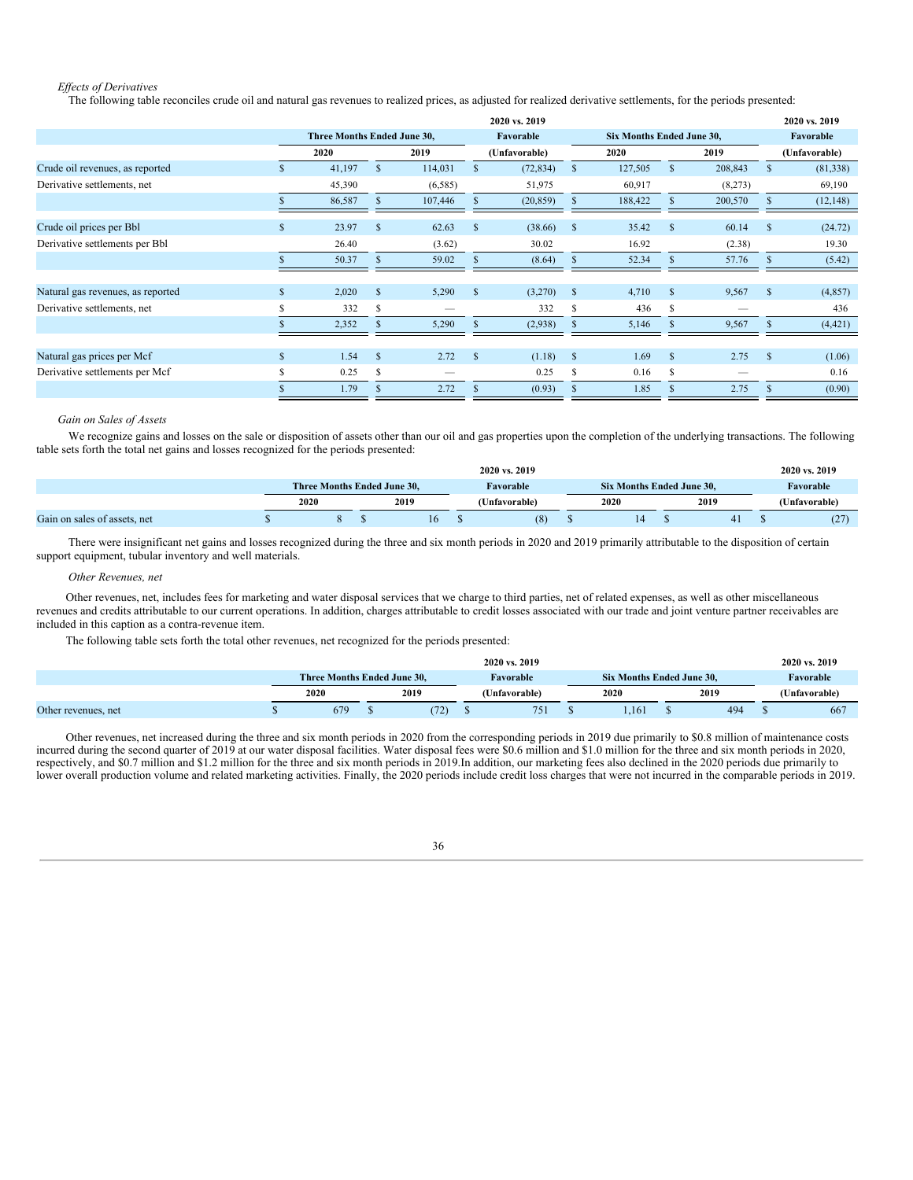# *Ef ects of Derivatives*

The following table reconciles crude oil and natural gas revenues to realized prices, as adjusted for realized derivative settlements, for the periods presented:

|                                   |              | 2020 vs. 2019               |              |         |              |               |               |                           |                    |                          |               |               |  |
|-----------------------------------|--------------|-----------------------------|--------------|---------|--------------|---------------|---------------|---------------------------|--------------------|--------------------------|---------------|---------------|--|
|                                   |              | Three Months Ended June 30, |              |         |              | Favorable     |               | Six Months Ended June 30, |                    |                          |               | Favorable     |  |
|                                   |              | 2020                        |              | 2019    |              | (Unfavorable) |               | 2020                      |                    | 2019                     |               | (Unfavorable) |  |
| Crude oil revenues, as reported   |              | 41,197                      | <sup>S</sup> | 114,031 |              | (72, 834)     | <sup>\$</sup> | 127,505                   | $\mathbb{S}$       | 208,843                  | $\mathcal{S}$ | (81,338)      |  |
| Derivative settlements, net       |              | 45,390                      |              | (6,585) |              | 51,975        |               | 60,917                    |                    | (8,273)                  |               | 69,190        |  |
|                                   |              | 86,587                      | $\mathbf{s}$ | 107,446 |              | (20, 859)     |               | 188,422                   | $\mathbf{\hat{s}}$ | 200,570                  |               | (12, 148)     |  |
| Crude oil prices per Bbl          | $\mathbb{S}$ | 23.97                       | $\mathbf{s}$ | 62.63   | \$           | (38.66)       | \$            | 35.42                     | $\mathbb{S}$       | 60.14                    | <sup>S</sup>  | (24.72)       |  |
| Derivative settlements per Bbl    |              | 26.40                       |              | (3.62)  |              | 30.02         |               | 16.92                     |                    | (2.38)                   |               | 19.30         |  |
|                                   |              | 50.37                       |              | 59.02   |              | (8.64)        |               | 52.34                     |                    | 57.76                    |               | (5.42)        |  |
|                                   |              |                             |              |         |              |               |               |                           |                    |                          |               |               |  |
| Natural gas revenues, as reported | $\mathbb{S}$ | 2,020                       | <sup>S</sup> | 5,290   | <sup>S</sup> | (3,270)       | \$            | 4,710                     | <sup>S</sup>       | 9,567                    | <sup>S</sup>  | (4,857)       |  |
| Derivative settlements, net       |              | 332                         | S            | __      |              | 332           | S             | 436                       | <sup>S</sup>       | $\overline{\phantom{a}}$ |               | 436           |  |
|                                   |              | 2,352                       |              | 5,290   |              | (2,938)       |               | 5,146                     |                    | 9,567                    |               | (4, 421)      |  |
|                                   |              |                             |              |         |              |               |               |                           |                    |                          |               |               |  |
| Natural gas prices per Mcf        | $\mathbb{S}$ | 1.54                        | <sup>S</sup> | 2.72    | <sup>S</sup> | (1.18)        | $\mathbb{S}$  | 1.69                      | <sup>\$</sup>      | 2.75                     | -S            | (1.06)        |  |
| Derivative settlements per Mcf    |              | 0.25                        | S            |         |              | 0.25          | S             | 0.16                      | S                  |                          |               | 0.16          |  |
|                                   |              | 1.79                        |              | 2.72    |              | (0.93)        |               | 1.85                      |                    | 2.75                     |               | (0.90)        |  |
|                                   |              |                             |              |         |              |               |               |                           |                    |                          |               |               |  |

# *Gain on Sales of Assets*

We recognize gains and losses on the sale or disposition of assets other than our oil and gas properties upon the completion of the underlying transactions. The following table sets forth the total net gains and losses recognized for the periods presented:

|                              |      |                                                                       |  |      |  | 2020 vs. 2019 |  |      |  |      |    |  | 2020 vs. 2019 |
|------------------------------|------|-----------------------------------------------------------------------|--|------|--|---------------|--|------|--|------|----|--|---------------|
|                              |      | Three Months Ended June 30.<br>Favorable<br>Six Months Ended June 30. |  |      |  |               |  |      |  |      |    |  | Favorable     |
|                              | 2020 |                                                                       |  | 2019 |  | Unfavorable)  |  | 2020 |  | 2019 |    |  | (Unfavorable) |
| Gain on sales of assets, net |      |                                                                       |  | 16   |  | (8)           |  |      |  |      | 41 |  | ا کا          |

There were insignificant net gains and losses recognized during the three and six month periods in 2020 and 2019 primarily attributable to the disposition of certain support equipment, tubular inventory and well materials.

#### *Other Revenues, net*

Other revenues, net, includes fees for marketing and water disposal services that we charge to third parties, net of related expenses, as well as other miscellaneous revenues and credits attributable to our current operations. In addition, charges attributable to credit losses associated with our trade and joint venture partner receivables are included in this caption as a contra-revenue item.

The following table sets forth the total other revenues, net recognized for the periods presented:

|                     |                                                                       |  |      |  | 2020 vs. 2019 |  |      |  |      |  | 2020 vs. 2019 |
|---------------------|-----------------------------------------------------------------------|--|------|--|---------------|--|------|--|------|--|---------------|
|                     | Three Months Ended June 30.<br>Six Months Ended June 30.<br>Favorable |  |      |  |               |  |      |  |      |  | Favorable     |
|                     | 2020                                                                  |  | 2019 |  | (Unfavorable) |  | 2020 |  | 2019 |  | (Unfavorable) |
| Other revenues, net | 679                                                                   |  | (72) |  | 751           |  | .161 |  | 494  |  | 667           |

Other revenues, net increased during the three and six month periods in 2020 from the corresponding periods in 2019 due primarily to \$0.8 million of maintenance costs incurred during the second quarter of 2019 at our water disposal facilities. Water disposal fees were \$0.6 million and \$1.0 million for the three and six month periods in 2020, respectively, and \$0.7 million and \$1.2 million for the three and six month periods in 2019.In addition, our marketing fees also declined in the 2020 periods due primarily to lower overall production volume and related marketing activities. Finally, the 2020 periods include credit loss charges that were not incurred in the comparable periods in 2019.

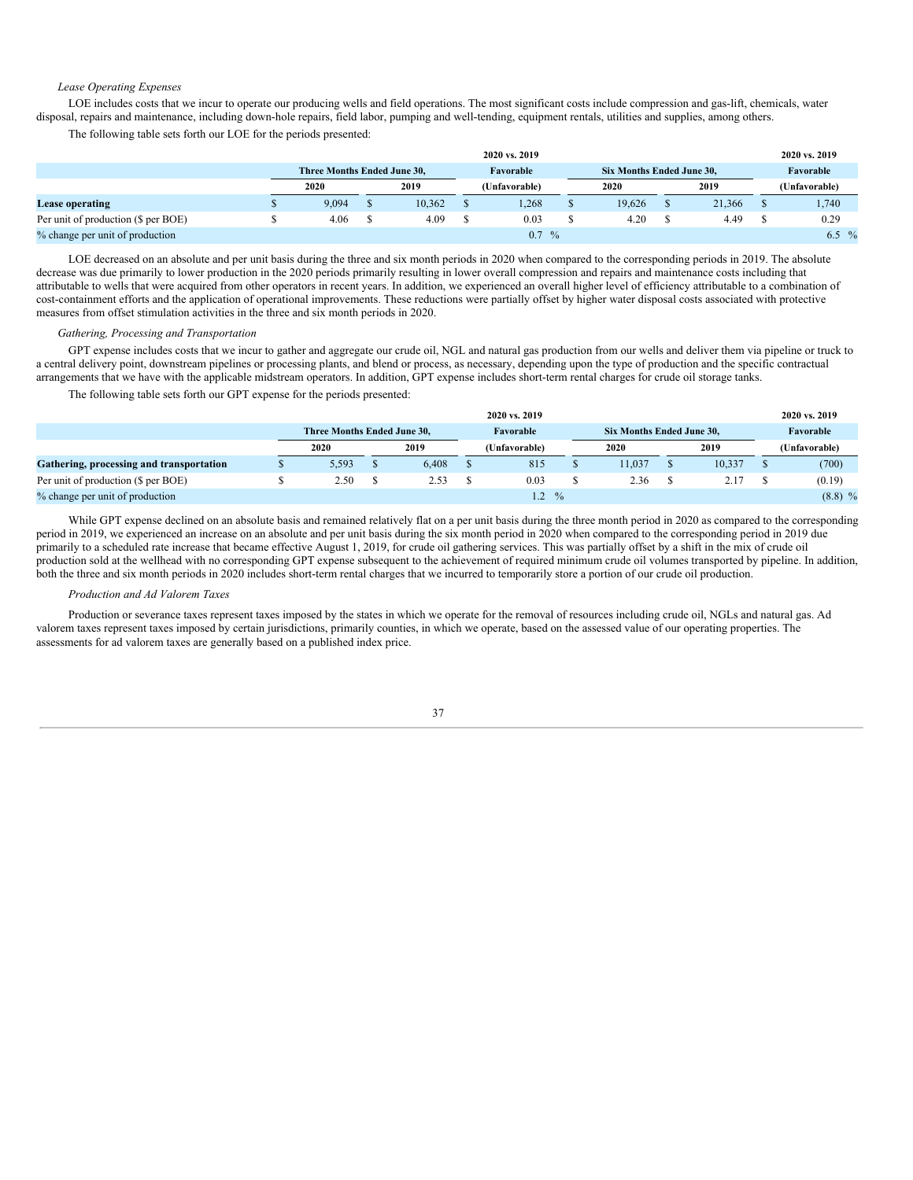### *Lease Operating Expenses*

LOE includes costs that we incur to operate our producing wells and field operations. The most significant costs include compression and gas-lift, chemicals, water disposal, repairs and maintenance, including down-hole repairs, field labor, pumping and well-tending, equipment rentals, utilities and supplies, among others.

The following table sets forth our LOE for the periods presented:

|                                     |                             |        | 2020 vs. 2019 |                                  |        | 2020 vs. 2019 |
|-------------------------------------|-----------------------------|--------|---------------|----------------------------------|--------|---------------|
|                                     | Three Months Ended June 30. |        | Favorable     | <b>Six Months Ended June 30.</b> |        | Favorable     |
|                                     | 2020                        | 2019   | (Unfavorable) | 2020                             | 2019   | (Unfavorable) |
| Lease operating                     | 9,094                       | 10,362 | .268          | 19.626                           | 21,366 | 1,740         |
| Per unit of production (\$ per BOE) | 4.06                        | 4.09   | 0.03          | 4.20                             | 4.49   | 0.29          |
| % change per unit of production     |                             |        | $0.7\%$       |                                  |        | 6.5 $\%$      |

LOE decreased on an absolute and per unit basis during the three and six month periods in 2020 when compared to the corresponding periods in 2019. The absolute decrease was due primarily to lower production in the 2020 periods primarily resulting in lower overall compression and repairs and maintenance costs including that attributable to wells that were acquired from other operators in recent years. In addition, we experienced an overall higher level of efficiency attributable to a combination of cost-containment efforts and the application of operational improvements. These reductions were partially offset by higher water disposal costs associated with protective measures from offset stimulation activities in the three and six month periods in 2020.

# *Gathering, Processing and Transportation*

GPT expense includes costs that we incur to gather and aggregate our crude oil, NGL and natural gas production from our wells and deliver them via pipeline or truck to a central delivery point, downstream pipelines or processing plants, and blend or process, as necessary, depending upon the type of production and the specific contractual arrangements that we have with the applicable midstream operators. In addition, GPT expense includes short-term rental charges for crude oil storage tanks.

The following table sets forth our GPT expense for the periods presented:

|                                          |                             |       | 2020 vs. 2019 |                           |        | 2020 vs. 2019 |
|------------------------------------------|-----------------------------|-------|---------------|---------------------------|--------|---------------|
|                                          | Three Months Ended June 30. |       | Favorable     | Six Months Ended June 30. |        | Favorable     |
|                                          | 2020                        | 2019  | (Unfavorable) | 2020                      | 2019   | (Unfavorable) |
| Gathering, processing and transportation | 5.593                       | 6.408 | 815           | 11.037                    | 10.337 | (700)         |
| Per unit of production (\$ per BOE)      | 2.50                        | 2.53  | 0.03          | 2.36                      | 2.17   | (0.19)        |
| % change per unit of production          |                             |       | 1.2 $\%$      |                           |        | $(8.8)$ %     |

While GPT expense declined on an absolute basis and remained relatively flat on a per unit basis during the three month period in 2020 as compared to the corresponding period in 2019, we experienced an increase on an absolute and per unit basis during the six month period in 2020 when compared to the corresponding period in 2019 due primarily to a scheduled rate increase that became effective August 1, 2019, for crude oil gathering services. This was partially offset by a shift in the mix of crude oil production sold at the wellhead with no corresponding GPT expense subsequent to the achievement of required minimum crude oil volumes transported by pipeline. In addition, both the three and six month periods in 2020 includes short-term rental charges that we incurred to temporarily store a portion of our crude oil production.

# *Production and Ad Valorem Taxes*

Production or severance taxes represent taxes imposed by the states in which we operate for the removal of resources including crude oil, NGLs and natural gas. Ad valorem taxes represent taxes imposed by certain jurisdictions, primarily counties, in which we operate, based on the assessed value of our operating properties. The assessments for ad valorem taxes are generally based on a published index price.

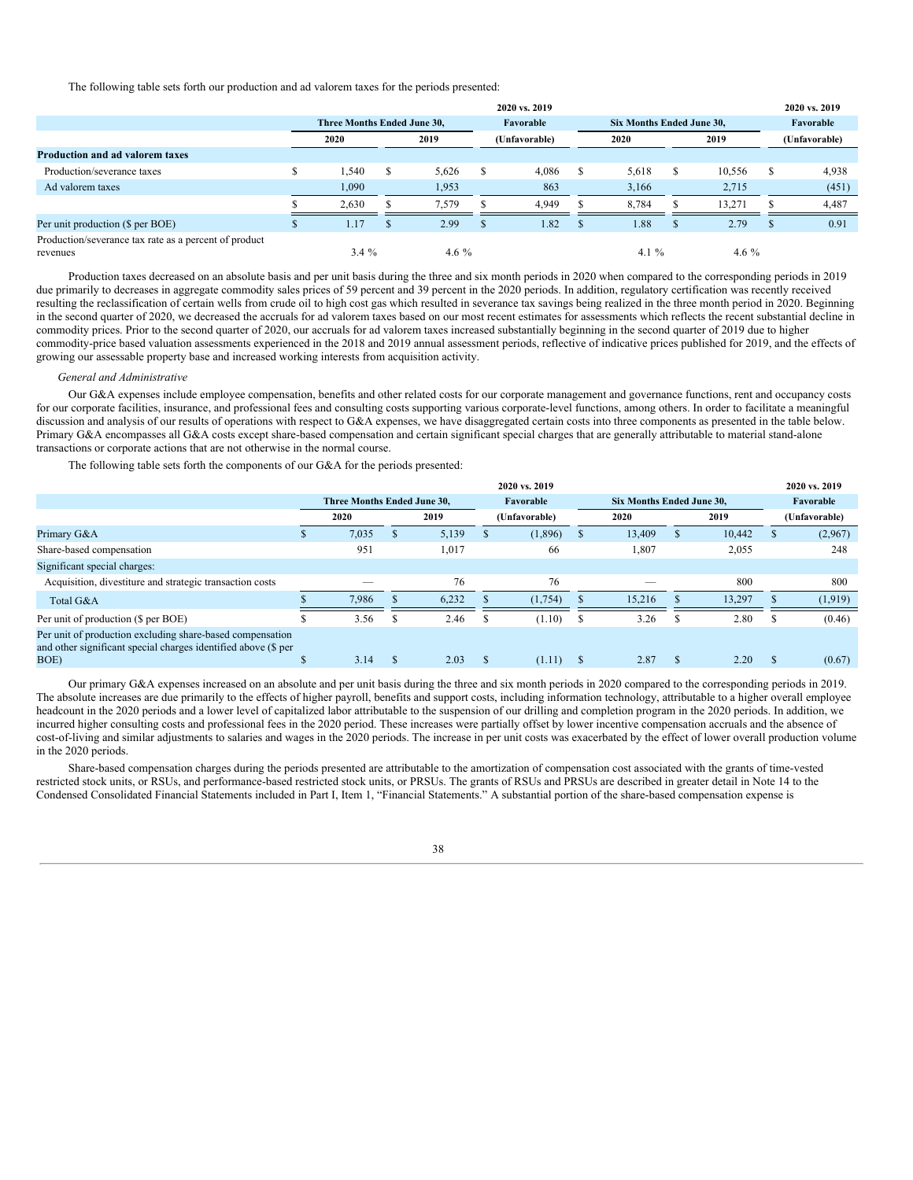The following table sets forth our production and ad valorem taxes for the periods presented:

|                                                                   |     |                             |   |         |    | 2020 vs. 2019 |   |                           |          |         | 2020 vs. 2019 |
|-------------------------------------------------------------------|-----|-----------------------------|---|---------|----|---------------|---|---------------------------|----------|---------|---------------|
|                                                                   |     | Three Months Ended June 30, |   |         |    | Favorable     |   | Six Months Ended June 30, |          |         | Favorable     |
|                                                                   |     | 2020                        |   | 2019    |    | (Unfavorable) |   | 2020                      |          | 2019    | (Unfavorable) |
| Production and ad valorem taxes                                   |     |                             |   |         |    |               |   |                           |          |         |               |
| Production/severance taxes                                        | ۰D. | 1,540                       | ъ | 5,626   | -S | 4,086         | S | 5,618                     | S        | 10,556  | 4,938         |
| Ad valorem taxes                                                  |     | 1,090                       |   | 1,953   |    | 863           |   | 3,166                     |          | 2,715   | (451)         |
|                                                                   |     | 2,630                       |   | 7.579   |    | 4.949         |   | 8.784                     |          | 13,271  | 4,487         |
| Per unit production (\$ per BOE)                                  |     | 1.17                        |   | 2.99    | £. | 1.82          |   | 1.88                      | <b>S</b> | 2.79    | 0.91          |
| Production/severance tax rate as a percent of product<br>revenues |     | $3.4\%$                     |   | 4.6 $%$ |    |               |   | 4.1 $\%$                  |          | 4.6 $%$ |               |

Production taxes decreased on an absolute basis and per unit basis during the three and six month periods in 2020 when compared to the corresponding periods in 2019 due primarily to decreases in aggregate commodity sales prices of 59 percent and 39 percent in the 2020 periods. In addition, regulatory certification was recently received resulting the reclassification of certain wells from crude oil to high cost gas which resulted in severance tax savings being realized in the three month period in 2020. Beginning in the second quarter of 2020, we decreased the accruals for ad valorem taxes based on our most recent estimates for assessments which reflects the recent substantial decline in commodity prices. Prior to the second quarter of 2020, our accruals for ad valorem taxes increased substantially beginning in the second quarter of 2019 due to higher commodity-price based valuation assessments experienced in the 2018 and 2019 annual assessment periods, reflective of indicative prices published for 2019, and the effects of growing our assessable property base and increased working interests from acquisition activity.

# *General and Administrative*

Our G&A expenses include employee compensation, benefits and other related costs for our corporate management and governance functions, rent and occupancy costs for our corporate facilities, insurance, and professional fees and consulting costs supporting various corporate-level functions, among others. In order to facilitate a meaningful discussion and analysis of our results of operations with respect to G&A expenses, we have disaggregated certain costs into three components as presented in the table below. Primary G&A encompasses all G&A costs except share-based compensation and certain significant special charges that are generally attributable to material stand-alone transactions or corporate actions that are not otherwise in the normal course.

The following table sets forth the components of our G&A for the periods presented:

|                                                                                                                                     |   |                             |          |       | 2020 vs. 2019 |               |                           |   |        | 2020 vs. 2019 |
|-------------------------------------------------------------------------------------------------------------------------------------|---|-----------------------------|----------|-------|---------------|---------------|---------------------------|---|--------|---------------|
|                                                                                                                                     |   | Three Months Ended June 30, |          |       | Favorable     |               | Six Months Ended June 30, |   |        | Favorable     |
|                                                                                                                                     |   | 2020                        |          | 2019  | (Unfavorable) |               | 2020                      |   | 2019   | (Unfavorable) |
| Primary G&A                                                                                                                         |   | 7,035                       | <b>S</b> | 5,139 | (1,896)       | Ъ             | 13,409                    | æ | 10,442 | (2,967)       |
| Share-based compensation                                                                                                            |   | 951                         |          | 1,017 | 66            |               | 1,807                     |   | 2,055  | 248           |
| Significant special charges:                                                                                                        |   |                             |          |       |               |               |                           |   |        |               |
| Acquisition, divestiture and strategic transaction costs                                                                            |   |                             |          | 76    | 76            |               |                           |   | 800    | 800           |
| Total G&A                                                                                                                           |   | 7.986                       |          | 6.232 | (1,754)       | $\mathcal{L}$ | 15.216                    |   | 13,297 | (1,919)       |
| Per unit of production (\$ per BOE)                                                                                                 | ъ | 3.56                        | S        | 2.46  | (1.10)        | -S            | 3.26                      | ъ | 2.80   | (0.46)        |
| Per unit of production excluding share-based compensation<br>and other significant special charges identified above (\$ per<br>BOE) |   | 3.14                        |          | 2.03  | (1.11)        | S             | 2.87                      |   | 2.20   | (0.67)        |

Our primary G&A expenses increased on an absolute and per unit basis during the three and six month periods in 2020 compared to the corresponding periods in 2019. The absolute increases are due primarily to the effects of higher payroll, benefits and support costs, including information technology, attributable to a higher overall employee headcount in the 2020 periods and a lower level of capitalized labor attributable to the suspension of our drilling and completion program in the 2020 periods. In addition, we incurred higher consulting costs and professional fees in the 2020 period. These increases were partially offset by lower incentive compensation accruals and the absence of cost-of-living and similar adjustments to salaries and wages in the 2020 periods. The increase in per unit costs was exacerbated by the effect of lower overall production volume in the 2020 periods.

Share-based compensation charges during the periods presented are attributable to the amortization of compensation cost associated with the grants of time-vested restricted stock units, or RSUs, and performance-based restricted stock units, or PRSUs. The grants of RSUs and PRSUs are described in greater detail in Note 14 to the Condensed Consolidated Financial Statements included in Part I, Item 1, "Financial Statements." A substantial portion of the share-based compensation expense is

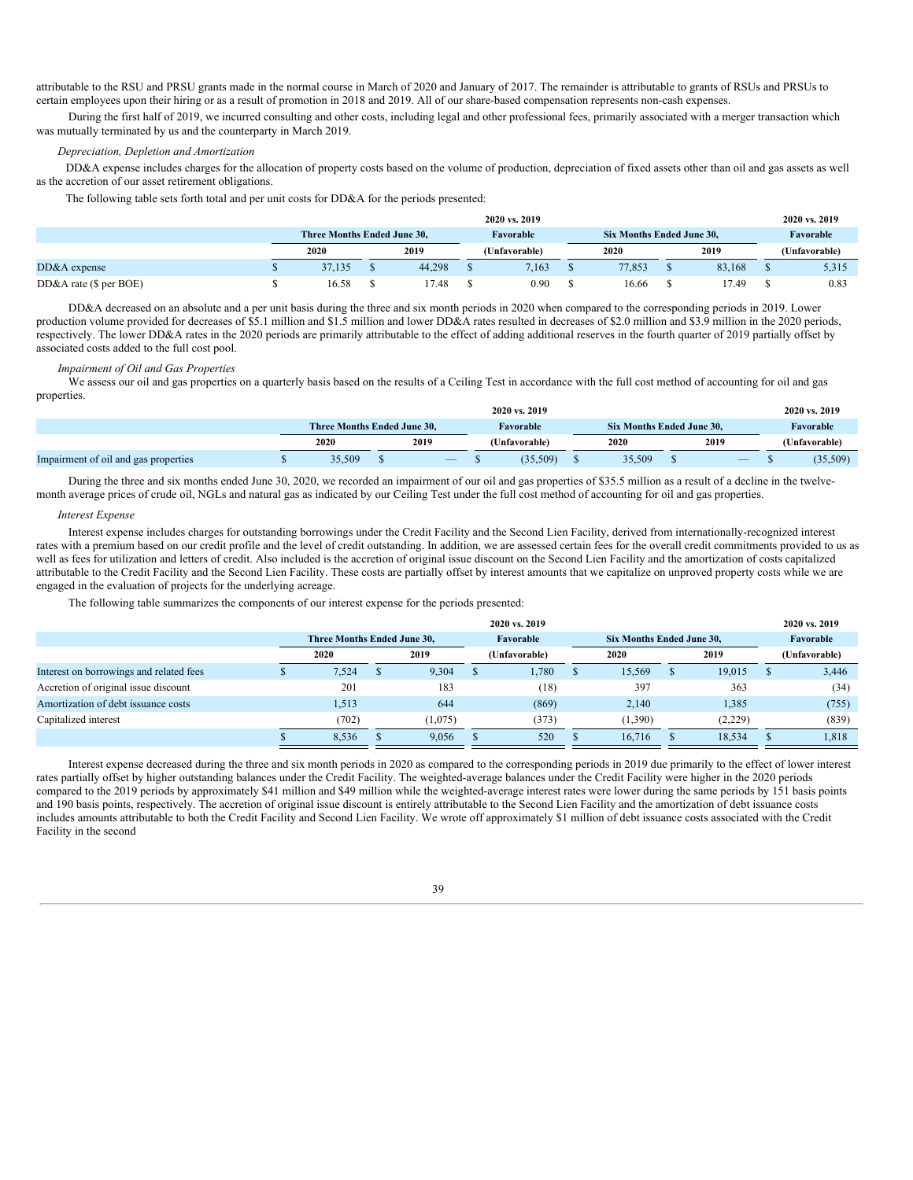attributable to the RSU and PRSU grants made in the normal course in March of 2020 and January of 2017. The remainder is attributable to grants of RSUs and PRSUs to certain employees upon their hiring or as a result of promotion in 2018 and 2019. All of our share-based compensation represents non-cash expenses.

During the first half of 2019, we incurred consulting and other costs, including legal and other professional fees, primarily associated with a merger transaction which was mutually terminated by us and the counterparty in March 2019.

#### *Depreciation, Depletion and Amortization*

DD&A expense includes charges for the allocation of property costs based on the volume of production, depreciation of fixed assets other than oil and gas assets as well as the accretion of our asset retirement obligations.

The following table sets forth total and per unit costs for DD&A for the periods presented:

|                          |                             |        | 2020 vs. 2019 |                                  |        | 2020 vs. 2019 |
|--------------------------|-----------------------------|--------|---------------|----------------------------------|--------|---------------|
|                          | Three Months Ended June 30. |        | Favorable     | <b>Six Months Ended June 30.</b> |        | Favorable     |
|                          | 2020                        | 2019   | (Unfavorable) | 2020                             | 2019   | (Unfavorable) |
| DD&A expense             | 37,135                      | 44.298 | 7.163         | 77,853                           | 83.168 | 5,315         |
| DD&A rate $(\$$ per BOE) | 16.58                       | 17.48  | 0.90          | 16.66                            | 17.49  | 0.83          |

DD&A decreased on an absolute and a per unit basis during the three and six month periods in 2020 when compared to the corresponding periods in 2019. Lower production volume provided for decreases of \$5.1 million and \$1.5 million and lower DD&A rates resulted in decreases of \$2.0 million and \$3.9 million in the 2020 periods, respectively. The lower DD&A rates in the 2020 periods are primarily attributable to the effect of adding additional reserves in the fourth quarter of 2019 partially offset by associated costs added to the full cost pool.

### *Impairment of Oil and Gas Properties*

We assess our oil and gas properties on a quarterly basis based on the results of a Ceiling Test in accordance with the full cost method of accounting for oil and gas properties.

|                                      |                             |        | 2020 vs. 2019 |                           |      |                          | 2020 vs. 2019 |
|--------------------------------------|-----------------------------|--------|---------------|---------------------------|------|--------------------------|---------------|
|                                      | Three Months Ended June 30. |        | Favorable     | Six Months Ended June 30. |      |                          | Favorable     |
|                                      | 2020                        | 2019   | (Unfavorable) | 2020                      | 2019 |                          | Unfavorable)  |
| Impairment of oil and gas properties | 35.509                      | $\sim$ | (35,509)      | 35,509                    |      | $\overline{\phantom{m}}$ | (35,509)      |

During the three and six months ended June 30, 2020, we recorded an impairment of our oil and gas properties of \$35.5 million as a result of a decline in the twelvemonth average prices of crude oil, NGLs and natural gas as indicated by our Ceiling Test under the full cost method of accounting for oil and gas properties.

# *Interest Expense*

Interest expense includes charges for outstanding borrowings under the Credit Facility and the Second Lien Facility, derived from internationally-recognized interest rates with a premium based on our credit profile and the level of credit outstanding. In addition, we are assessed certain fees for the overall credit commitments provided to us as well as fees for utilization and letters of credit. Also included is the accretion of original issue discount on the Second Lien Facility and the amortization of costs capitalized attributable to the Credit Facility and the Second Lien Facility. These costs are partially offset by interest amounts that we capitalize on unproved property costs while we are engaged in the evaluation of projects for the underlying acreage.

The following table summarizes the components of our interest expense for the periods presented:

|                                         |                             |         | 2020 vs. 2019 |                                  |         | 2020 vs. 2019 |
|-----------------------------------------|-----------------------------|---------|---------------|----------------------------------|---------|---------------|
|                                         | Three Months Ended June 30. |         | Favorable     | <b>Six Months Ended June 30.</b> |         | Favorable     |
|                                         | 2020                        | 2019    | (Unfavorable) | 2020                             | 2019    | (Unfavorable) |
| Interest on borrowings and related fees | 7.524                       | 9.304   | 1,780         | 15.569                           | 19.015  | 3,446         |
| Accretion of original issue discount    | 201                         | 183     | (18)          | 397                              | 363     | (34)          |
| Amortization of debt issuance costs     | 1.513                       | 644     | (869)         | 2,140                            | 1,385   | (755)         |
| Capitalized interest                    | (702)                       | (1,075) | (373)         | (1,390)                          | (2,229) | (839)         |
|                                         | 8,536                       | 9,056   | 520           | 16.716                           | 18,534  | 1,818         |

Interest expense decreased during the three and six month periods in 2020 as compared to the corresponding periods in 2019 due primarily to the effect of lower interest rates partially offset by higher outstanding balances under the Credit Facility. The weighted-average balances under the Credit Facility were higher in the 2020 periods compared to the 2019 periods by approximately \$41 million and \$49 million while the weighted-average interest rates were lower during the same periods by 151 basis points and 190 basis points, respectively. The accretion of original issue discount is entirely attributable to the Second Lien Facility and the amortization of debt issuance costs includes amounts attributable to both the Credit Facility and Second Lien Facility. We wrote off approximately \$1 million of debt issuance costs associated with the Credit Facility in the second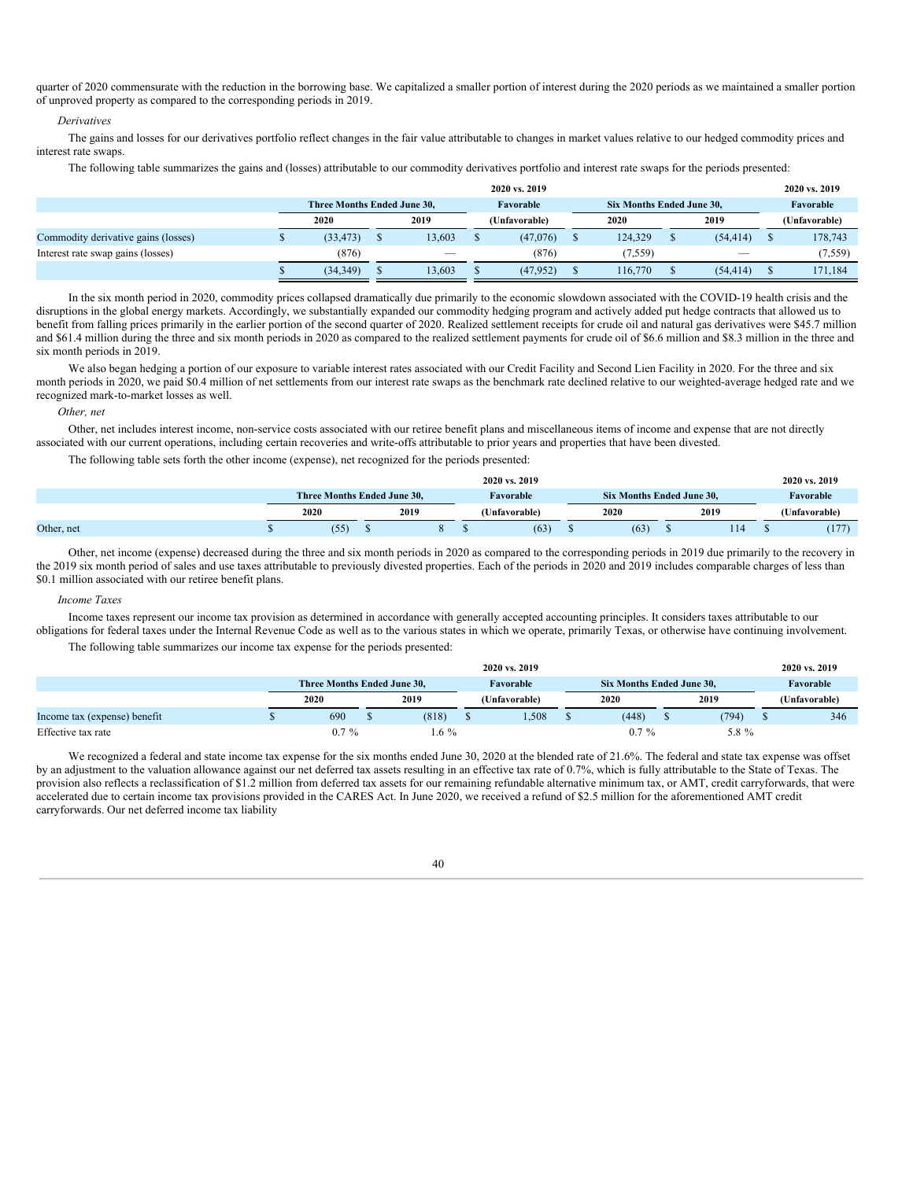quarter of 2020 commensurate with the reduction in the borrowing base. We capitalized a smaller portion of interest during the 2020 periods as we maintained a smaller portion of unproved property as compared to the corresponding periods in 2019.

### *Derivatives*

The gains and losses for our derivatives portfolio reflect changes in the fair value attributable to changes in market values relative to our hedged commodity prices and interest rate swaps.

The following table summarizes the gains and (losses) attributable to our commodity derivatives portfolio and interest rate swaps for the periods presented:

|                                     |                             |        | 2020 vs. 2019 |                           |           | 2020 vs. 2019 |
|-------------------------------------|-----------------------------|--------|---------------|---------------------------|-----------|---------------|
|                                     | Three Months Ended June 30. |        | Favorable     | Six Months Ended June 30. |           | Favorable     |
|                                     | 2020                        | 2019   | (Unfavorable) | 2020                      | 2019      | (Unfavorable) |
| Commodity derivative gains (losses) | (33, 473)                   | 13,603 | (47,076)      | 124,329                   | (54, 414) | 178,743       |
| Interest rate swap gains (losses)   | (876)                       |        | (876)         | (7, 559)                  |           | (7, 559)      |
|                                     | (34, 349)                   | 13,603 | (47,952)      | 116,770                   | (54, 414) | 171.184       |

In the six month period in 2020, commodity prices collapsed dramatically due primarily to the economic slowdown associated with the COVID-19 health crisis and the disruptions in the global energy markets. Accordingly, we substantially expanded our commodity hedging program and actively added put hedge contracts that allowed us to benefit from falling prices primarily in the earlier portion of the second quarter of 2020. Realized settlement receipts for crude oil and natural gas derivatives were \$45.7 million and \$61.4 million during the three and six month periods in 2020 as compared to the realized settlement payments for crude oil of \$6.6 million and \$8.3 million in the three and six month periods in 2019.

We also began hedging a portion of our exposure to variable interest rates associated with our Credit Facility and Second Lien Facility in 2020. For the three and six month periods in 2020, we paid \$0.4 million of net settlements from our interest rate swaps as the benchmark rate declined relative to our weighted-average hedged rate and we recognized mark-to-market losses as well.

*Other, net*

Other, net includes interest income, non-service costs associated with our retiree benefit plans and miscellaneous items of income and expense that are not directly associated with our current operations, including certain recoveries and write-offs attributable to prior years and properties that have been divested.

The following table sets forth the other income (expense), net recognized for the periods presented:

|            | 2020 vs. 2019               |              |  |               |  |  |           |                                  |      |  |               | 2020 vs. 2019 |       |  |
|------------|-----------------------------|--------------|--|---------------|--|--|-----------|----------------------------------|------|--|---------------|---------------|-------|--|
|            | Three Months Ended June 30. |              |  |               |  |  | Favorable | <b>Six Months Ended June 30.</b> |      |  |               | Favorable     |       |  |
|            |                             | 2019<br>2020 |  | (Unfavorable) |  |  | 2020      | 2019                             |      |  | (Unfavorable) |               |       |  |
| Other, net |                             | (55)         |  |               |  |  | (63)      |                                  | (63) |  | 114           |               | (177) |  |

Other, net income (expense) decreased during the three and six month periods in 2020 as compared to the corresponding periods in 2019 due primarily to the recovery in the 2019 six month period of sales and use taxes attributable to previously divested properties. Each of the periods in 2020 and 2019 includes comparable charges of less than \$0.1 million associated with our retiree benefit plans.

#### *Income Taxes*

Income taxes represent our income tax provision as determined in accordance with generally accepted accounting principles. It considers taxes attributable to our obligations for federal taxes under the Internal Revenue Code as well as to the various states in which we operate, primarily Texas, or otherwise have continuing involvement.

The following table summarizes our income tax expense for the periods presented:

|                              | 2020 vs. 2019               |  |       |           |               |                                  |           |  |       |  | 2020 vs. 2019 |
|------------------------------|-----------------------------|--|-------|-----------|---------------|----------------------------------|-----------|--|-------|--|---------------|
|                              | Three Months Ended June 30. |  |       | Favorable |               | <b>Six Months Ended June 30.</b> | Favorable |  |       |  |               |
|                              | 2020                        |  | 2019  |           | (Unfavorable) |                                  | 2020      |  | 2019  |  | (Unfavorable) |
| Income tax (expense) benefit | 690                         |  | (818) |           | .508          |                                  | (448)     |  | (794) |  | 346           |
| Effective tax rate           | $0.7\%$                     |  | 1.6 % |           |               |                                  | $0.7\%$   |  | 5.8 % |  |               |

We recognized a federal and state income tax expense for the six months ended June 30, 2020 at the blended rate of 21.6%. The federal and state tax expense was offset by an adjustment to the valuation allowance against our net deferred tax assets resulting in an effective tax rate of 0.7%, which is fully attributable to the State of Texas. The provision also reflects a reclassification of \$1.2 million from deferred tax assets for our remaining refundable alternative minimum tax, or AMT, credit carryforwards, that were accelerated due to certain income tax provisions provided in the CARES Act. In June 2020, we received a refund of \$2.5 million for the aforementioned AMT credit carryforwards. Our net deferred income tax liability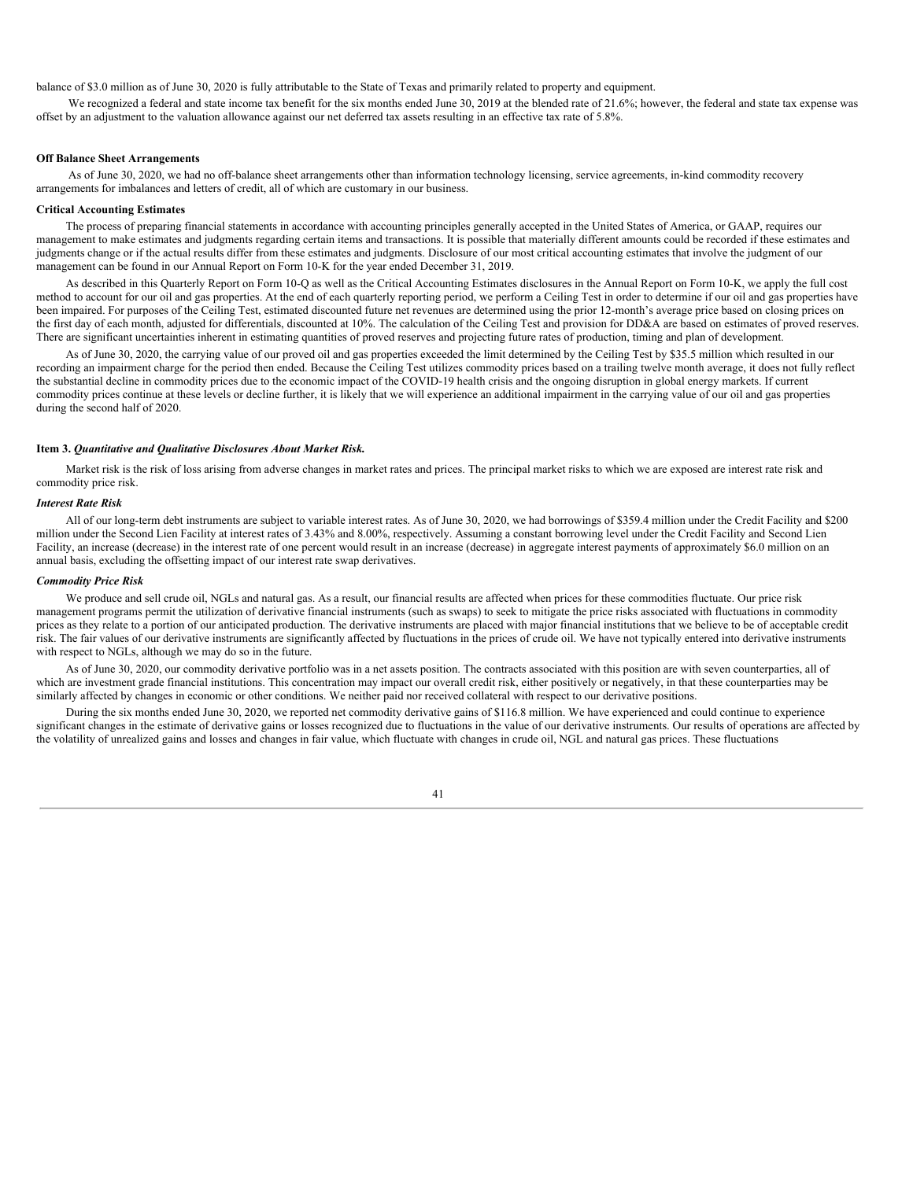balance of \$3.0 million as of June 30, 2020 is fully attributable to the State of Texas and primarily related to property and equipment.

We recognized a federal and state income tax benefit for the six months ended June 30, 2019 at the blended rate of 21.6%; however, the federal and state tax expense was offset by an adjustment to the valuation allowance against our net deferred tax assets resulting in an effective tax rate of 5.8%.

#### <span id="page-40-0"></span>**Off Balance Sheet Arrangements**

As of June 30, 2020, we had no off-balance sheet arrangements other than information technology licensing, service agreements, in-kind commodity recovery arrangements for imbalances and letters of credit, all of which are customary in our business.

#### **Critical Accounting Estimates**

The process of preparing financial statements in accordance with accounting principles generally accepted in the United States of America, or GAAP, requires our management to make estimates and judgments regarding certain items and transactions. It is possible that materially different amounts could be recorded if these estimates and judgments change or if the actual results differ from these estimates and judgments. Disclosure of our most critical accounting estimates that involve the judgment of our management can be found in our Annual Report on Form 10-K for the year ended December 31, 2019.

As described in this Quarterly Report on Form 10-Q as well as the Critical Accounting Estimates disclosures in the Annual Report on Form 10-K, we apply the full cost method to account for our oil and gas properties. At the end of each quarterly reporting period, we perform a Ceiling Test in order to determine if our oil and gas properties have been impaired. For purposes of the Ceiling Test, estimated discounted future net revenues are determined using the prior 12-month's average price based on closing prices on the first day of each month, adjusted for differentials, discounted at 10%. The calculation of the Ceiling Test and provision for DD&A are based on estimates of proved reserves. There are significant uncertainties inherent in estimating quantities of proved reserves and projecting future rates of production, timing and plan of development.

As of June 30, 2020, the carrying value of our proved oil and gas properties exceeded the limit determined by the Ceiling Test by \$35.5 million which resulted in our recording an impairment charge for the period then ended. Because the Ceiling Test utilizes commodity prices based on a trailing twelve month average, it does not fully reflect the substantial decline in commodity prices due to the economic impact of the COVID-19 health crisis and the ongoing disruption in global energy markets. If current commodity prices continue at these levels or decline further, it is likely that we will experience an additional impairment in the carrying value of our oil and gas properties during the second half of 2020.

# <span id="page-40-1"></span>**Item 3.** *Quantitative and Qualitative Disclosures About Market Risk.*

Market risk is the risk of loss arising from adverse changes in market rates and prices. The principal market risks to which we are exposed are interest rate risk and commodity price risk.

#### *Interest Rate Risk*

All of our long-term debt instruments are subject to variable interest rates. As of June 30, 2020, we had borrowings of \$359.4 million under the Credit Facility and \$200 million under the Second Lien Facility at interest rates of 3.43% and 8.00%, respectively. Assuming a constant borrowing level under the Credit Facility and Second Lien Facility, an increase (decrease) in the interest rate of one percent would result in an increase (decrease) in aggregate interest payments of approximately \$6.0 million on an annual basis, excluding the offsetting impact of our interest rate swap derivatives.

### *Commodity Price Risk*

We produce and sell crude oil, NGLs and natural gas. As a result, our financial results are affected when prices for these commodities fluctuate. Our price risk management programs permit the utilization of derivative financial instruments (such as swaps) to seek to mitigate the price risks associated with fluctuations in commodity prices as they relate to a portion of our anticipated production. The derivative instruments are placed with major financial institutions that we believe to be of acceptable credit risk. The fair values of our derivative instruments are significantly affected by fluctuations in the prices of crude oil. We have not typically entered into derivative instruments with respect to NGLs, although we may do so in the future.

As of June 30, 2020, our commodity derivative portfolio was in a net assets position. The contracts associated with this position are with seven counterparties, all of which are investment grade financial institutions. This concentration may impact our overall credit risk, either positively or negatively, in that these counterparties may be similarly affected by changes in economic or other conditions. We neither paid nor received collateral with respect to our derivative positions.

During the six months ended June 30, 2020, we reported net commodity derivative gains of \$116.8 million. We have experienced and could continue to experience significant changes in the estimate of derivative gains or losses recognized due to fluctuations in the value of our derivative instruments. Our results of operations are affected by the volatility of unrealized gains and losses and changes in fair value, which fluctuate with changes in crude oil, NGL and natural gas prices. These fluctuations

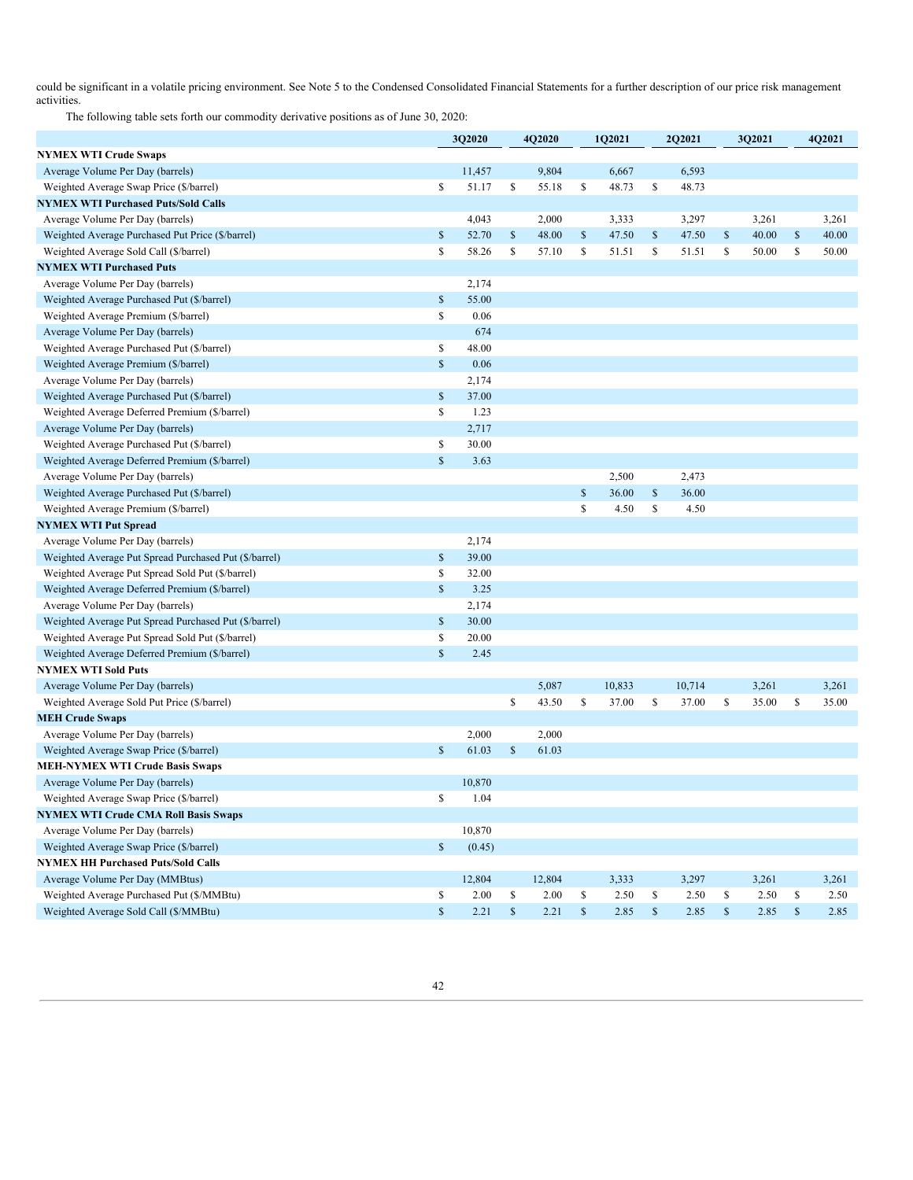could be significant in a volatile pricing environment. See Note 5 to the Condensed Consolidated Financial Statements for a further description of our price risk management activities.

The following table sets forth our commodity derivative positions as of June 30, 2020:

|                                                       |              | 3Q2020 |              | 4Q2020 |              | 1Q2021 |              | 2Q2021 |              | 3Q2021 |              | 4Q2021 |
|-------------------------------------------------------|--------------|--------|--------------|--------|--------------|--------|--------------|--------|--------------|--------|--------------|--------|
| <b>NYMEX WTI Crude Swaps</b>                          |              |        |              |        |              |        |              |        |              |        |              |        |
| Average Volume Per Day (barrels)                      |              | 11,457 |              | 9,804  |              | 6,667  |              | 6,593  |              |        |              |        |
| Weighted Average Swap Price (\$/barrel)               | \$           | 51.17  | \$           | 55.18  | \$           | 48.73  | \$           | 48.73  |              |        |              |        |
| <b>NYMEX WTI Purchased Puts/Sold Calls</b>            |              |        |              |        |              |        |              |        |              |        |              |        |
| Average Volume Per Day (barrels)                      |              | 4,043  |              | 2,000  |              | 3,333  |              | 3,297  |              | 3,261  |              | 3,261  |
| Weighted Average Purchased Put Price (\$/barrel)      | $\mathbb{S}$ | 52.70  | $\mathbb{S}$ | 48.00  | $\$$         | 47.50  | $\mathbb{S}$ | 47.50  | \$           | 40.00  | $\mathbb S$  | 40.00  |
| Weighted Average Sold Call (\$/barrel)                | \$           | 58.26  | \$           | 57.10  | \$           | 51.51  | \$           | 51.51  | \$           | 50.00  | S            | 50.00  |
| <b>NYMEX WTI Purchased Puts</b>                       |              |        |              |        |              |        |              |        |              |        |              |        |
| Average Volume Per Day (barrels)                      |              | 2,174  |              |        |              |        |              |        |              |        |              |        |
| Weighted Average Purchased Put (\$/barrel)            | $\mathbb{S}$ | 55.00  |              |        |              |        |              |        |              |        |              |        |
| Weighted Average Premium (\$/barrel)                  | $\mathbb{S}$ | 0.06   |              |        |              |        |              |        |              |        |              |        |
| Average Volume Per Day (barrels)                      |              | 674    |              |        |              |        |              |        |              |        |              |        |
| Weighted Average Purchased Put (\$/barrel)            | \$           | 48.00  |              |        |              |        |              |        |              |        |              |        |
| Weighted Average Premium (\$/barrel)                  | $\mathbb{S}$ | 0.06   |              |        |              |        |              |        |              |        |              |        |
| Average Volume Per Day (barrels)                      |              | 2,174  |              |        |              |        |              |        |              |        |              |        |
| Weighted Average Purchased Put (\$/barrel)            | $\mathbb{S}$ | 37.00  |              |        |              |        |              |        |              |        |              |        |
| Weighted Average Deferred Premium (\$/barrel)         | \$           | 1.23   |              |        |              |        |              |        |              |        |              |        |
| Average Volume Per Day (barrels)                      |              | 2,717  |              |        |              |        |              |        |              |        |              |        |
| Weighted Average Purchased Put (\$/barrel)            | \$           | 30.00  |              |        |              |        |              |        |              |        |              |        |
| Weighted Average Deferred Premium (\$/barrel)         | $\mathbb S$  | 3.63   |              |        |              |        |              |        |              |        |              |        |
| Average Volume Per Day (barrels)                      |              |        |              |        |              | 2,500  |              | 2,473  |              |        |              |        |
| Weighted Average Purchased Put (\$/barrel)            |              |        |              |        | \$           | 36.00  | $\mathbb{S}$ | 36.00  |              |        |              |        |
| Weighted Average Premium (\$/barrel)                  |              |        |              |        | \$           | 4.50   | \$           | 4.50   |              |        |              |        |
| <b>NYMEX WTI Put Spread</b>                           |              |        |              |        |              |        |              |        |              |        |              |        |
| Average Volume Per Day (barrels)                      |              | 2,174  |              |        |              |        |              |        |              |        |              |        |
| Weighted Average Put Spread Purchased Put (\$/barrel) | $\mathbb{S}$ | 39.00  |              |        |              |        |              |        |              |        |              |        |
| Weighted Average Put Spread Sold Put (\$/barrel)      | \$           | 32.00  |              |        |              |        |              |        |              |        |              |        |
| Weighted Average Deferred Premium (\$/barrel)         | $\mathbb{S}$ | 3.25   |              |        |              |        |              |        |              |        |              |        |
| Average Volume Per Day (barrels)                      |              | 2,174  |              |        |              |        |              |        |              |        |              |        |
| Weighted Average Put Spread Purchased Put (\$/barrel) | $\mathbb{S}$ | 30.00  |              |        |              |        |              |        |              |        |              |        |
| Weighted Average Put Spread Sold Put (\$/barrel)      | \$           | 20.00  |              |        |              |        |              |        |              |        |              |        |
| Weighted Average Deferred Premium (\$/barrel)         | \$           | 2.45   |              |        |              |        |              |        |              |        |              |        |
| NYMEX WTI Sold Puts                                   |              |        |              |        |              |        |              |        |              |        |              |        |
| Average Volume Per Day (barrels)                      |              |        |              | 5,087  |              | 10,833 |              | 10,714 |              | 3,261  |              | 3,261  |
| Weighted Average Sold Put Price (\$/barrel)           |              |        | \$           | 43.50  | \$           | 37.00  | \$           | 37.00  | \$           | 35.00  | \$           | 35.00  |
| <b>MEH Crude Swaps</b>                                |              |        |              |        |              |        |              |        |              |        |              |        |
| Average Volume Per Day (barrels)                      |              | 2,000  |              | 2,000  |              |        |              |        |              |        |              |        |
| Weighted Average Swap Price (\$/barrel)               | $\mathbb{S}$ | 61.03  | $\mathbb{S}$ | 61.03  |              |        |              |        |              |        |              |        |
| <b>MEH-NYMEX WTI Crude Basis Swaps</b>                |              |        |              |        |              |        |              |        |              |        |              |        |
| Average Volume Per Day (barrels)                      |              | 10,870 |              |        |              |        |              |        |              |        |              |        |
| Weighted Average Swap Price (\$/barrel)               | $\mathbb{S}$ | 1.04   |              |        |              |        |              |        |              |        |              |        |
| <b>NYMEX WTI Crude CMA Roll Basis Swaps</b>           |              |        |              |        |              |        |              |        |              |        |              |        |
| Average Volume Per Day (barrels)                      |              | 10,870 |              |        |              |        |              |        |              |        |              |        |
| Weighted Average Swap Price (\$/barrel)               | $\mathbb{S}$ | (0.45) |              |        |              |        |              |        |              |        |              |        |
| <b>NYMEX HH Purchased Puts/Sold Calls</b>             |              |        |              |        |              |        |              |        |              |        |              |        |
| Average Volume Per Day (MMBtus)                       |              | 12,804 |              | 12,804 |              | 3,333  |              | 3,297  |              | 3,261  |              | 3,261  |
| Weighted Average Purchased Put (\$/MMBtu)             | \$           | 2.00   | \$           | 2.00   | \$           | 2.50   | \$           | 2.50   | \$           | 2.50   | \$           | 2.50   |
| Weighted Average Sold Call (\$/MMBtu)                 | $\mathbb{S}$ | 2.21   | $\mathbb{S}$ | 2.21   | $\mathbb{S}$ | 2.85   | $\mathbb{S}$ | 2.85   | $\mathbb{S}$ | 2.85   | $\mathbb{S}$ | 2.85   |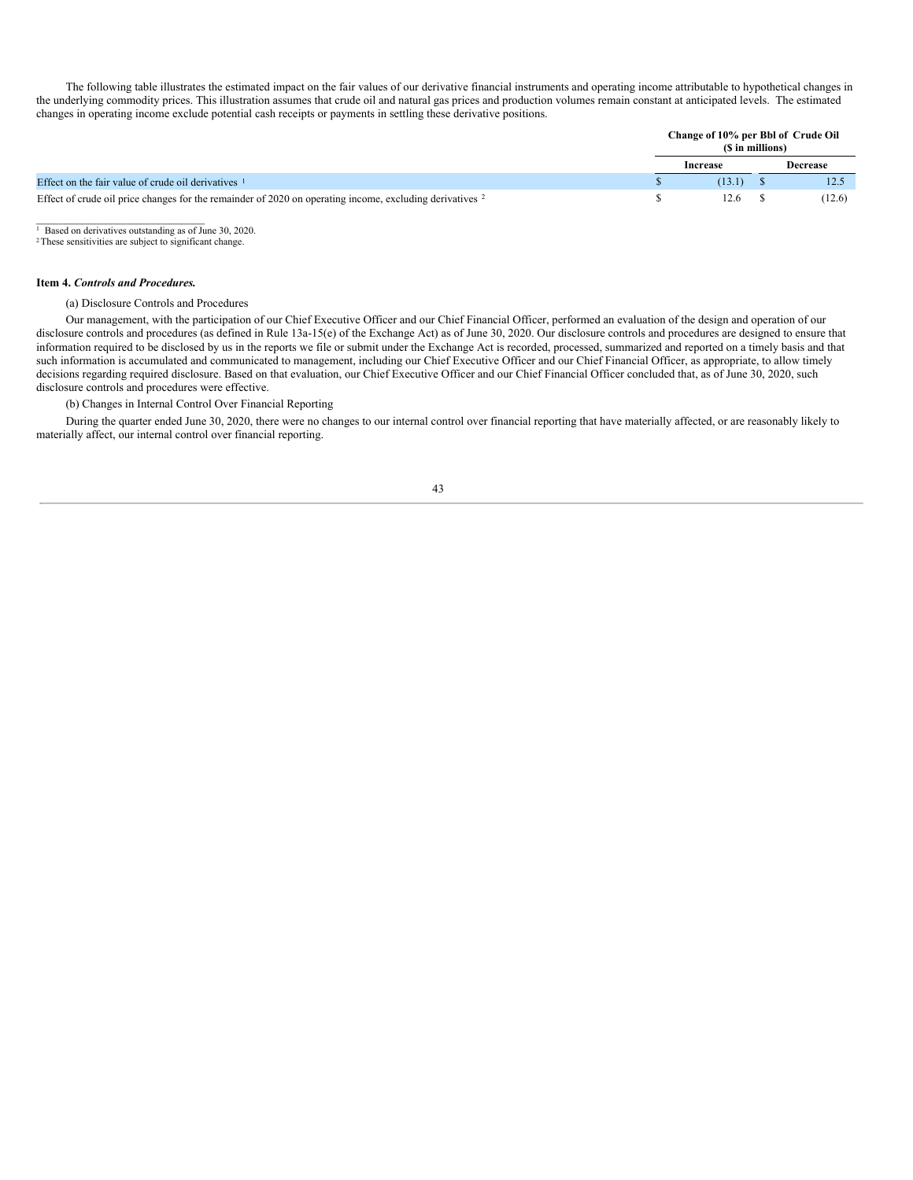The following table illustrates the estimated impact on the fair values of our derivative financial instruments and operating income attributable to hypothetical changes in the underlying commodity prices. This illustration assumes that crude oil and natural gas prices and production volumes remain constant at anticipated levels. The estimated changes in operating income exclude potential cash receipts or payments in settling these derivative positions.

|                                                                                                                     | (S in millions) | Change of 10% per Bbl of Crude Oil |  |
|---------------------------------------------------------------------------------------------------------------------|-----------------|------------------------------------|--|
|                                                                                                                     | Increase        | <b>Decrease</b>                    |  |
| Effect on the fair value of crude oil derivatives $1$                                                               | (13.1)          |                                    |  |
| Effect of crude oil price changes for the remainder of 2020 on operating income, excluding derivatives <sup>2</sup> | 12.6            | (12.6)                             |  |

<sup>1</sup> Based on derivatives outstanding as of June 30, 2020.

<sup>2</sup>These sensitivities are subject to significant change.

#### <span id="page-42-0"></span>**Item 4.** *Controls and Procedures.*

(a) Disclosure Controls and Procedures

Our management, with the participation of our Chief Executive Officer and our Chief Financial Officer, performed an evaluation of the design and operation of our disclosure controls and procedures (as defined in Rule 13a-15(e) of the Exchange Act) as of June 30, 2020. Our disclosure controls and procedures are designed to ensure that information required to be disclosed by us in the reports we file or submit under the Exchange Act is recorded, processed, summarized and reported on a timely basis and that such information is accumulated and communicated to management, including our Chief Executive Officer and our Chief Financial Officer, as appropriate, to allow timely decisions regarding required disclosure. Based on that evaluation, our Chief Executive Officer and our Chief Financial Officer concluded that, as of June 30, 2020, such disclosure controls and procedures were effective.

(b) Changes in Internal Control Over Financial Reporting

During the quarter ended June 30, 2020, there were no changes to our internal control over financial reporting that have materially affected, or are reasonably likely to materially affect, our internal control over financial reporting.

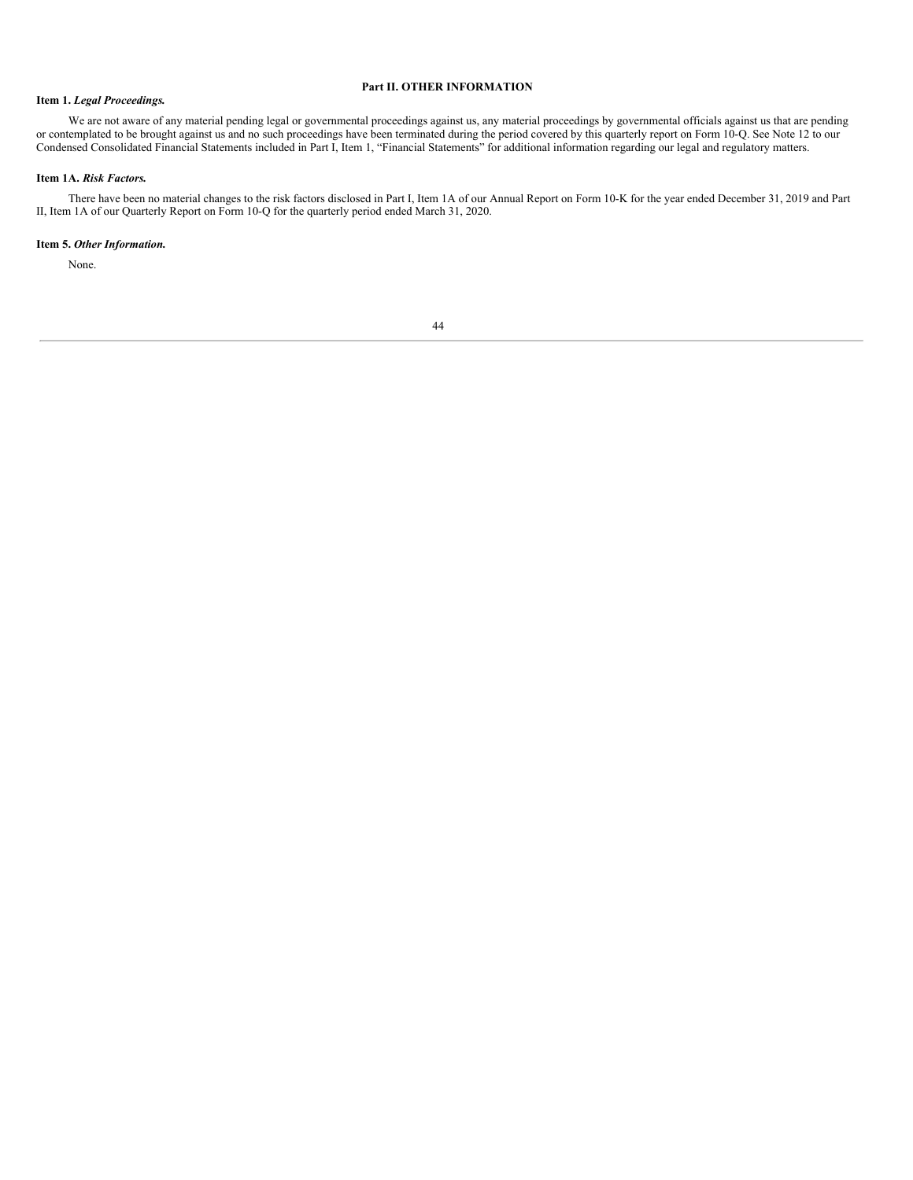# **Part II. OTHER INFORMATION**

# <span id="page-43-0"></span>**Item 1.** *Legal Proceedings.*

We are not aware of any material pending legal or governmental proceedings against us, any material proceedings by governmental officials against us that are pending or contemplated to be brought against us and no such proceedings have been terminated during the period covered by this quarterly report on Form 10-Q. See Note 12 to our Condensed Consolidated Financial Statements included in Part I, Item 1, "Financial Statements" for additional information regarding our legal and regulatory matters.

# <span id="page-43-1"></span>**Item 1A.** *Risk Factors.*

There have been no material changes to the risk factors disclosed in Part I, Item 1A of our Annual Report on Form 10-K for the year ended December 31, 2019 and Part II, Item 1A of our Quarterly Report on Form 10-Q for the quarterly period ended March 31, 2020.

# <span id="page-43-2"></span>**Item 5.** *Other Information.*

<span id="page-43-3"></span>None.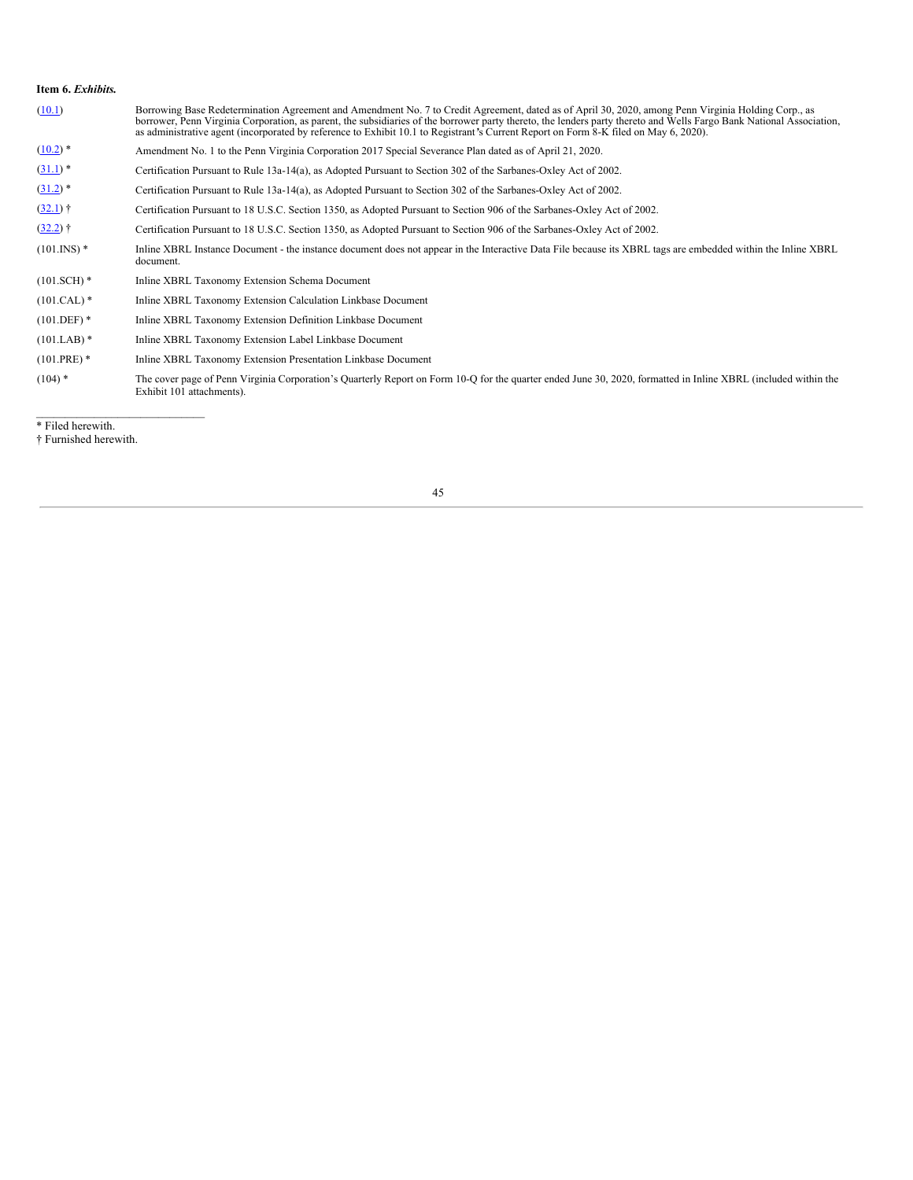#### **Item 6.** *Exhibits.*

- [\(10.1](http://www.sec.gov/Archives/edgar/data/77159/000007715920000026/pvac-cfagreementandame.htm)) Borrowing Base Redetermination Agreement and Amendment No. 7 to Credit Agreement, dated as of April 30, 2020, among Penn Virginia Holding Corp., as borrower, Penn Virginia Corporation, as parent, the subsidiaries of the borrower party thereto, the lenders party thereto and Wells Fargo Bank National Association,<br>as administrative agent (incorporated by reference to Exh
- [\(10.2](#page-46-0)) \* Amendment No. 1 to the Penn Virginia Corporation 2017 Special Severance Plan dated as of April 21, 2020.
- [\(31.1](#page-48-0)) \* Certification Pursuant to Rule 13a-14(a), as Adopted Pursuant to Section 302 of the Sarbanes-Oxley Act of 2002.
- [\(31.2](#page-49-0)) \* Certification Pursuant to Rule 13a-14(a), as Adopted Pursuant to Section 302 of the Sarbanes-Oxley Act of 2002.
- [\(32.1](#page-50-0)) † Certification Pursuant to 18 U.S.C. Section 1350, as Adopted Pursuant to Section 906 of the Sarbanes-Oxley Act of 2002.
- [\(32.2](#page-51-0)) † Certification Pursuant to 18 U.S.C. Section 1350, as Adopted Pursuant to Section 906 of the Sarbanes-Oxley Act of 2002.
- (101.INS) \* Inline XBRL Instance Document the instance document does not appear in the Interactive Data File because its XBRL tags are embedded within the Inline XBRL document.
- (101.SCH) \* Inline XBRL Taxonomy Extension Schema Document
- (101.CAL) \* Inline XBRL Taxonomy Extension Calculation Linkbase Document
- (101.DEF) \* Inline XBRL Taxonomy Extension Definition Linkbase Document
- (101.LAB) \* Inline XBRL Taxonomy Extension Label Linkbase Document
- (101.PRE) \* Inline XBRL Taxonomy Extension Presentation Linkbase Document
- (104) \* The cover page of Penn Virginia Corporation's Quarterly Report on Form 10-Q for the quarter ended June 30, 2020, formatted in Inline XBRL (included within the Exhibit 101 attachments).
- $\mathcal{L}_\text{max}$ \* Filed herewith.
- <span id="page-44-0"></span>† Furnished herewith.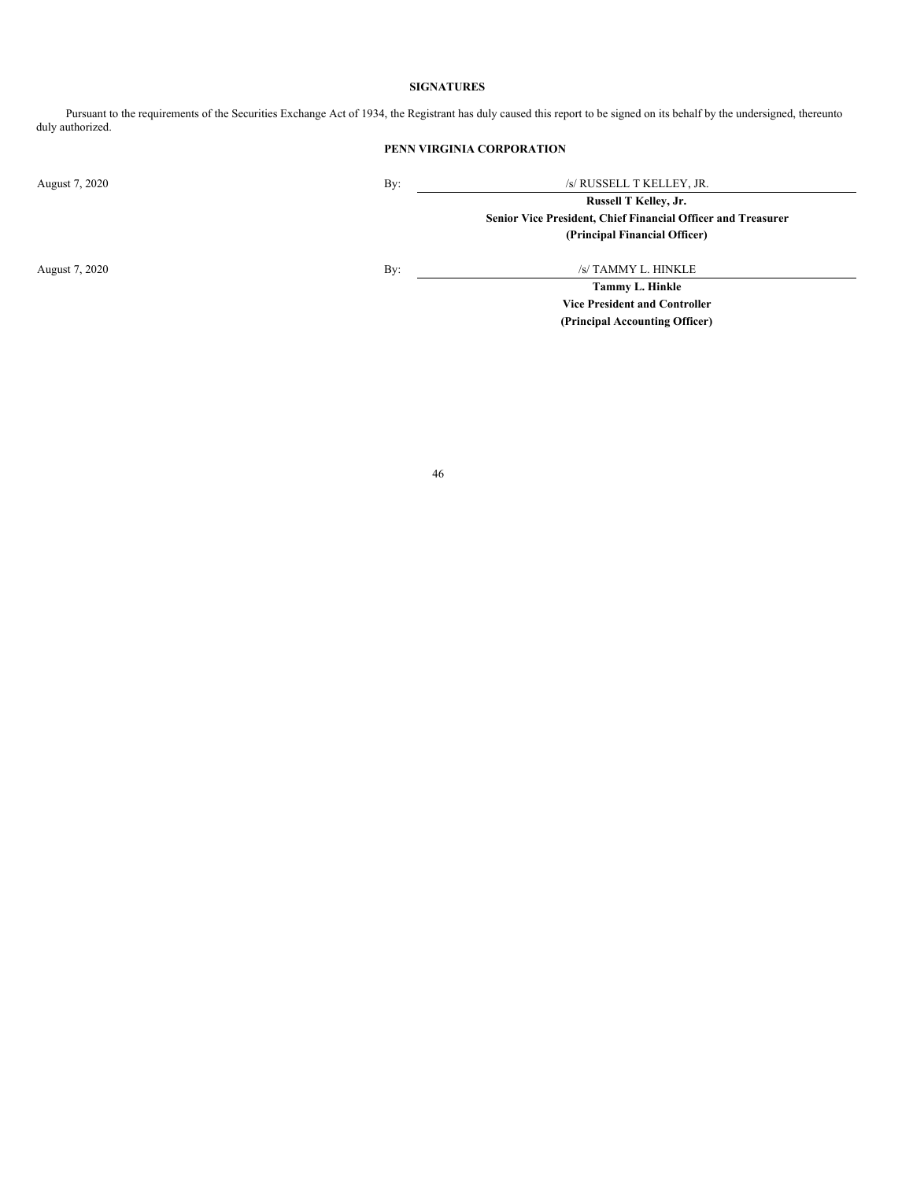### **SIGNATURES**

Pursuant to the requirements of the Securities Exchange Act of 1934, the Registrant has duly caused this report to be signed on its behalf by the undersigned, thereunto duly authorized.

# **PENN VIRGINIA CORPORATION**

August 7, 2020 By: By: /s/ RUSSELL T KELLEY, JR.

**Russell T Kelley, Jr.**

**Senior Vice President, Chief Financial Officer and Treasurer (Principal Financial Officer)**

August 7, 2020 By: /s/ TAMMY L. HINKLE

**Tammy L. Hinkle Vice President and Controller (Principal Accounting Officer)**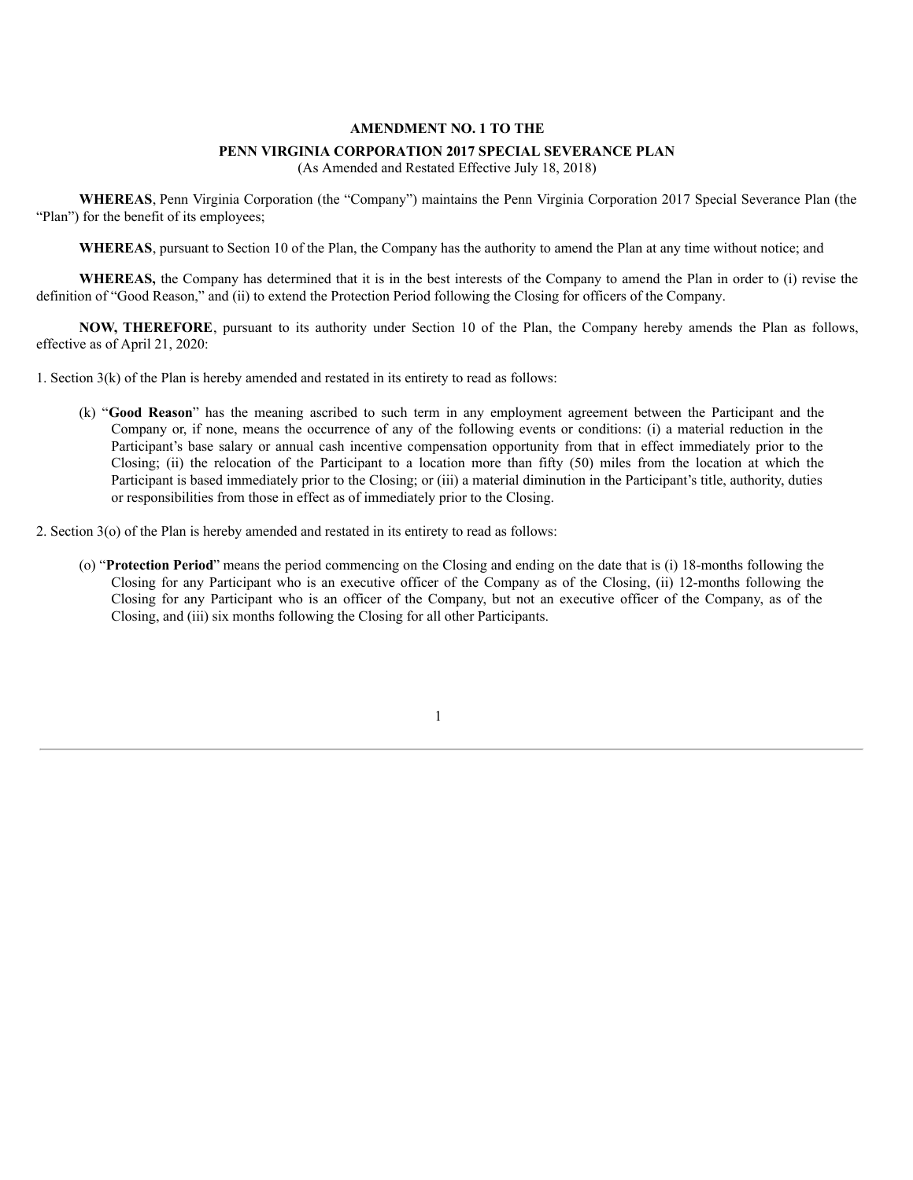# **AMENDMENT NO. 1 TO THE**

# **PENN VIRGINIA CORPORATION 2017 SPECIAL SEVERANCE PLAN**

(As Amended and Restated Effective July 18, 2018)

<span id="page-46-0"></span>**WHEREAS**, Penn Virginia Corporation (the "Company") maintains the Penn Virginia Corporation 2017 Special Severance Plan (the "Plan") for the benefit of its employees;

**WHEREAS**, pursuant to Section 10 of the Plan, the Company has the authority to amend the Plan at any time without notice; and

**WHEREAS,** the Company has determined that it is in the best interests of the Company to amend the Plan in order to (i) revise the definition of "Good Reason," and (ii) to extend the Protection Period following the Closing for officers of the Company.

**NOW, THEREFORE**, pursuant to its authority under Section 10 of the Plan, the Company hereby amends the Plan as follows, effective as of April 21, 2020:

1. Section 3(k) of the Plan is hereby amended and restated in its entirety to read as follows:

- (k) "**Good Reason**" has the meaning ascribed to such term in any employment agreement between the Participant and the Company or, if none, means the occurrence of any of the following events or conditions: (i) a material reduction in the Participant's base salary or annual cash incentive compensation opportunity from that in effect immediately prior to the Closing; (ii) the relocation of the Participant to a location more than fifty (50) miles from the location at which the Participant is based immediately prior to the Closing; or (iii) a material diminution in the Participant's title, authority, duties or responsibilities from those in effect as of immediately prior to the Closing.
- 2. Section 3(o) of the Plan is hereby amended and restated in its entirety to read as follows:
	- (o) "**Protection Period**" means the period commencing on the Closing and ending on the date that is (i) 18-months following the Closing for any Participant who is an executive officer of the Company as of the Closing, (ii) 12-months following the Closing for any Participant who is an officer of the Company, but not an executive officer of the Company, as of the Closing, and (iii) six months following the Closing for all other Participants.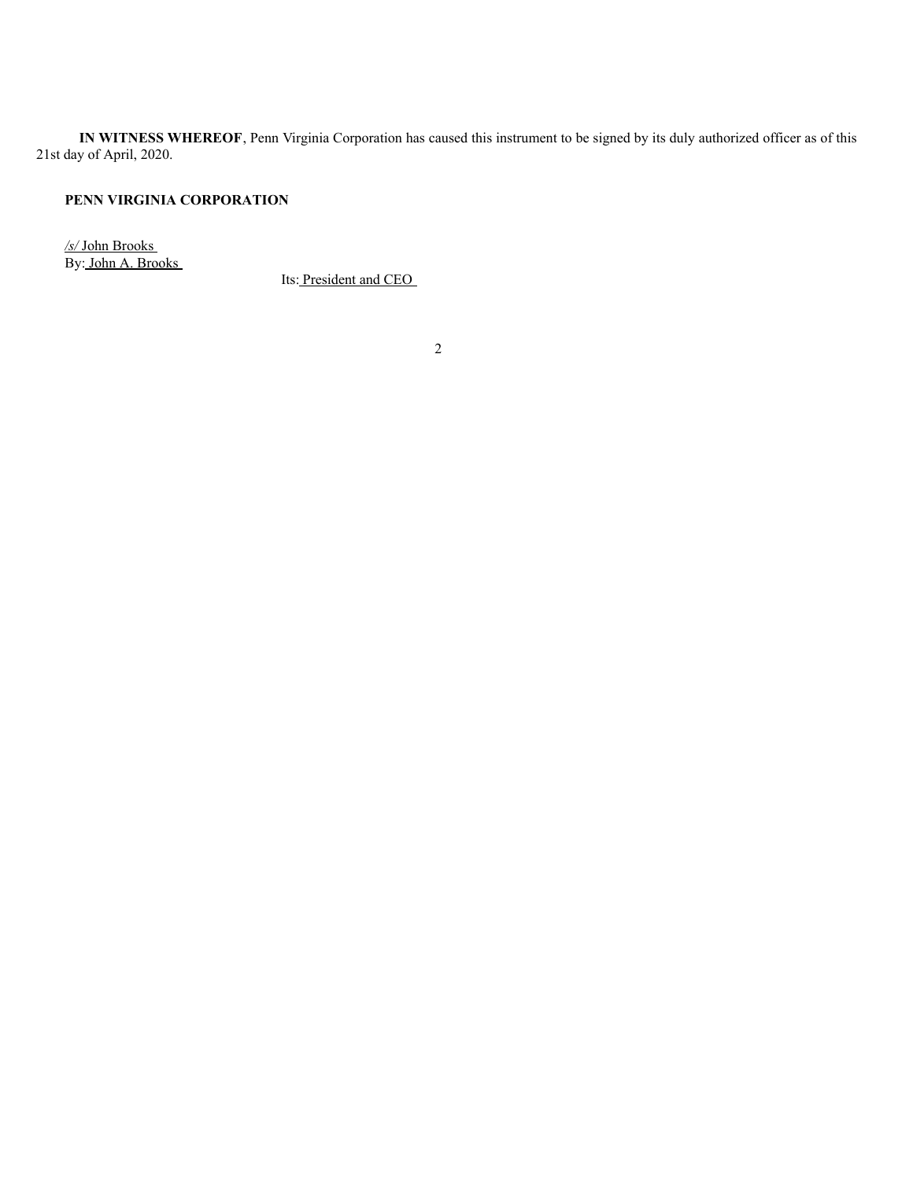**IN WITNESS WHEREOF**, Penn Virginia Corporation has caused this instrument to be signed by its duly authorized officer as of this 21st day of April, 2020.

# **PENN VIRGINIA CORPORATION**

*/s/* John Brooks By: John A. Brooks

Its: President and CEO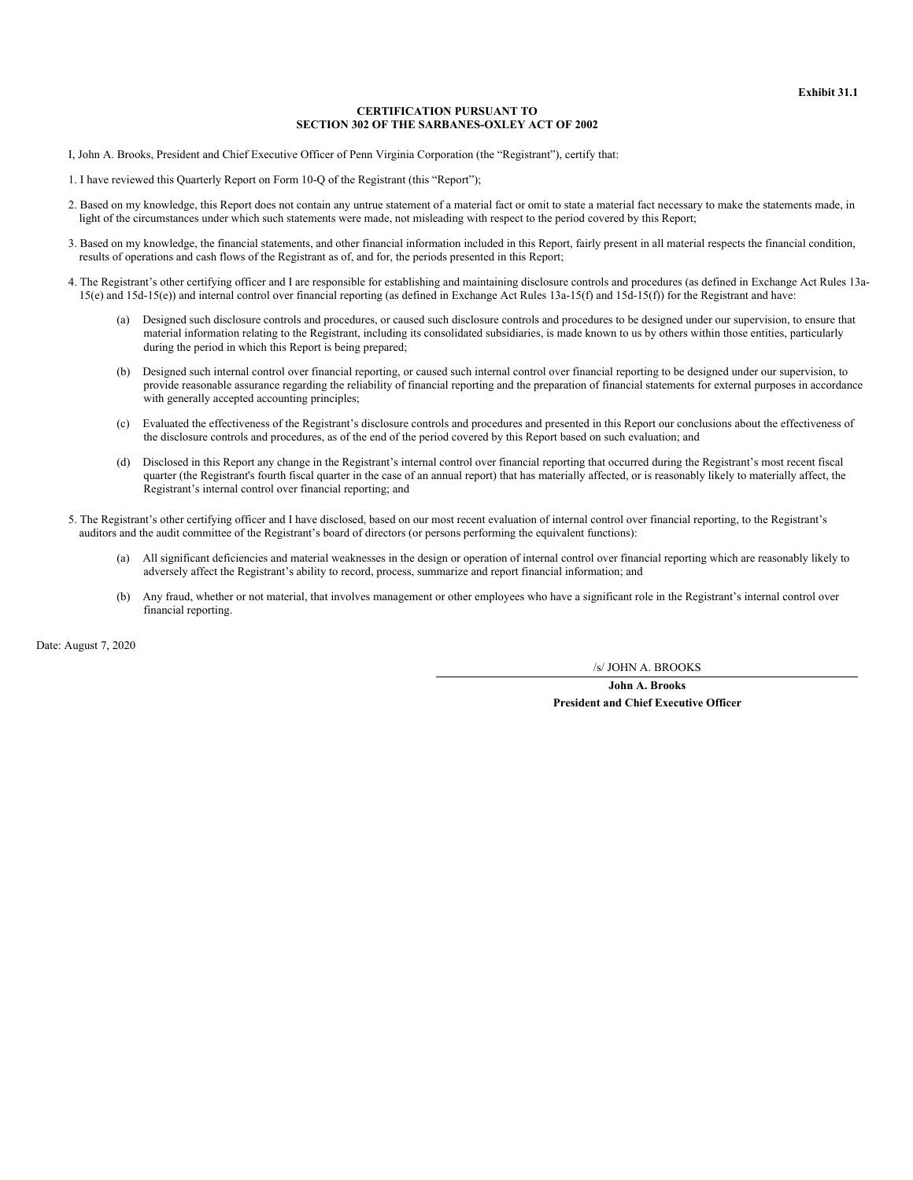# **CERTIFICATION PURSUANT TO SECTION 302 OF THE SARBANES-OXLEY ACT OF 2002**

<span id="page-48-0"></span>I, John A. Brooks, President and Chief Executive Officer of Penn Virginia Corporation (the "Registrant"), certify that:

- 1. I have reviewed this Quarterly Report on Form 10-Q of the Registrant (this "Report");
- 2. Based on my knowledge, this Report does not contain any untrue statement of a material fact or omit to state a material fact necessary to make the statements made, in light of the circumstances under which such statements were made, not misleading with respect to the period covered by this Report;
- 3. Based on my knowledge, the financial statements, and other financial information included in this Report, fairly present in all material respects the financial condition, results of operations and cash flows of the Registrant as of, and for, the periods presented in this Report;
- 4. The Registrant's other certifying officer and I are responsible for establishing and maintaining disclosure controls and procedures (as defined in Exchange Act Rules 13a-15(e) and 15d-15(e)) and internal control over financial reporting (as defined in Exchange Act Rules 13a-15(f) and 15d-15(f)) for the Registrant and have:
	- (a) Designed such disclosure controls and procedures, or caused such disclosure controls and procedures to be designed under our supervision, to ensure that material information relating to the Registrant, including its consolidated subsidiaries, is made known to us by others within those entities, particularly during the period in which this Report is being prepared;
	- (b) Designed such internal control over financial reporting, or caused such internal control over financial reporting to be designed under our supervision, to provide reasonable assurance regarding the reliability of financial reporting and the preparation of financial statements for external purposes in accordance with generally accepted accounting principles;
	- (c) Evaluated the effectiveness of the Registrant's disclosure controls and procedures and presented in this Report our conclusions about the effectiveness of the disclosure controls and procedures, as of the end of the period covered by this Report based on such evaluation; and
	- (d) Disclosed in this Report any change in the Registrant's internal control over financial reporting that occurred during the Registrant's most recent fiscal quarter (the Registrant's fourth fiscal quarter in the case of an annual report) that has materially affected, or is reasonably likely to materially affect, the Registrant's internal control over financial reporting; and
- 5. The Registrant's other certifying officer and I have disclosed, based on our most recent evaluation of internal control over financial reporting, to the Registrant's auditors and the audit committee of the Registrant's board of directors (or persons performing the equivalent functions):
	- (a) All significant deficiencies and material weaknesses in the design or operation of internal control over financial reporting which are reasonably likely to adversely affect the Registrant's ability to record, process, summarize and report financial information; and
	- (b) Any fraud, whether or not material, that involves management or other employees who have a significant role in the Registrant's internal control over financial reporting.

Date: August 7, 2020

/s/ JOHN A. BROOKS

**John A. Brooks President and Chief Executive Officer**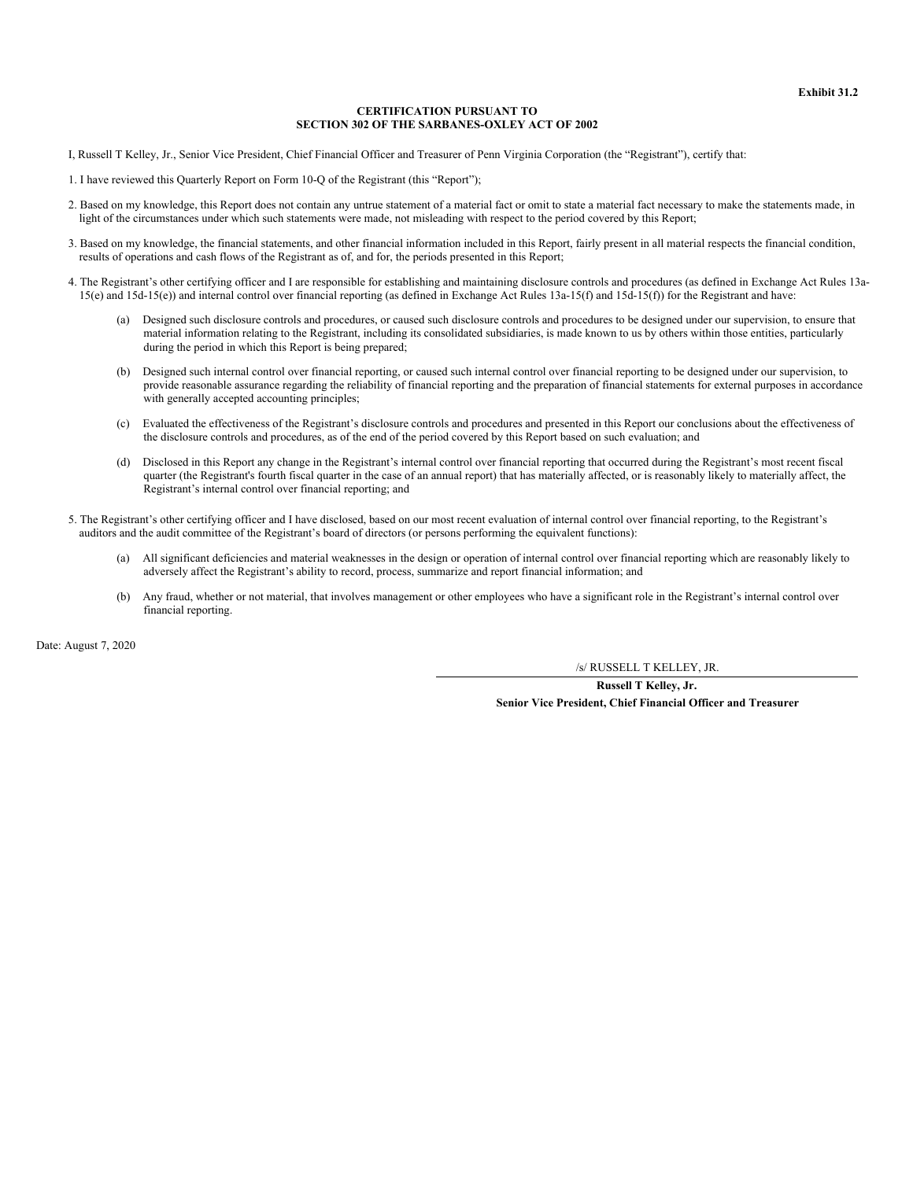# **CERTIFICATION PURSUANT TO SECTION 302 OF THE SARBANES-OXLEY ACT OF 2002**

- <span id="page-49-0"></span>I, Russell T Kelley, Jr., Senior Vice President, Chief Financial Officer and Treasurer of Penn Virginia Corporation (the "Registrant"), certify that:
- 1. I have reviewed this Quarterly Report on Form 10-Q of the Registrant (this "Report");
- 2. Based on my knowledge, this Report does not contain any untrue statement of a material fact or omit to state a material fact necessary to make the statements made, in light of the circumstances under which such statements were made, not misleading with respect to the period covered by this Report;
- 3. Based on my knowledge, the financial statements, and other financial information included in this Report, fairly present in all material respects the financial condition, results of operations and cash flows of the Registrant as of, and for, the periods presented in this Report;
- 4. The Registrant's other certifying officer and I are responsible for establishing and maintaining disclosure controls and procedures (as defined in Exchange Act Rules 13a-15(e) and 15d-15(e)) and internal control over financial reporting (as defined in Exchange Act Rules 13a-15(f) and 15d-15(f)) for the Registrant and have:
	- (a) Designed such disclosure controls and procedures, or caused such disclosure controls and procedures to be designed under our supervision, to ensure that material information relating to the Registrant, including its consolidated subsidiaries, is made known to us by others within those entities, particularly during the period in which this Report is being prepared;
	- (b) Designed such internal control over financial reporting, or caused such internal control over financial reporting to be designed under our supervision, to provide reasonable assurance regarding the reliability of financial reporting and the preparation of financial statements for external purposes in accordance with generally accepted accounting principles;
	- (c) Evaluated the effectiveness of the Registrant's disclosure controls and procedures and presented in this Report our conclusions about the effectiveness of the disclosure controls and procedures, as of the end of the period covered by this Report based on such evaluation; and
	- (d) Disclosed in this Report any change in the Registrant's internal control over financial reporting that occurred during the Registrant's most recent fiscal quarter (the Registrant's fourth fiscal quarter in the case of an annual report) that has materially affected, or is reasonably likely to materially affect, the Registrant's internal control over financial reporting; and
- 5. The Registrant's other certifying officer and I have disclosed, based on our most recent evaluation of internal control over financial reporting, to the Registrant's auditors and the audit committee of the Registrant's board of directors (or persons performing the equivalent functions):
	- (a) All significant deficiencies and material weaknesses in the design or operation of internal control over financial reporting which are reasonably likely to adversely affect the Registrant's ability to record, process, summarize and report financial information; and
	- (b) Any fraud, whether or not material, that involves management or other employees who have a significant role in the Registrant's internal control over financial reporting.

Date: August 7, 2020

/s/ RUSSELL T KELLEY, JR.

**Russell T Kelley, Jr. Senior Vice President, Chief Financial Officer and Treasurer**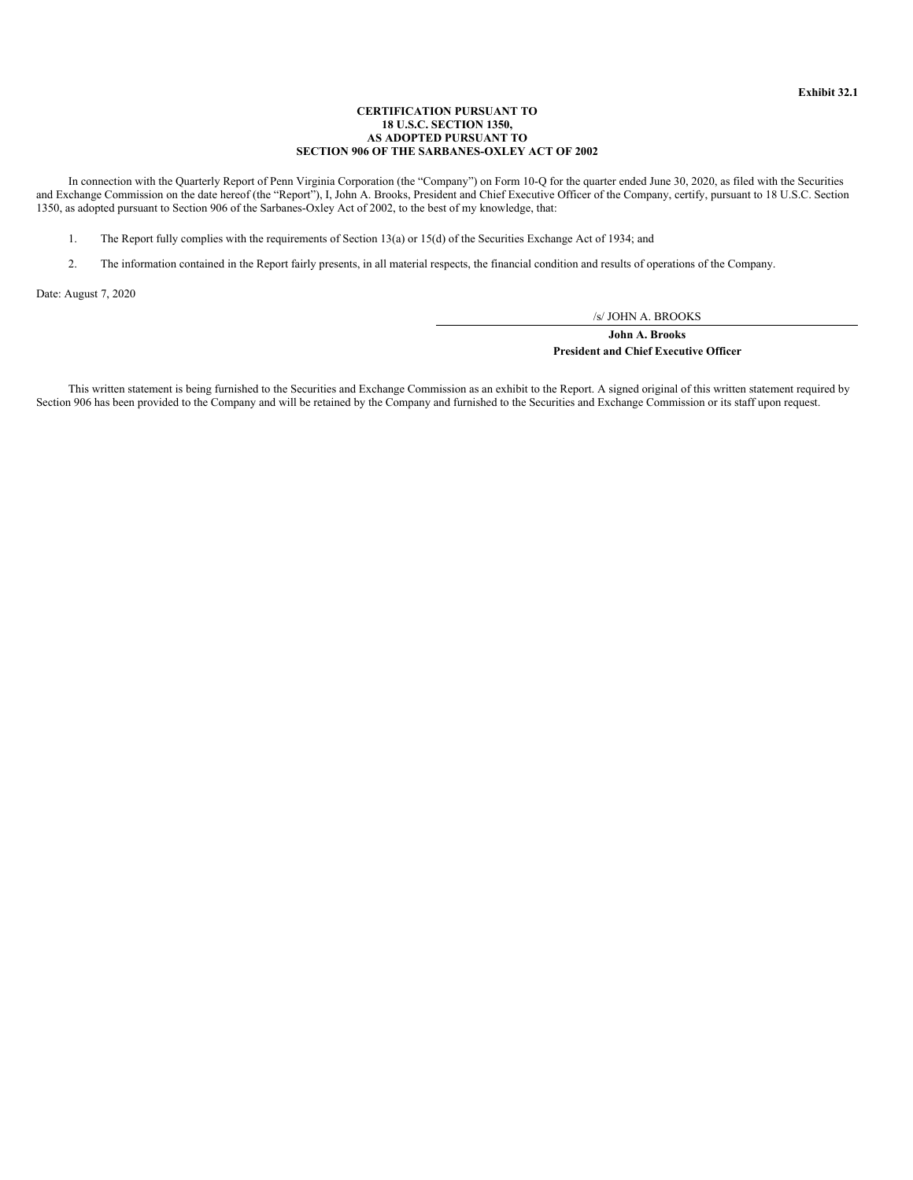# **CERTIFICATION PURSUANT TO 18 U.S.C. SECTION 1350, AS ADOPTED PURSUANT TO SECTION 906 OF THE SARBANES-OXLEY ACT OF 2002**

<span id="page-50-0"></span>In connection with the Quarterly Report of Penn Virginia Corporation (the "Company") on Form 10-Q for the quarter ended June 30, 2020, as filed with the Securities and Exchange Commission on the date hereof (the "Report"), I, John A. Brooks, President and Chief Executive Officer of the Company, certify, pursuant to 18 U.S.C. Section 1350, as adopted pursuant to Section 906 of the Sarbanes-Oxley Act of 2002, to the best of my knowledge, that:

- 1. The Report fully complies with the requirements of Section 13(a) or 15(d) of the Securities Exchange Act of 1934; and
- 2. The information contained in the Report fairly presents, in all material respects, the financial condition and results of operations of the Company.

Date: August 7, 2020

/s/ JOHN A. BROOKS

**John A. Brooks President and Chief Executive Officer**

This written statement is being furnished to the Securities and Exchange Commission as an exhibit to the Report. A signed original of this written statement required by Section 906 has been provided to the Company and will be retained by the Company and furnished to the Securities and Exchange Commission or its staff upon request.